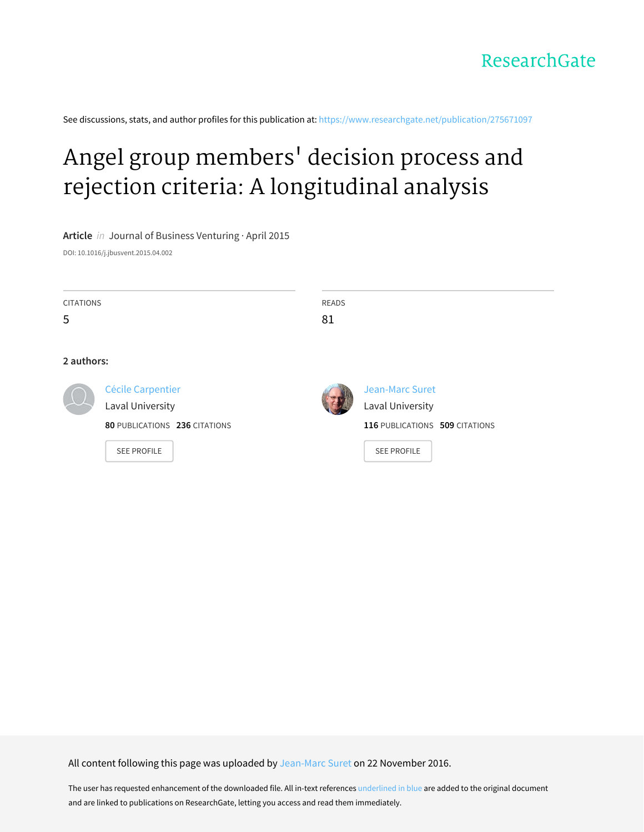

See discussions, stats, and author profiles for this publication at: [https://www.researchgate.net/publication/275671097](https://www.researchgate.net/publication/275671097_Angel_group_members%27_decision_process_and_rejection_criteria_A_longitudinal_analysis?enrichId=rgreq-8af4d9bcdb676e03800bb438f388e717-XXX&enrichSource=Y292ZXJQYWdlOzI3NTY3MTA5NztBUzo0MzEyNTQ3MTg5NDczMjhAMTQ3OTgzMDU0NTU3Nw%3D%3D&el=1_x_2&_esc=publicationCoverPdf)

# Angel group members' decision process and rejection criteria: A [longitudinal](https://www.researchgate.net/publication/275671097_Angel_group_members%27_decision_process_and_rejection_criteria_A_longitudinal_analysis?enrichId=rgreq-8af4d9bcdb676e03800bb438f388e717-XXX&enrichSource=Y292ZXJQYWdlOzI3NTY3MTA5NztBUzo0MzEyNTQ3MTg5NDczMjhAMTQ3OTgzMDU0NTU3Nw%3D%3D&el=1_x_3&_esc=publicationCoverPdf) analysis

**Article** in Journal of Business Venturing · April 2015

DOI: 10.1016/j.jbusvent.2015.04.002

| <b>CITATIONS</b> |                               | <b>READS</b> |                                |  |  |  |  |  |  |
|------------------|-------------------------------|--------------|--------------------------------|--|--|--|--|--|--|
| 5                |                               | 81           |                                |  |  |  |  |  |  |
|                  |                               |              |                                |  |  |  |  |  |  |
| 2 authors:       |                               |              |                                |  |  |  |  |  |  |
|                  | <b>Cécile Carpentier</b>      |              | Jean-Marc Suret                |  |  |  |  |  |  |
|                  | Laval University              |              | Laval University               |  |  |  |  |  |  |
|                  | 80 PUBLICATIONS 236 CITATIONS |              | 116 PUBLICATIONS 509 CITATIONS |  |  |  |  |  |  |
|                  | <b>SEE PROFILE</b>            |              | <b>SEE PROFILE</b>             |  |  |  |  |  |  |

All content following this page was uploaded by [Jean-Marc](https://www.researchgate.net/profile/Jean_Marc_Suret?enrichId=rgreq-8af4d9bcdb676e03800bb438f388e717-XXX&enrichSource=Y292ZXJQYWdlOzI3NTY3MTA5NztBUzo0MzEyNTQ3MTg5NDczMjhAMTQ3OTgzMDU0NTU3Nw%3D%3D&el=1_x_10&_esc=publicationCoverPdf) Suret on 22 November 2016.

The user has requested enhancement of the downloaded file. All in-text references underlined in blue are added to the original document and are linked to publications on ResearchGate, letting you access and read them immediately.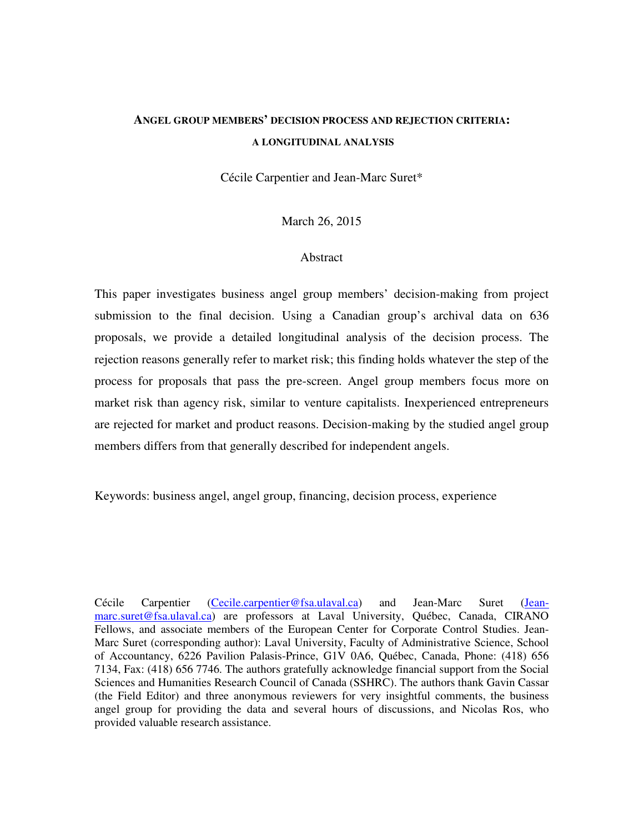# **ANGEL GROUP MEMBERS' DECISION PROCESS AND REJECTION CRITERIA: A LONGITUDINAL ANALYSIS**

Cécile Carpentier and Jean-Marc Suret\*

March 26, 2015

#### Abstract

This paper investigates business angel group members' decision-making from project submission to the final decision. Using a Canadian group's archival data on 636 proposals, we provide a detailed longitudinal analysis of the decision process. The rejection reasons generally refer to market risk; this finding holds whatever the step of the process for proposals that pass the pre-screen. Angel group members focus more on market risk than agency risk, similar to venture capitalists. Inexperienced entrepreneurs are rejected for market and product reasons. Decision-making by the studied angel group members differs from that generally described for independent angels.

Keywords: business angel, angel group, financing, decision process, experience

Cécile Carpentier (Cecile.carpentier@fsa.ulaval.ca) and Jean-Marc Suret (Jeanmarc.suret@fsa.ulaval.ca) are professors at Laval University, Québec, Canada, CIRANO Fellows, and associate members of the European Center for Corporate Control Studies. Jean-Marc Suret (corresponding author): Laval University, Faculty of Administrative Science, School of Accountancy, 6226 Pavilion Palasis-Prince, G1V 0A6, Québec, Canada, Phone: (418) 656 7134, Fax: (418) 656 7746. The authors gratefully acknowledge financial support from the Social Sciences and Humanities Research Council of Canada (SSHRC). The authors thank Gavin Cassar (the Field Editor) and three anonymous reviewers for very insightful comments, the business angel group for providing the data and several hours of discussions, and Nicolas Ros, who provided valuable research assistance.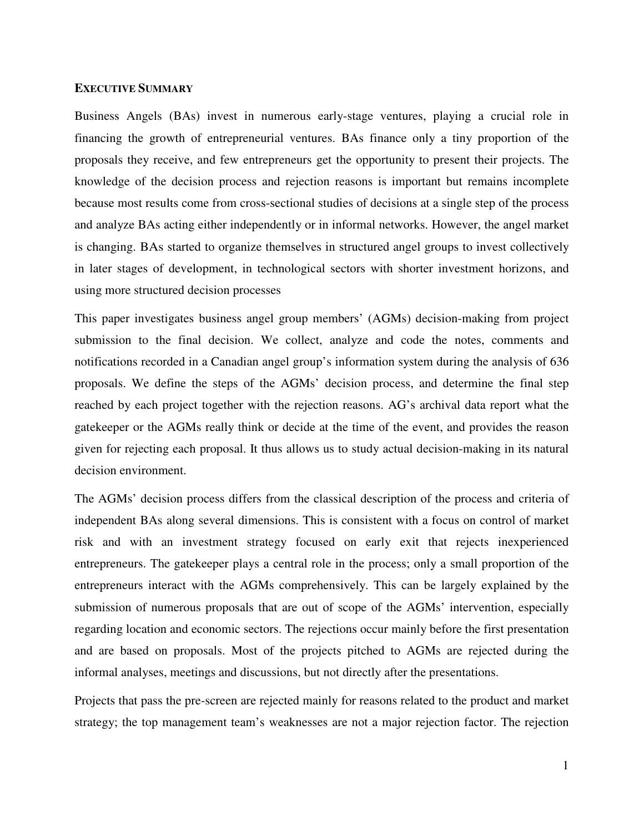#### **EXECUTIVE SUMMARY**

Business Angels (BAs) invest in numerous early-stage ventures, playing a crucial role in financing the growth of entrepreneurial ventures. BAs finance only a tiny proportion of the proposals they receive, and few entrepreneurs get the opportunity to present their projects. The knowledge of the decision process and rejection reasons is important but remains incomplete because most results come from cross-sectional studies of decisions at a single step of the process and analyze BAs acting either independently or in informal networks. However, the angel market is changing. BAs started to organize themselves in structured angel groups to invest collectively in later stages of development, in technological sectors with shorter investment horizons, and using more structured decision processes

This paper investigates business angel group members' (AGMs) decision-making from project submission to the final decision. We collect, analyze and code the notes, comments and notifications recorded in a Canadian angel group's information system during the analysis of 636 proposals. We define the steps of the AGMs' decision process, and determine the final step reached by each project together with the rejection reasons. AG's archival data report what the gatekeeper or the AGMs really think or decide at the time of the event, and provides the reason given for rejecting each proposal. It thus allows us to study actual decision-making in its natural decision environment.

The AGMs' decision process differs from the classical description of the process and criteria of independent BAs along several dimensions. This is consistent with a focus on control of market risk and with an investment strategy focused on early exit that rejects inexperienced entrepreneurs. The gatekeeper plays a central role in the process; only a small proportion of the entrepreneurs interact with the AGMs comprehensively. This can be largely explained by the submission of numerous proposals that are out of scope of the AGMs' intervention, especially regarding location and economic sectors. The rejections occur mainly before the first presentation and are based on proposals. Most of the projects pitched to AGMs are rejected during the informal analyses, meetings and discussions, but not directly after the presentations.

Projects that pass the pre-screen are rejected mainly for reasons related to the product and market strategy; the top management team's weaknesses are not a major rejection factor. The rejection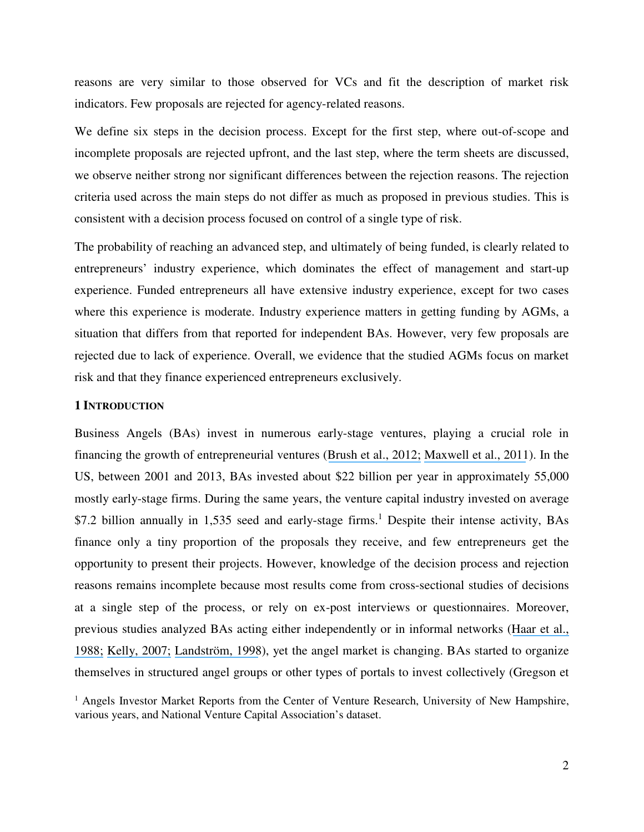reasons are very similar to those observed for VCs and fit the description of market risk indicators. Few proposals are rejected for agency-related reasons.

We define six steps in the decision process. Except for the first step, where out-of-scope and incomplete proposals are rejected upfront, and the last step, where the term sheets are discussed, we observe neither strong nor significant differences between the rejection reasons. The rejection criteria used across the main steps do not differ as much as proposed in previous studies. This is consistent with a decision process focused on control of a single type of risk.

The probability of reaching an advanced step, and ultimately of being funded, is clearly related to entrepreneurs' industry experience, which dominates the effect of management and start-up experience. Funded entrepreneurs all have extensive industry experience, except for two cases where this experience is moderate. Industry experience matters in getting funding by AGMs, a situation that differs from that reported for independent BAs. However, very few proposals are rejected due to lack of experience. Overall, we evidence that the studied AGMs focus on market risk and that they finance experienced entrepreneurs exclusively.

#### **1 INTRODUCTION**

Business Angels (BAs) invest in numerous early-stage ventures, playing a crucial role in financing the growth of entrepreneurial ventures ([Brush et al., 2012;](https://www.researchgate.net/publication/254324413_Ready_for_funding_Entrepreneurial_ventures_and_the_pursuit_of_angel_financing?el=1_x_8&enrichId=rgreq-8af4d9bcdb676e03800bb438f388e717-XXX&enrichSource=Y292ZXJQYWdlOzI3NTY3MTA5NztBUzo0MzEyNTQ3MTg5NDczMjhAMTQ3OTgzMDU0NTU3Nw==) [Maxwell et al., 2011](https://www.researchgate.net/publication/227418352_Business_Angel_Early_Stage_Decision_Making?el=1_x_8&enrichId=rgreq-8af4d9bcdb676e03800bb438f388e717-XXX&enrichSource=Y292ZXJQYWdlOzI3NTY3MTA5NztBUzo0MzEyNTQ3MTg5NDczMjhAMTQ3OTgzMDU0NTU3Nw==)). In the US, between 2001 and 2013, BAs invested about \$22 billion per year in approximately 55,000 mostly early-stage firms. During the same years, the venture capital industry invested on average \$7.2 billion annually in 1,535 seed and early-stage firms.<sup>1</sup> Despite their intense activity, BAs finance only a tiny proportion of the proposals they receive, and few entrepreneurs get the opportunity to present their projects. However, knowledge of the decision process and rejection reasons remains incomplete because most results come from cross-sectional studies of decisions at a single step of the process, or rely on ex-post interviews or questionnaires. Moreover, previous studies analyzed BAs acting either independently or in informal networks ([Haar et al.,](https://www.researchgate.net/publication/4968144_Informal_risk_capital_investors_Investment_patterns_on_the_East_Coast_of_the_USA?el=1_x_8&enrichId=rgreq-8af4d9bcdb676e03800bb438f388e717-XXX&enrichSource=Y292ZXJQYWdlOzI3NTY3MTA5NztBUzo0MzEyNTQ3MTg5NDczMjhAMTQ3OTgzMDU0NTU3Nw==) [1988;](https://www.researchgate.net/publication/4968144_Informal_risk_capital_investors_Investment_patterns_on_the_East_Coast_of_the_USA?el=1_x_8&enrichId=rgreq-8af4d9bcdb676e03800bb438f388e717-XXX&enrichSource=Y292ZXJQYWdlOzI3NTY3MTA5NztBUzo0MzEyNTQ3MTg5NDczMjhAMTQ3OTgzMDU0NTU3Nw==) [Kelly, 2007;](https://www.researchgate.net/publication/288160607_Business_angel_research_The_road_traveled_and_the_journey_ahead?el=1_x_8&enrichId=rgreq-8af4d9bcdb676e03800bb438f388e717-XXX&enrichSource=Y292ZXJQYWdlOzI3NTY3MTA5NztBUzo0MzEyNTQ3MTg5NDczMjhAMTQ3OTgzMDU0NTU3Nw==) [Landström, 1998](https://www.researchgate.net/publication/223010484_Informal_investors_as_entrepreneurs?el=1_x_8&enrichId=rgreq-8af4d9bcdb676e03800bb438f388e717-XXX&enrichSource=Y292ZXJQYWdlOzI3NTY3MTA5NztBUzo0MzEyNTQ3MTg5NDczMjhAMTQ3OTgzMDU0NTU3Nw==)), yet the angel market is changing. BAs started to organize themselves in structured angel groups or other types of portals to invest collectively (Gregson et

<sup>&</sup>lt;sup>1</sup> Angels Investor Market Reports from the Center of Venture Research, University of New Hampshire, various years, and National Venture Capital Association's dataset.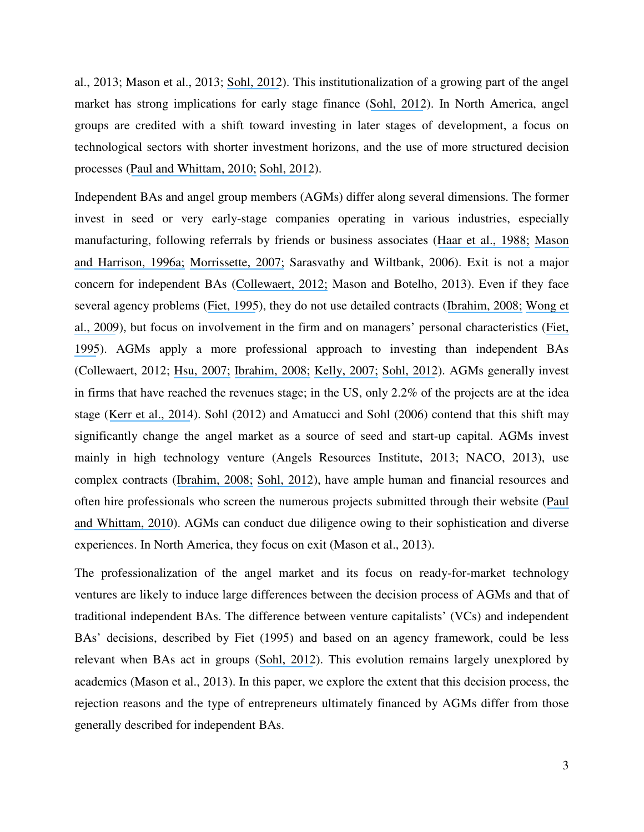al., 2013; Mason et al., 2013; [Sohl, 2012](https://www.researchgate.net/publication/282592804_The_changing_nature_of_the_angel_market?el=1_x_8&enrichId=rgreq-8af4d9bcdb676e03800bb438f388e717-XXX&enrichSource=Y292ZXJQYWdlOzI3NTY3MTA5NztBUzo0MzEyNTQ3MTg5NDczMjhAMTQ3OTgzMDU0NTU3Nw==)). This institutionalization of a growing part of the angel market has strong implications for early stage finance ([Sohl, 2012](https://www.researchgate.net/publication/282592804_The_changing_nature_of_the_angel_market?el=1_x_8&enrichId=rgreq-8af4d9bcdb676e03800bb438f388e717-XXX&enrichSource=Y292ZXJQYWdlOzI3NTY3MTA5NztBUzo0MzEyNTQ3MTg5NDczMjhAMTQ3OTgzMDU0NTU3Nw==)). In North America, angel groups are credited with a shift toward investing in later stages of development, a focus on technological sectors with shorter investment horizons, and the use of more structured decision processes ([Paul and Whittam, 2010;](https://www.researchgate.net/publication/233033559_Business_angel_syndicates_An_exploratory_study_of_gatekeepers?el=1_x_8&enrichId=rgreq-8af4d9bcdb676e03800bb438f388e717-XXX&enrichSource=Y292ZXJQYWdlOzI3NTY3MTA5NztBUzo0MzEyNTQ3MTg5NDczMjhAMTQ3OTgzMDU0NTU3Nw==) [Sohl, 2012](https://www.researchgate.net/publication/282592804_The_changing_nature_of_the_angel_market?el=1_x_8&enrichId=rgreq-8af4d9bcdb676e03800bb438f388e717-XXX&enrichSource=Y292ZXJQYWdlOzI3NTY3MTA5NztBUzo0MzEyNTQ3MTg5NDczMjhAMTQ3OTgzMDU0NTU3Nw==)).

Independent BAs and angel group members (AGMs) differ along several dimensions. The former invest in seed or very early-stage companies operating in various industries, especially manufacturing, following referrals by friends or business associates ([Haar et al., 1988;](https://www.researchgate.net/publication/4968144_Informal_risk_capital_investors_Investment_patterns_on_the_East_Coast_of_the_USA?el=1_x_8&enrichId=rgreq-8af4d9bcdb676e03800bb438f388e717-XXX&enrichSource=Y292ZXJQYWdlOzI3NTY3MTA5NztBUzo0MzEyNTQ3MTg5NDczMjhAMTQ3OTgzMDU0NTU3Nw==) [Mason](https://www.researchgate.net/publication/233105001_Informal_Venture_Capital_A_Study_of_the_Investment_Process_the_Post-Investment_Experience_and_Investment_Performance?el=1_x_8&enrichId=rgreq-8af4d9bcdb676e03800bb438f388e717-XXX&enrichSource=Y292ZXJQYWdlOzI3NTY3MTA5NztBUzo0MzEyNTQ3MTg5NDczMjhAMTQ3OTgzMDU0NTU3Nw==) [and Harrison, 1996a;](https://www.researchgate.net/publication/233105001_Informal_Venture_Capital_A_Study_of_the_Investment_Process_the_Post-Investment_Experience_and_Investment_Performance?el=1_x_8&enrichId=rgreq-8af4d9bcdb676e03800bb438f388e717-XXX&enrichSource=Y292ZXJQYWdlOzI3NTY3MTA5NztBUzo0MzEyNTQ3MTg5NDczMjhAMTQ3OTgzMDU0NTU3Nw==) [Morrissette, 2007;](https://www.researchgate.net/publication/247907755_A_Profile_of_Angel_Investors?el=1_x_8&enrichId=rgreq-8af4d9bcdb676e03800bb438f388e717-XXX&enrichSource=Y292ZXJQYWdlOzI3NTY3MTA5NztBUzo0MzEyNTQ3MTg5NDczMjhAMTQ3OTgzMDU0NTU3Nw==) Sarasvathy and Wiltbank, 2006). Exit is not a major concern for independent BAs ([Collewaert, 2012;](https://www.researchgate.net/publication/228240324_Angel_Investors) Mason and Botelho, 2013). Even if they face several agency problems ([Fiet, 1995](https://www.researchgate.net/publication/229690429_Risk_Avoidance_Strategies_in_Venture_Capital_Markets?el=1_x_8&enrichId=rgreq-8af4d9bcdb676e03800bb438f388e717-XXX&enrichSource=Y292ZXJQYWdlOzI3NTY3MTA5NztBUzo0MzEyNTQ3MTg5NDczMjhAMTQ3OTgzMDU0NTU3Nw==)), they do not use detailed contracts ([Ibrahim, 2008;](https://www.researchgate.net/publication/228219042_The_Not_So_Puzzling_Behavior_of_Angel_Investors?el=1_x_8&enrichId=rgreq-8af4d9bcdb676e03800bb438f388e717-XXX&enrichSource=Y292ZXJQYWdlOzI3NTY3MTA5NztBUzo0MzEyNTQ3MTg5NDczMjhAMTQ3OTgzMDU0NTU3Nw==) [Wong et](https://www.researchgate.net/publication/264487892_Angel_Finance_The_Other_Venture_Capital?el=1_x_8&enrichId=rgreq-8af4d9bcdb676e03800bb438f388e717-XXX&enrichSource=Y292ZXJQYWdlOzI3NTY3MTA5NztBUzo0MzEyNTQ3MTg5NDczMjhAMTQ3OTgzMDU0NTU3Nw==) [al., 2009](https://www.researchgate.net/publication/264487892_Angel_Finance_The_Other_Venture_Capital?el=1_x_8&enrichId=rgreq-8af4d9bcdb676e03800bb438f388e717-XXX&enrichSource=Y292ZXJQYWdlOzI3NTY3MTA5NztBUzo0MzEyNTQ3MTg5NDczMjhAMTQ3OTgzMDU0NTU3Nw==)), but focus on involvement in the firm and on managers' personal characteristics ([Fiet,](https://www.researchgate.net/publication/229690429_Risk_Avoidance_Strategies_in_Venture_Capital_Markets?el=1_x_8&enrichId=rgreq-8af4d9bcdb676e03800bb438f388e717-XXX&enrichSource=Y292ZXJQYWdlOzI3NTY3MTA5NztBUzo0MzEyNTQ3MTg5NDczMjhAMTQ3OTgzMDU0NTU3Nw==) [1995](https://www.researchgate.net/publication/229690429_Risk_Avoidance_Strategies_in_Venture_Capital_Markets?el=1_x_8&enrichId=rgreq-8af4d9bcdb676e03800bb438f388e717-XXX&enrichSource=Y292ZXJQYWdlOzI3NTY3MTA5NztBUzo0MzEyNTQ3MTg5NDczMjhAMTQ3OTgzMDU0NTU3Nw==)). AGMs apply a more professional approach to investing than independent BAs (Collewaert, 2012; [Hsu, 2007;](https://www.researchgate.net/publication/4929925_Experienced_Entrepreneurial_Founders_Organizational_Capital_and_Venture_Capital_Funding?el=1_x_8&enrichId=rgreq-8af4d9bcdb676e03800bb438f388e717-XXX&enrichSource=Y292ZXJQYWdlOzI3NTY3MTA5NztBUzo0MzEyNTQ3MTg5NDczMjhAMTQ3OTgzMDU0NTU3Nw==) [Ibrahim, 2008;](https://www.researchgate.net/publication/228219042_The_Not_So_Puzzling_Behavior_of_Angel_Investors?el=1_x_8&enrichId=rgreq-8af4d9bcdb676e03800bb438f388e717-XXX&enrichSource=Y292ZXJQYWdlOzI3NTY3MTA5NztBUzo0MzEyNTQ3MTg5NDczMjhAMTQ3OTgzMDU0NTU3Nw==) [Kelly, 2007;](https://www.researchgate.net/publication/288160607_Business_angel_research_The_road_traveled_and_the_journey_ahead?el=1_x_8&enrichId=rgreq-8af4d9bcdb676e03800bb438f388e717-XXX&enrichSource=Y292ZXJQYWdlOzI3NTY3MTA5NztBUzo0MzEyNTQ3MTg5NDczMjhAMTQ3OTgzMDU0NTU3Nw==) [Sohl, 2012](https://www.researchgate.net/publication/282592804_The_changing_nature_of_the_angel_market?el=1_x_8&enrichId=rgreq-8af4d9bcdb676e03800bb438f388e717-XXX&enrichSource=Y292ZXJQYWdlOzI3NTY3MTA5NztBUzo0MzEyNTQ3MTg5NDczMjhAMTQ3OTgzMDU0NTU3Nw==)). AGMs generally invest in firms that have reached the revenues stage; in the US, only 2.2% of the projects are at the idea stage ([Kerr et al., 2014](https://www.researchgate.net/publication/279415335_The_Consequences_of_Entrepreneurial_Finance_Evidence_from_Angel_Financings?el=1_x_8&enrichId=rgreq-8af4d9bcdb676e03800bb438f388e717-XXX&enrichSource=Y292ZXJQYWdlOzI3NTY3MTA5NztBUzo0MzEyNTQ3MTg5NDczMjhAMTQ3OTgzMDU0NTU3Nw==)). Sohl (2012) and Amatucci and Sohl (2006) contend that this shift may significantly change the angel market as a source of seed and start-up capital. AGMs invest mainly in high technology venture (Angels Resources Institute, 2013; NACO, 2013), use complex contracts ([Ibrahim, 2008;](https://www.researchgate.net/publication/228219042_The_Not_So_Puzzling_Behavior_of_Angel_Investors?el=1_x_8&enrichId=rgreq-8af4d9bcdb676e03800bb438f388e717-XXX&enrichSource=Y292ZXJQYWdlOzI3NTY3MTA5NztBUzo0MzEyNTQ3MTg5NDczMjhAMTQ3OTgzMDU0NTU3Nw==) [Sohl, 2012](https://www.researchgate.net/publication/282592804_The_changing_nature_of_the_angel_market?el=1_x_8&enrichId=rgreq-8af4d9bcdb676e03800bb438f388e717-XXX&enrichSource=Y292ZXJQYWdlOzI3NTY3MTA5NztBUzo0MzEyNTQ3MTg5NDczMjhAMTQ3OTgzMDU0NTU3Nw==)), have ample human and financial resources and often hire professionals who screen the numerous projects submitted through their website ([Paul](https://www.researchgate.net/publication/233033559_Business_angel_syndicates_An_exploratory_study_of_gatekeepers?el=1_x_8&enrichId=rgreq-8af4d9bcdb676e03800bb438f388e717-XXX&enrichSource=Y292ZXJQYWdlOzI3NTY3MTA5NztBUzo0MzEyNTQ3MTg5NDczMjhAMTQ3OTgzMDU0NTU3Nw==) [and Whittam, 2010](https://www.researchgate.net/publication/233033559_Business_angel_syndicates_An_exploratory_study_of_gatekeepers?el=1_x_8&enrichId=rgreq-8af4d9bcdb676e03800bb438f388e717-XXX&enrichSource=Y292ZXJQYWdlOzI3NTY3MTA5NztBUzo0MzEyNTQ3MTg5NDczMjhAMTQ3OTgzMDU0NTU3Nw==)). AGMs can conduct due diligence owing to their sophistication and diverse experiences. In North America, they focus on exit (Mason et al., 2013).

The professionalization of the angel market and its focus on ready-for-market technology ventures are likely to induce large differences between the decision process of AGMs and that of traditional independent BAs. The difference between venture capitalists' (VCs) and independent BAs' decisions, described by Fiet (1995) and based on an agency framework, could be less relevant when BAs act in groups ([Sohl, 2012](https://www.researchgate.net/publication/282592804_The_changing_nature_of_the_angel_market?el=1_x_8&enrichId=rgreq-8af4d9bcdb676e03800bb438f388e717-XXX&enrichSource=Y292ZXJQYWdlOzI3NTY3MTA5NztBUzo0MzEyNTQ3MTg5NDczMjhAMTQ3OTgzMDU0NTU3Nw==)). This evolution remains largely unexplored by academics (Mason et al., 2013). In this paper, we explore the extent that this decision process, the rejection reasons and the type of entrepreneurs ultimately financed by AGMs differ from those generally described for independent BAs.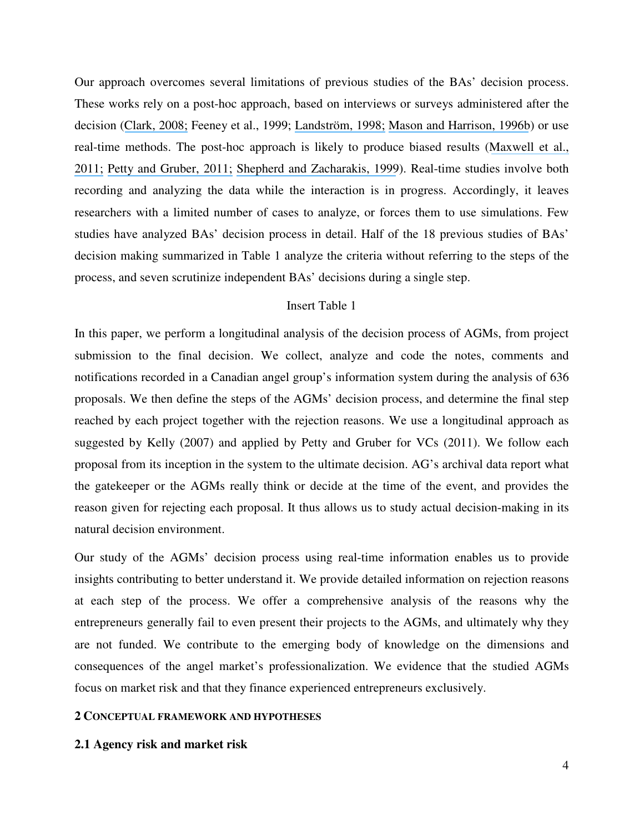Our approach overcomes several limitations of previous studies of the BAs' decision process. These works rely on a post-hoc approach, based on interviews or surveys administered after the decision ([Clark, 2008;](https://www.researchgate.net/publication/247518656_The_Impact_of_Entrepreneurs) Feeney et al., 1999; [Landström, 1998;](https://www.researchgate.net/publication/223010484_Informal_investors_as_entrepreneurs?el=1_x_8&enrichId=rgreq-8af4d9bcdb676e03800bb438f388e717-XXX&enrichSource=Y292ZXJQYWdlOzI3NTY3MTA5NztBUzo0MzEyNTQ3MTg5NDczMjhAMTQ3OTgzMDU0NTU3Nw==) [Mason and Harrison, 1996b](https://www.researchgate.net/publication/247738522_Why_)) or use real-time methods. The post-hoc approach is likely to produce biased results ([Maxwell et al.,](https://www.researchgate.net/publication/227418352_Business_Angel_Early_Stage_Decision_Making?el=1_x_8&enrichId=rgreq-8af4d9bcdb676e03800bb438f388e717-XXX&enrichSource=Y292ZXJQYWdlOzI3NTY3MTA5NztBUzo0MzEyNTQ3MTg5NDczMjhAMTQ3OTgzMDU0NTU3Nw==) [2011;](https://www.researchgate.net/publication/227418352_Business_Angel_Early_Stage_Decision_Making?el=1_x_8&enrichId=rgreq-8af4d9bcdb676e03800bb438f388e717-XXX&enrichSource=Y292ZXJQYWdlOzI3NTY3MTA5NztBUzo0MzEyNTQ3MTg5NDczMjhAMTQ3OTgzMDU0NTU3Nw==) [Petty and Gruber, 2011;](https://www.researchgate.net/publication/222328219_In_pursuit_of_the_real_deal_A_longitudinal_study_of_VC_decision_making?el=1_x_8&enrichId=rgreq-8af4d9bcdb676e03800bb438f388e717-XXX&enrichSource=Y292ZXJQYWdlOzI3NTY3MTA5NztBUzo0MzEyNTQ3MTg5NDczMjhAMTQ3OTgzMDU0NTU3Nw==) [Shepherd and Zacharakis, 1999](https://www.researchgate.net/publication/261668092_Conjoint_Analysis_A_New_Methodological_Approach_for_Researching_the_Decision_Policies_of_Venture_Capitalists?el=1_x_8&enrichId=rgreq-8af4d9bcdb676e03800bb438f388e717-XXX&enrichSource=Y292ZXJQYWdlOzI3NTY3MTA5NztBUzo0MzEyNTQ3MTg5NDczMjhAMTQ3OTgzMDU0NTU3Nw==)). Real-time studies involve both recording and analyzing the data while the interaction is in progress. Accordingly, it leaves researchers with a limited number of cases to analyze, or forces them to use simulations. Few studies have analyzed BAs' decision process in detail. Half of the 18 previous studies of BAs' decision making summarized in Table 1 analyze the criteria without referring to the steps of the process, and seven scrutinize independent BAs' decisions during a single step.

# Insert Table 1

In this paper, we perform a longitudinal analysis of the decision process of AGMs, from project submission to the final decision. We collect, analyze and code the notes, comments and notifications recorded in a Canadian angel group's information system during the analysis of 636 proposals. We then define the steps of the AGMs' decision process, and determine the final step reached by each project together with the rejection reasons. We use a longitudinal approach as suggested by Kelly (2007) and applied by Petty and Gruber for VCs (2011). We follow each proposal from its inception in the system to the ultimate decision. AG's archival data report what the gatekeeper or the AGMs really think or decide at the time of the event, and provides the reason given for rejecting each proposal. It thus allows us to study actual decision-making in its natural decision environment.

Our study of the AGMs' decision process using real-time information enables us to provide insights contributing to better understand it. We provide detailed information on rejection reasons at each step of the process. We offer a comprehensive analysis of the reasons why the entrepreneurs generally fail to even present their projects to the AGMs, and ultimately why they are not funded. We contribute to the emerging body of knowledge on the dimensions and consequences of the angel market's professionalization. We evidence that the studied AGMs focus on market risk and that they finance experienced entrepreneurs exclusively.

# **2 CONCEPTUAL FRAMEWORK AND HYPOTHESES**

# **2.1 Agency risk and market risk**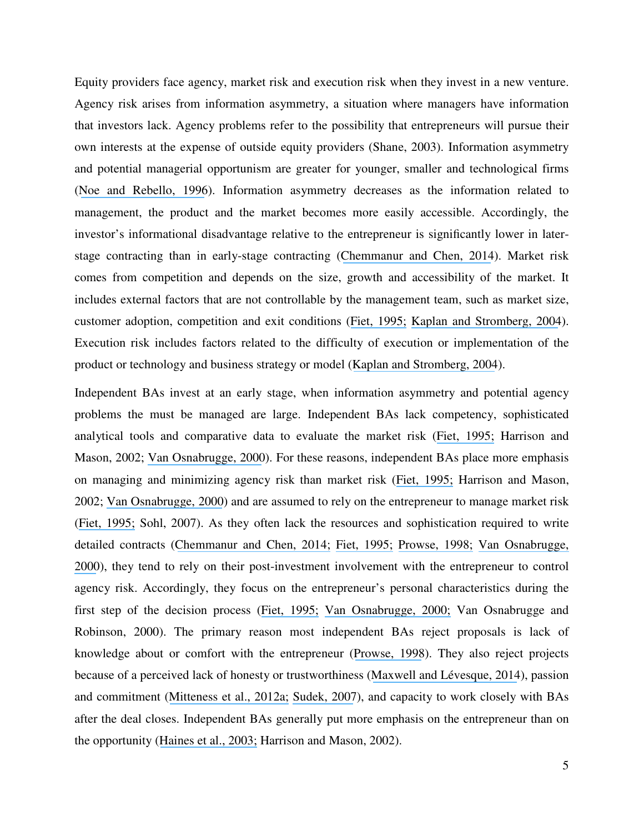Equity providers face agency, market risk and execution risk when they invest in a new venture. Agency risk arises from information asymmetry, a situation where managers have information that investors lack. Agency problems refer to the possibility that entrepreneurs will pursue their own interests at the expense of outside equity providers (Shane, 2003). Information asymmetry and potential managerial opportunism are greater for younger, smaller and technological firms ([Noe and Rebello, 1996](https://www.researchgate.net/publication/4912850_Asymmetric_Information_Managerial_Opportunism_Financing_and_Payout_Policies?el=1_x_8&enrichId=rgreq-8af4d9bcdb676e03800bb438f388e717-XXX&enrichSource=Y292ZXJQYWdlOzI3NTY3MTA5NztBUzo0MzEyNTQ3MTg5NDczMjhAMTQ3OTgzMDU0NTU3Nw==)). Information asymmetry decreases as the information related to management, the product and the market becomes more easily accessible. Accordingly, the investor's informational disadvantage relative to the entrepreneur is significantly lower in laterstage contracting than in early-stage contracting ([Chemmanur and Chen, 2014](https://www.researchgate.net/publication/228253569_Venture_Capitalists_Versus_Angels_The_Dynamics_of_Private_Firm_Financing_Contracts?el=1_x_8&enrichId=rgreq-8af4d9bcdb676e03800bb438f388e717-XXX&enrichSource=Y292ZXJQYWdlOzI3NTY3MTA5NztBUzo0MzEyNTQ3MTg5NDczMjhAMTQ3OTgzMDU0NTU3Nw==)). Market risk comes from competition and depends on the size, growth and accessibility of the market. It includes external factors that are not controllable by the management team, such as market size, customer adoption, competition and exit conditions ([Fiet, 1995;](https://www.researchgate.net/publication/229690429_Risk_Avoidance_Strategies_in_Venture_Capital_Markets?el=1_x_8&enrichId=rgreq-8af4d9bcdb676e03800bb438f388e717-XXX&enrichSource=Y292ZXJQYWdlOzI3NTY3MTA5NztBUzo0MzEyNTQ3MTg5NDczMjhAMTQ3OTgzMDU0NTU3Nw==) [Kaplan and Stromberg, 2004](https://www.researchgate.net/publication/227500571_Characteristics_Contracts_and_Actions_Evidence_From_Venture_Capitalist_Analyses?el=1_x_8&enrichId=rgreq-8af4d9bcdb676e03800bb438f388e717-XXX&enrichSource=Y292ZXJQYWdlOzI3NTY3MTA5NztBUzo0MzEyNTQ3MTg5NDczMjhAMTQ3OTgzMDU0NTU3Nw==)). Execution risk includes factors related to the difficulty of execution or implementation of the product or technology and business strategy or model ([Kaplan and Stromberg, 2004](https://www.researchgate.net/publication/227500571_Characteristics_Contracts_and_Actions_Evidence_From_Venture_Capitalist_Analyses?el=1_x_8&enrichId=rgreq-8af4d9bcdb676e03800bb438f388e717-XXX&enrichSource=Y292ZXJQYWdlOzI3NTY3MTA5NztBUzo0MzEyNTQ3MTg5NDczMjhAMTQ3OTgzMDU0NTU3Nw==)).

Independent BAs invest at an early stage, when information asymmetry and potential agency problems the must be managed are large. Independent BAs lack competency, sophisticated analytical tools and comparative data to evaluate the market risk ([Fiet, 1995;](https://www.researchgate.net/publication/229690429_Risk_Avoidance_Strategies_in_Venture_Capital_Markets?el=1_x_8&enrichId=rgreq-8af4d9bcdb676e03800bb438f388e717-XXX&enrichSource=Y292ZXJQYWdlOzI3NTY3MTA5NztBUzo0MzEyNTQ3MTg5NDczMjhAMTQ3OTgzMDU0NTU3Nw==) Harrison and Mason, 2002; [Van Osnabrugge, 2000](https://www.researchgate.net/publication/247510983_A_Comparison_of_Business_Angel_and_Venture_Capitalist_Investment_Procedures_An_Agency_Theory-Based_Analysis?el=1_x_8&enrichId=rgreq-8af4d9bcdb676e03800bb438f388e717-XXX&enrichSource=Y292ZXJQYWdlOzI3NTY3MTA5NztBUzo0MzEyNTQ3MTg5NDczMjhAMTQ3OTgzMDU0NTU3Nw==)). For these reasons, independent BAs place more emphasis on managing and minimizing agency risk than market risk ([Fiet, 1995;](https://www.researchgate.net/publication/229690429_Risk_Avoidance_Strategies_in_Venture_Capital_Markets?el=1_x_8&enrichId=rgreq-8af4d9bcdb676e03800bb438f388e717-XXX&enrichSource=Y292ZXJQYWdlOzI3NTY3MTA5NztBUzo0MzEyNTQ3MTg5NDczMjhAMTQ3OTgzMDU0NTU3Nw==) Harrison and Mason, 2002; [Van Osnabrugge, 2000](https://www.researchgate.net/publication/247510983_A_Comparison_of_Business_Angel_and_Venture_Capitalist_Investment_Procedures_An_Agency_Theory-Based_Analysis?el=1_x_8&enrichId=rgreq-8af4d9bcdb676e03800bb438f388e717-XXX&enrichSource=Y292ZXJQYWdlOzI3NTY3MTA5NztBUzo0MzEyNTQ3MTg5NDczMjhAMTQ3OTgzMDU0NTU3Nw==)) and are assumed to rely on the entrepreneur to manage market risk ([Fiet, 1995;](https://www.researchgate.net/publication/229690429_Risk_Avoidance_Strategies_in_Venture_Capital_Markets?el=1_x_8&enrichId=rgreq-8af4d9bcdb676e03800bb438f388e717-XXX&enrichSource=Y292ZXJQYWdlOzI3NTY3MTA5NztBUzo0MzEyNTQ3MTg5NDczMjhAMTQ3OTgzMDU0NTU3Nw==) Sohl, 2007). As they often lack the resources and sophistication required to write detailed contracts ([Chemmanur and Chen, 2014;](https://www.researchgate.net/publication/228253569_Venture_Capitalists_Versus_Angels_The_Dynamics_of_Private_Firm_Financing_Contracts?el=1_x_8&enrichId=rgreq-8af4d9bcdb676e03800bb438f388e717-XXX&enrichSource=Y292ZXJQYWdlOzI3NTY3MTA5NztBUzo0MzEyNTQ3MTg5NDczMjhAMTQ3OTgzMDU0NTU3Nw==) [Fiet, 1995;](https://www.researchgate.net/publication/229690429_Risk_Avoidance_Strategies_in_Venture_Capital_Markets?el=1_x_8&enrichId=rgreq-8af4d9bcdb676e03800bb438f388e717-XXX&enrichSource=Y292ZXJQYWdlOzI3NTY3MTA5NztBUzo0MzEyNTQ3MTg5NDczMjhAMTQ3OTgzMDU0NTU3Nw==) [Prowse, 1998;](https://www.researchgate.net/publication/222856935_Angel_Investors_and_the_Market_for_Angel_Investments?el=1_x_8&enrichId=rgreq-8af4d9bcdb676e03800bb438f388e717-XXX&enrichSource=Y292ZXJQYWdlOzI3NTY3MTA5NztBUzo0MzEyNTQ3MTg5NDczMjhAMTQ3OTgzMDU0NTU3Nw==) [Van Osnabrugge,](https://www.researchgate.net/publication/247510983_A_Comparison_of_Business_Angel_and_Venture_Capitalist_Investment_Procedures_An_Agency_Theory-Based_Analysis?el=1_x_8&enrichId=rgreq-8af4d9bcdb676e03800bb438f388e717-XXX&enrichSource=Y292ZXJQYWdlOzI3NTY3MTA5NztBUzo0MzEyNTQ3MTg5NDczMjhAMTQ3OTgzMDU0NTU3Nw==) [2000](https://www.researchgate.net/publication/247510983_A_Comparison_of_Business_Angel_and_Venture_Capitalist_Investment_Procedures_An_Agency_Theory-Based_Analysis?el=1_x_8&enrichId=rgreq-8af4d9bcdb676e03800bb438f388e717-XXX&enrichSource=Y292ZXJQYWdlOzI3NTY3MTA5NztBUzo0MzEyNTQ3MTg5NDczMjhAMTQ3OTgzMDU0NTU3Nw==)), they tend to rely on their post-investment involvement with the entrepreneur to control agency risk. Accordingly, they focus on the entrepreneur's personal characteristics during the first step of the decision process ([Fiet, 1995;](https://www.researchgate.net/publication/229690429_Risk_Avoidance_Strategies_in_Venture_Capital_Markets?el=1_x_8&enrichId=rgreq-8af4d9bcdb676e03800bb438f388e717-XXX&enrichSource=Y292ZXJQYWdlOzI3NTY3MTA5NztBUzo0MzEyNTQ3MTg5NDczMjhAMTQ3OTgzMDU0NTU3Nw==) [Van Osnabrugge, 2000;](https://www.researchgate.net/publication/247510983_A_Comparison_of_Business_Angel_and_Venture_Capitalist_Investment_Procedures_An_Agency_Theory-Based_Analysis?el=1_x_8&enrichId=rgreq-8af4d9bcdb676e03800bb438f388e717-XXX&enrichSource=Y292ZXJQYWdlOzI3NTY3MTA5NztBUzo0MzEyNTQ3MTg5NDczMjhAMTQ3OTgzMDU0NTU3Nw==) Van Osnabrugge and Robinson, 2000). The primary reason most independent BAs reject proposals is lack of knowledge about or comfort with the entrepreneur ([Prowse, 1998](https://www.researchgate.net/publication/222856935_Angel_Investors_and_the_Market_for_Angel_Investments?el=1_x_8&enrichId=rgreq-8af4d9bcdb676e03800bb438f388e717-XXX&enrichSource=Y292ZXJQYWdlOzI3NTY3MTA5NztBUzo0MzEyNTQ3MTg5NDczMjhAMTQ3OTgzMDU0NTU3Nw==)). They also reject projects because of a perceived lack of honesty or trustworthiness ([Maxwell and Lévesque, 2014](https://www.researchgate.net/publication/264454437_Trustworthiness_A_Critical_Ingredient_for_Entrepreneurs_Seeking_Investors?el=1_x_8&enrichId=rgreq-8af4d9bcdb676e03800bb438f388e717-XXX&enrichSource=Y292ZXJQYWdlOzI3NTY3MTA5NztBUzo0MzEyNTQ3MTg5NDczMjhAMTQ3OTgzMDU0NTU3Nw==)), passion and commitment ([Mitteness et al., 2012a;](https://www.researchgate.net/publication/257266752_Investor_characteristics_that_determine_whether_perceived_passion_leads_to_higher_evaluations_of_funding_potential?el=1_x_8&enrichId=rgreq-8af4d9bcdb676e03800bb438f388e717-XXX&enrichSource=Y292ZXJQYWdlOzI3NTY3MTA5NztBUzo0MzEyNTQ3MTg5NDczMjhAMTQ3OTgzMDU0NTU3Nw==) [Sudek, 2007](https://www.researchgate.net/publication/228636810_Angel_investment_criteria?el=1_x_8&enrichId=rgreq-8af4d9bcdb676e03800bb438f388e717-XXX&enrichSource=Y292ZXJQYWdlOzI3NTY3MTA5NztBUzo0MzEyNTQ3MTg5NDczMjhAMTQ3OTgzMDU0NTU3Nw==)), and capacity to work closely with BAs after the deal closes. Independent BAs generally put more emphasis on the entrepreneur than on the opportunity ([Haines et al., 2003;](https://www.researchgate.net/publication/271822439_Informal_Investment_in_Canada_Financing_Small_Business_Growth?el=1_x_8&enrichId=rgreq-8af4d9bcdb676e03800bb438f388e717-XXX&enrichSource=Y292ZXJQYWdlOzI3NTY3MTA5NztBUzo0MzEyNTQ3MTg5NDczMjhAMTQ3OTgzMDU0NTU3Nw==) Harrison and Mason, 2002).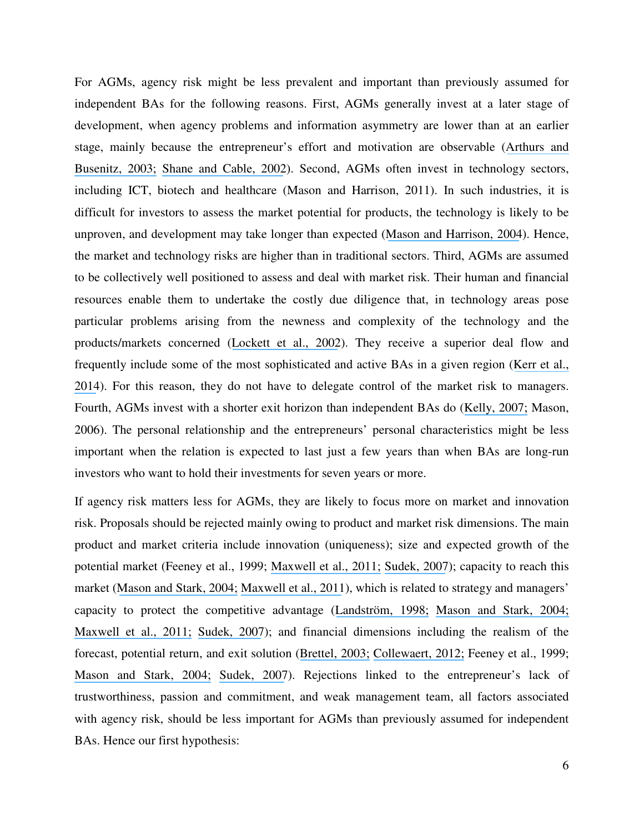For AGMs, agency risk might be less prevalent and important than previously assumed for independent BAs for the following reasons. First, AGMs generally invest at a later stage of development, when agency problems and information asymmetry are lower than at an earlier stage, mainly because the entrepreneur's effort and motivation are observable ([Arthurs and](https://www.researchgate.net/publication/227761037_The_Boundaries_and_Limitations_of_Agency_Theory_and_Stewardship_Theory_in_the_Venture_CapitalistEntrepreneur_Relationship?el=1_x_8&enrichId=rgreq-8af4d9bcdb676e03800bb438f388e717-XXX&enrichSource=Y292ZXJQYWdlOzI3NTY3MTA5NztBUzo0MzEyNTQ3MTg5NDczMjhAMTQ3OTgzMDU0NTU3Nw==) [Busenitz, 2003;](https://www.researchgate.net/publication/227761037_The_Boundaries_and_Limitations_of_Agency_Theory_and_Stewardship_Theory_in_the_Venture_CapitalistEntrepreneur_Relationship?el=1_x_8&enrichId=rgreq-8af4d9bcdb676e03800bb438f388e717-XXX&enrichSource=Y292ZXJQYWdlOzI3NTY3MTA5NztBUzo0MzEyNTQ3MTg5NDczMjhAMTQ3OTgzMDU0NTU3Nw==) [Shane and Cable, 2002](https://www.researchgate.net/publication/284401749_Network_ties_reputation_and_the_financing_of_new_ventures?el=1_x_8&enrichId=rgreq-8af4d9bcdb676e03800bb438f388e717-XXX&enrichSource=Y292ZXJQYWdlOzI3NTY3MTA5NztBUzo0MzEyNTQ3MTg5NDczMjhAMTQ3OTgzMDU0NTU3Nw==)). Second, AGMs often invest in technology sectors, including ICT, biotech and healthcare (Mason and Harrison, 2011). In such industries, it is difficult for investors to assess the market potential for products, the technology is likely to be unproven, and development may take longer than expected ([Mason and Harrison, 2004](https://www.researchgate.net/publication/240238955_Does_investing_in_technology-based_firms_involve_higher_risk_An_exploratory_study_of_the_performance_of_technology_and_non-technology_investments_by_business_angels?el=1_x_8&enrichId=rgreq-8af4d9bcdb676e03800bb438f388e717-XXX&enrichSource=Y292ZXJQYWdlOzI3NTY3MTA5NztBUzo0MzEyNTQ3MTg5NDczMjhAMTQ3OTgzMDU0NTU3Nw==)). Hence, the market and technology risks are higher than in traditional sectors. Third, AGMs are assumed to be collectively well positioned to assess and deal with market risk. Their human and financial resources enable them to undertake the costly due diligence that, in technology areas pose particular problems arising from the newness and complexity of the technology and the products/markets concerned ([Lockett et al., 2002](https://www.researchgate.net/publication/223597969_Do_UK_venture_capitalists_still_have_a_bias_against_investment_in_new_technology_firms?el=1_x_8&enrichId=rgreq-8af4d9bcdb676e03800bb438f388e717-XXX&enrichSource=Y292ZXJQYWdlOzI3NTY3MTA5NztBUzo0MzEyNTQ3MTg5NDczMjhAMTQ3OTgzMDU0NTU3Nw==)). They receive a superior deal flow and frequently include some of the most sophisticated and active BAs in a given region ([Kerr et al.,](https://www.researchgate.net/publication/279415335_The_Consequences_of_Entrepreneurial_Finance_Evidence_from_Angel_Financings?el=1_x_8&enrichId=rgreq-8af4d9bcdb676e03800bb438f388e717-XXX&enrichSource=Y292ZXJQYWdlOzI3NTY3MTA5NztBUzo0MzEyNTQ3MTg5NDczMjhAMTQ3OTgzMDU0NTU3Nw==) [2014](https://www.researchgate.net/publication/279415335_The_Consequences_of_Entrepreneurial_Finance_Evidence_from_Angel_Financings?el=1_x_8&enrichId=rgreq-8af4d9bcdb676e03800bb438f388e717-XXX&enrichSource=Y292ZXJQYWdlOzI3NTY3MTA5NztBUzo0MzEyNTQ3MTg5NDczMjhAMTQ3OTgzMDU0NTU3Nw==)). For this reason, they do not have to delegate control of the market risk to managers. Fourth, AGMs invest with a shorter exit horizon than independent BAs do ([Kelly, 2007;](https://www.researchgate.net/publication/288160607_Business_angel_research_The_road_traveled_and_the_journey_ahead?el=1_x_8&enrichId=rgreq-8af4d9bcdb676e03800bb438f388e717-XXX&enrichSource=Y292ZXJQYWdlOzI3NTY3MTA5NztBUzo0MzEyNTQ3MTg5NDczMjhAMTQ3OTgzMDU0NTU3Nw==) Mason, 2006). The personal relationship and the entrepreneurs' personal characteristics might be less important when the relation is expected to last just a few years than when BAs are long-run investors who want to hold their investments for seven years or more.

If agency risk matters less for AGMs, they are likely to focus more on market and innovation risk. Proposals should be rejected mainly owing to product and market risk dimensions. The main product and market criteria include innovation (uniqueness); size and expected growth of the potential market (Feeney et al., 1999; [Maxwell et al., 2011;](https://www.researchgate.net/publication/227418352_Business_Angel_Early_Stage_Decision_Making?el=1_x_8&enrichId=rgreq-8af4d9bcdb676e03800bb438f388e717-XXX&enrichSource=Y292ZXJQYWdlOzI3NTY3MTA5NztBUzo0MzEyNTQ3MTg5NDczMjhAMTQ3OTgzMDU0NTU3Nw==) [Sudek, 2007](https://www.researchgate.net/publication/228636810_Angel_investment_criteria?el=1_x_8&enrichId=rgreq-8af4d9bcdb676e03800bb438f388e717-XXX&enrichSource=Y292ZXJQYWdlOzI3NTY3MTA5NztBUzo0MzEyNTQ3MTg5NDczMjhAMTQ3OTgzMDU0NTU3Nw==)); capacity to reach this market ([Mason and Stark, 2004;](https://www.researchgate.net/publication/247738793_What_do_Investors_Look_for_in_a_Business_Plan_A_Comparison_of_the_Investment_Criteria_of_Bankers_Venture_Capitalists_and_Business_Angels?el=1_x_8&enrichId=rgreq-8af4d9bcdb676e03800bb438f388e717-XXX&enrichSource=Y292ZXJQYWdlOzI3NTY3MTA5NztBUzo0MzEyNTQ3MTg5NDczMjhAMTQ3OTgzMDU0NTU3Nw==) [Maxwell et al., 2011](https://www.researchgate.net/publication/227418352_Business_Angel_Early_Stage_Decision_Making?el=1_x_8&enrichId=rgreq-8af4d9bcdb676e03800bb438f388e717-XXX&enrichSource=Y292ZXJQYWdlOzI3NTY3MTA5NztBUzo0MzEyNTQ3MTg5NDczMjhAMTQ3OTgzMDU0NTU3Nw==)), which is related to strategy and managers' capacity to protect the competitive advantage ([Landström, 1998;](https://www.researchgate.net/publication/223010484_Informal_investors_as_entrepreneurs?el=1_x_8&enrichId=rgreq-8af4d9bcdb676e03800bb438f388e717-XXX&enrichSource=Y292ZXJQYWdlOzI3NTY3MTA5NztBUzo0MzEyNTQ3MTg5NDczMjhAMTQ3OTgzMDU0NTU3Nw==) [Mason and Stark, 2004;](https://www.researchgate.net/publication/247738793_What_do_Investors_Look_for_in_a_Business_Plan_A_Comparison_of_the_Investment_Criteria_of_Bankers_Venture_Capitalists_and_Business_Angels?el=1_x_8&enrichId=rgreq-8af4d9bcdb676e03800bb438f388e717-XXX&enrichSource=Y292ZXJQYWdlOzI3NTY3MTA5NztBUzo0MzEyNTQ3MTg5NDczMjhAMTQ3OTgzMDU0NTU3Nw==) [Maxwell et al., 2011;](https://www.researchgate.net/publication/227418352_Business_Angel_Early_Stage_Decision_Making?el=1_x_8&enrichId=rgreq-8af4d9bcdb676e03800bb438f388e717-XXX&enrichSource=Y292ZXJQYWdlOzI3NTY3MTA5NztBUzo0MzEyNTQ3MTg5NDczMjhAMTQ3OTgzMDU0NTU3Nw==) [Sudek, 2007](https://www.researchgate.net/publication/228636810_Angel_investment_criteria?el=1_x_8&enrichId=rgreq-8af4d9bcdb676e03800bb438f388e717-XXX&enrichSource=Y292ZXJQYWdlOzI3NTY3MTA5NztBUzo0MzEyNTQ3MTg5NDczMjhAMTQ3OTgzMDU0NTU3Nw==)); and financial dimensions including the realism of the forecast, potential return, and exit solution [\(Brettel, 2003;](https://www.researchgate.net/publication/247511932_Business_angels_in_Germany_A_research_note?el=1_x_8&enrichId=rgreq-8af4d9bcdb676e03800bb438f388e717-XXX&enrichSource=Y292ZXJQYWdlOzI3NTY3MTA5NztBUzo0MzEyNTQ3MTg5NDczMjhAMTQ3OTgzMDU0NTU3Nw==) [Collewaert, 2012;](https://www.researchgate.net/publication/228240324_Angel_Investors) Feeney et al., 1999; [Mason and Stark, 2004;](https://www.researchgate.net/publication/247738793_What_do_Investors_Look_for_in_a_Business_Plan_A_Comparison_of_the_Investment_Criteria_of_Bankers_Venture_Capitalists_and_Business_Angels?el=1_x_8&enrichId=rgreq-8af4d9bcdb676e03800bb438f388e717-XXX&enrichSource=Y292ZXJQYWdlOzI3NTY3MTA5NztBUzo0MzEyNTQ3MTg5NDczMjhAMTQ3OTgzMDU0NTU3Nw==) [Sudek, 2007](https://www.researchgate.net/publication/228636810_Angel_investment_criteria?el=1_x_8&enrichId=rgreq-8af4d9bcdb676e03800bb438f388e717-XXX&enrichSource=Y292ZXJQYWdlOzI3NTY3MTA5NztBUzo0MzEyNTQ3MTg5NDczMjhAMTQ3OTgzMDU0NTU3Nw==)). Rejections linked to the entrepreneur's lack of trustworthiness, passion and commitment, and weak management team, all factors associated with agency risk, should be less important for AGMs than previously assumed for independent BAs. Hence our first hypothesis: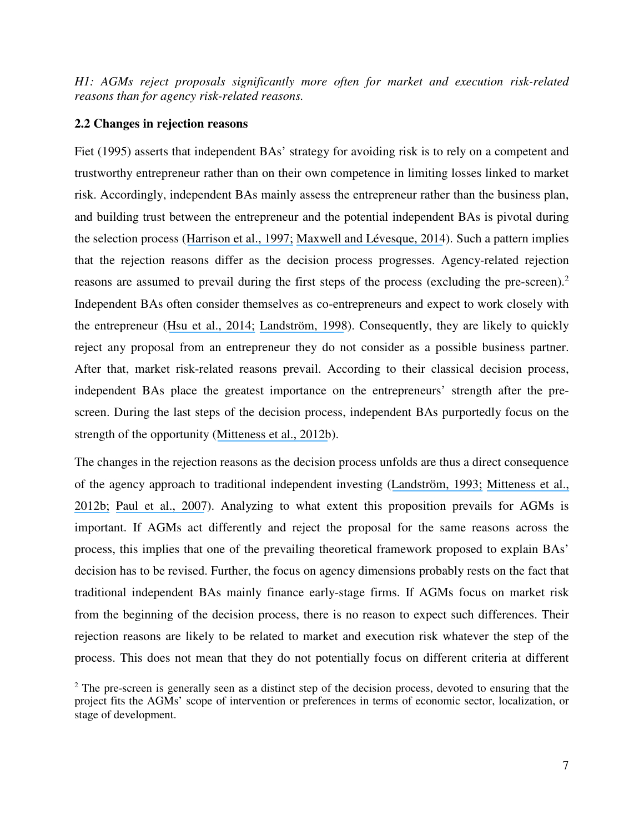*H1: AGMs reject proposals significantly more often for market and execution risk-related reasons than for agency risk-related reasons.* 

# **2.2 Changes in rejection reasons**

Fiet (1995) asserts that independent BAs' strategy for avoiding risk is to rely on a competent and trustworthy entrepreneur rather than on their own competence in limiting losses linked to market risk. Accordingly, independent BAs mainly assess the entrepreneur rather than the business plan, and building trust between the entrepreneur and the potential independent BAs is pivotal during the selection process ([Harrison et al., 1997;](https://www.researchgate.net/publication/284312672_The_role_of_trust_in_the_informal_investor) [Maxwell and Lévesque, 2014](https://www.researchgate.net/publication/264454437_Trustworthiness_A_Critical_Ingredient_for_Entrepreneurs_Seeking_Investors?el=1_x_8&enrichId=rgreq-8af4d9bcdb676e03800bb438f388e717-XXX&enrichSource=Y292ZXJQYWdlOzI3NTY3MTA5NztBUzo0MzEyNTQ3MTg5NDczMjhAMTQ3OTgzMDU0NTU3Nw==)). Such a pattern implies that the rejection reasons differ as the decision process progresses. Agency-related rejection reasons are assumed to prevail during the first steps of the process (excluding the pre-screen).<sup>2</sup> Independent BAs often consider themselves as co-entrepreneurs and expect to work closely with the entrepreneur ([Hsu et al., 2014;](https://www.researchgate.net/publication/259192950_What_matters_matters_differently_a_conjoint_analysis_of_the_decision_policies_of_angel_and_venture_capital_investors?el=1_x_8&enrichId=rgreq-8af4d9bcdb676e03800bb438f388e717-XXX&enrichSource=Y292ZXJQYWdlOzI3NTY3MTA5NztBUzo0MzEyNTQ3MTg5NDczMjhAMTQ3OTgzMDU0NTU3Nw==) [Landström, 1998](https://www.researchgate.net/publication/223010484_Informal_investors_as_entrepreneurs?el=1_x_8&enrichId=rgreq-8af4d9bcdb676e03800bb438f388e717-XXX&enrichSource=Y292ZXJQYWdlOzI3NTY3MTA5NztBUzo0MzEyNTQ3MTg5NDczMjhAMTQ3OTgzMDU0NTU3Nw==)). Consequently, they are likely to quickly reject any proposal from an entrepreneur they do not consider as a possible business partner. After that, market risk-related reasons prevail. According to their classical decision process, independent BAs place the greatest importance on the entrepreneurs' strength after the prescreen. During the last steps of the decision process, independent BAs purportedly focus on the strength of the opportunity ([Mitteness et al., 2012b](https://www.researchgate.net/publication/254325285_Horse_vs_Jockey_How_stage_of_funding_process_and_industry_experience_affect_the_evaluations_of_angel_investors?el=1_x_8&enrichId=rgreq-8af4d9bcdb676e03800bb438f388e717-XXX&enrichSource=Y292ZXJQYWdlOzI3NTY3MTA5NztBUzo0MzEyNTQ3MTg5NDczMjhAMTQ3OTgzMDU0NTU3Nw==)).

The changes in the rejection reasons as the decision process unfolds are thus a direct consequence of the agency approach to traditional independent investing ([Landström, 1993;](https://www.researchgate.net/publication/4968292_Informal_Risk_Capital_In_Sweden_and_Some_International_Comparisons?el=1_x_8&enrichId=rgreq-8af4d9bcdb676e03800bb438f388e717-XXX&enrichSource=Y292ZXJQYWdlOzI3NTY3MTA5NztBUzo0MzEyNTQ3MTg5NDczMjhAMTQ3OTgzMDU0NTU3Nw==) [Mitteness et al.,](https://www.researchgate.net/publication/254325285_Horse_vs_Jockey_How_stage_of_funding_process_and_industry_experience_affect_the_evaluations_of_angel_investors?el=1_x_8&enrichId=rgreq-8af4d9bcdb676e03800bb438f388e717-XXX&enrichSource=Y292ZXJQYWdlOzI3NTY3MTA5NztBUzo0MzEyNTQ3MTg5NDczMjhAMTQ3OTgzMDU0NTU3Nw==) [2012b;](https://www.researchgate.net/publication/254325285_Horse_vs_Jockey_How_stage_of_funding_process_and_industry_experience_affect_the_evaluations_of_angel_investors?el=1_x_8&enrichId=rgreq-8af4d9bcdb676e03800bb438f388e717-XXX&enrichSource=Y292ZXJQYWdlOzI3NTY3MTA5NztBUzo0MzEyNTQ3MTg5NDczMjhAMTQ3OTgzMDU0NTU3Nw==) [Paul et al., 2007](https://www.researchgate.net/publication/247523731_Toward_a_model_of_the_business_angel_investment_process?el=1_x_8&enrichId=rgreq-8af4d9bcdb676e03800bb438f388e717-XXX&enrichSource=Y292ZXJQYWdlOzI3NTY3MTA5NztBUzo0MzEyNTQ3MTg5NDczMjhAMTQ3OTgzMDU0NTU3Nw==)). Analyzing to what extent this proposition prevails for AGMs is important. If AGMs act differently and reject the proposal for the same reasons across the process, this implies that one of the prevailing theoretical framework proposed to explain BAs' decision has to be revised. Further, the focus on agency dimensions probably rests on the fact that traditional independent BAs mainly finance early-stage firms. If AGMs focus on market risk from the beginning of the decision process, there is no reason to expect such differences. Their rejection reasons are likely to be related to market and execution risk whatever the step of the process. This does not mean that they do not potentially focus on different criteria at different

<sup>&</sup>lt;sup>2</sup> The pre-screen is generally seen as a distinct step of the decision process, devoted to ensuring that the project fits the AGMs' scope of intervention or preferences in terms of economic sector, localization, or stage of development.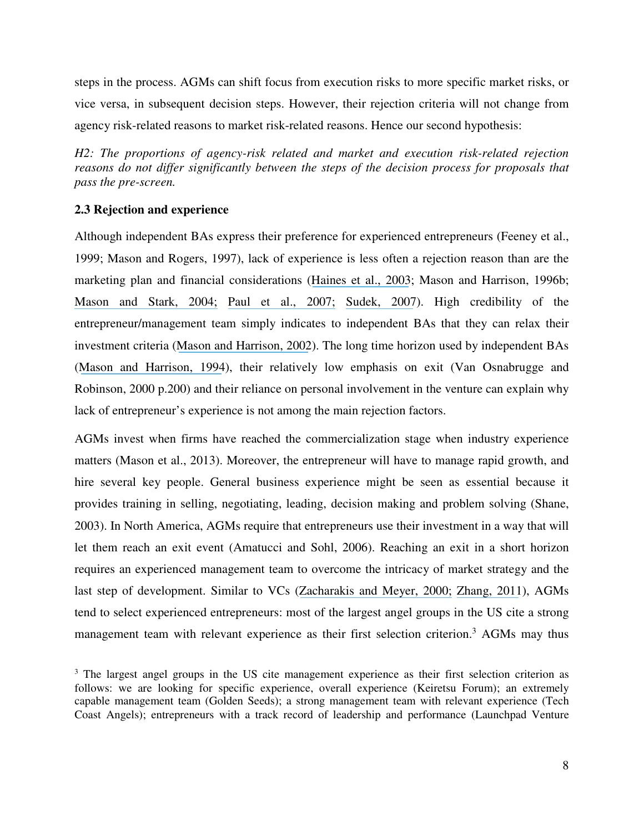steps in the process. AGMs can shift focus from execution risks to more specific market risks, or vice versa, in subsequent decision steps. However, their rejection criteria will not change from agency risk-related reasons to market risk-related reasons. Hence our second hypothesis:

*H2: The proportions of agency-risk related and market and execution risk-related rejection reasons do not differ significantly between the steps of the decision process for proposals that pass the pre-screen.* 

# **2.3 Rejection and experience**

Although independent BAs express their preference for experienced entrepreneurs (Feeney et al., 1999; Mason and Rogers, 1997), lack of experience is less often a rejection reason than are the marketing plan and financial considerations ([Haines et al., 2003](https://www.researchgate.net/publication/271822439_Informal_Investment_in_Canada_Financing_Small_Business_Growth?el=1_x_8&enrichId=rgreq-8af4d9bcdb676e03800bb438f388e717-XXX&enrichSource=Y292ZXJQYWdlOzI3NTY3MTA5NztBUzo0MzEyNTQ3MTg5NDczMjhAMTQ3OTgzMDU0NTU3Nw==); Mason and Harrison, 1996b; [Mason and Stark, 2004;](https://www.researchgate.net/publication/247738793_What_do_Investors_Look_for_in_a_Business_Plan_A_Comparison_of_the_Investment_Criteria_of_Bankers_Venture_Capitalists_and_Business_Angels?el=1_x_8&enrichId=rgreq-8af4d9bcdb676e03800bb438f388e717-XXX&enrichSource=Y292ZXJQYWdlOzI3NTY3MTA5NztBUzo0MzEyNTQ3MTg5NDczMjhAMTQ3OTgzMDU0NTU3Nw==) [Paul et al., 2007;](https://www.researchgate.net/publication/247523731_Toward_a_model_of_the_business_angel_investment_process?el=1_x_8&enrichId=rgreq-8af4d9bcdb676e03800bb438f388e717-XXX&enrichSource=Y292ZXJQYWdlOzI3NTY3MTA5NztBUzo0MzEyNTQ3MTg5NDczMjhAMTQ3OTgzMDU0NTU3Nw==) [Sudek, 2007](https://www.researchgate.net/publication/228636810_Angel_investment_criteria?el=1_x_8&enrichId=rgreq-8af4d9bcdb676e03800bb438f388e717-XXX&enrichSource=Y292ZXJQYWdlOzI3NTY3MTA5NztBUzo0MzEyNTQ3MTg5NDczMjhAMTQ3OTgzMDU0NTU3Nw==)). High credibility of the entrepreneur/management team simply indicates to independent BAs that they can relax their investment criteria ([Mason and Harrison, 2002](https://www.researchgate.net/publication/228876780_Barriers_to_Investment_in_the_Informal_Venture_Capital_Sector?el=1_x_8&enrichId=rgreq-8af4d9bcdb676e03800bb438f388e717-XXX&enrichSource=Y292ZXJQYWdlOzI3NTY3MTA5NztBUzo0MzEyNTQ3MTg5NDczMjhAMTQ3OTgzMDU0NTU3Nw==)). The long time horizon used by independent BAs ([Mason and Harrison, 1994](https://www.researchgate.net/publication/284098214_The_informal_venture_capital_market_in_the_UK?el=1_x_8&enrichId=rgreq-8af4d9bcdb676e03800bb438f388e717-XXX&enrichSource=Y292ZXJQYWdlOzI3NTY3MTA5NztBUzo0MzEyNTQ3MTg5NDczMjhAMTQ3OTgzMDU0NTU3Nw==)), their relatively low emphasis on exit (Van Osnabrugge and Robinson, 2000 p.200) and their reliance on personal involvement in the venture can explain why lack of entrepreneur's experience is not among the main rejection factors.

AGMs invest when firms have reached the commercialization stage when industry experience matters (Mason et al., 2013). Moreover, the entrepreneur will have to manage rapid growth, and hire several key people. General business experience might be seen as essential because it provides training in selling, negotiating, leading, decision making and problem solving (Shane, 2003). In North America, AGMs require that entrepreneurs use their investment in a way that will let them reach an exit event (Amatucci and Sohl, 2006). Reaching an exit in a short horizon requires an experienced management team to overcome the intricacy of market strategy and the last step of development. Similar to VCs ([Zacharakis and Meyer, 2000;](https://www.researchgate.net/publication/4967855_The_potential_of_actuarial_decision_models_Can_they_improve_the_venture_capital_investment_decision?el=1_x_8&enrichId=rgreq-8af4d9bcdb676e03800bb438f388e717-XXX&enrichSource=Y292ZXJQYWdlOzI3NTY3MTA5NztBUzo0MzEyNTQ3MTg5NDczMjhAMTQ3OTgzMDU0NTU3Nw==) [Zhang, 2011](https://www.researchgate.net/publication/5137336_The_Advantage_of_Experienced_Start-Up_Founders_in_Venture_Capital_Acquisition_Evidence_from_Serial_Entrepreneurs?el=1_x_8&enrichId=rgreq-8af4d9bcdb676e03800bb438f388e717-XXX&enrichSource=Y292ZXJQYWdlOzI3NTY3MTA5NztBUzo0MzEyNTQ3MTg5NDczMjhAMTQ3OTgzMDU0NTU3Nw==)), AGMs tend to select experienced entrepreneurs: most of the largest angel groups in the US cite a strong management team with relevant experience as their first selection criterion.<sup>3</sup> AGMs may thus

<sup>&</sup>lt;sup>3</sup> The largest angel groups in the US cite management experience as their first selection criterion as follows: we are looking for specific experience, overall experience (Keiretsu Forum); an extremely capable management team (Golden Seeds); a strong management team with relevant experience (Tech Coast Angels); entrepreneurs with a track record of leadership and performance (Launchpad Venture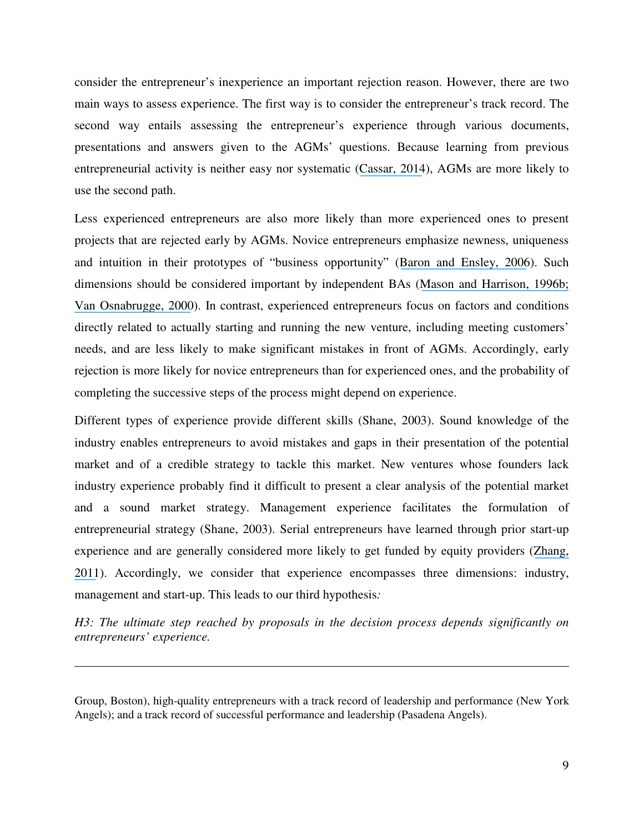consider the entrepreneur's inexperience an important rejection reason. However, there are two main ways to assess experience. The first way is to consider the entrepreneur's track record. The second way entails assessing the entrepreneur's experience through various documents, presentations and answers given to the AGMs' questions. Because learning from previous entrepreneurial activity is neither easy nor systematic ([Cassar, 2014](https://www.researchgate.net/publication/228171621_Industry_and_Startup_Experience_on_Entrepreneur_Forecast_Performance_in_New_Firms?el=1_x_8&enrichId=rgreq-8af4d9bcdb676e03800bb438f388e717-XXX&enrichSource=Y292ZXJQYWdlOzI3NTY3MTA5NztBUzo0MzEyNTQ3MTg5NDczMjhAMTQ3OTgzMDU0NTU3Nw==)), AGMs are more likely to use the second path.

Less experienced entrepreneurs are also more likely than more experienced ones to present projects that are rejected early by AGMs. Novice entrepreneurs emphasize newness, uniqueness and intuition in their prototypes of "business opportunity" ([Baron and Ensley, 2006](https://www.researchgate.net/publication/220534920_Opportunity_Recognition_as_the_Detection_of_Meaningful_Patterns_Evidence_from_Comparisons_of_Novice_and_Experienced_Entrepreneurs?el=1_x_8&enrichId=rgreq-8af4d9bcdb676e03800bb438f388e717-XXX&enrichSource=Y292ZXJQYWdlOzI3NTY3MTA5NztBUzo0MzEyNTQ3MTg5NDczMjhAMTQ3OTgzMDU0NTU3Nw==)). Such dimensions should be considered important by independent BAs ([Mason and Harrison, 1996b;](https://www.researchgate.net/publication/247738522_Why_) [Van Osnabrugge, 2000](https://www.researchgate.net/publication/247510983_A_Comparison_of_Business_Angel_and_Venture_Capitalist_Investment_Procedures_An_Agency_Theory-Based_Analysis?el=1_x_8&enrichId=rgreq-8af4d9bcdb676e03800bb438f388e717-XXX&enrichSource=Y292ZXJQYWdlOzI3NTY3MTA5NztBUzo0MzEyNTQ3MTg5NDczMjhAMTQ3OTgzMDU0NTU3Nw==)). In contrast, experienced entrepreneurs focus on factors and conditions directly related to actually starting and running the new venture, including meeting customers' needs, and are less likely to make significant mistakes in front of AGMs. Accordingly, early rejection is more likely for novice entrepreneurs than for experienced ones, and the probability of completing the successive steps of the process might depend on experience.

Different types of experience provide different skills (Shane, 2003). Sound knowledge of the industry enables entrepreneurs to avoid mistakes and gaps in their presentation of the potential market and of a credible strategy to tackle this market. New ventures whose founders lack industry experience probably find it difficult to present a clear analysis of the potential market and a sound market strategy. Management experience facilitates the formulation of entrepreneurial strategy (Shane, 2003). Serial entrepreneurs have learned through prior start-up experience and are generally considered more likely to get funded by equity providers ([Zhang,](https://www.researchgate.net/publication/5137336_The_Advantage_of_Experienced_Start-Up_Founders_in_Venture_Capital_Acquisition_Evidence_from_Serial_Entrepreneurs?el=1_x_8&enrichId=rgreq-8af4d9bcdb676e03800bb438f388e717-XXX&enrichSource=Y292ZXJQYWdlOzI3NTY3MTA5NztBUzo0MzEyNTQ3MTg5NDczMjhAMTQ3OTgzMDU0NTU3Nw==) [2011](https://www.researchgate.net/publication/5137336_The_Advantage_of_Experienced_Start-Up_Founders_in_Venture_Capital_Acquisition_Evidence_from_Serial_Entrepreneurs?el=1_x_8&enrichId=rgreq-8af4d9bcdb676e03800bb438f388e717-XXX&enrichSource=Y292ZXJQYWdlOzI3NTY3MTA5NztBUzo0MzEyNTQ3MTg5NDczMjhAMTQ3OTgzMDU0NTU3Nw==)). Accordingly, we consider that experience encompasses three dimensions: industry, management and start-up. This leads to our third hypothesis*:* 

*H3: The ultimate step reached by proposals in the decision process depends significantly on entrepreneurs' experience.*

 $\overline{a}$ 

Group, Boston), high-quality entrepreneurs with a track record of leadership and performance (New York Angels); and a track record of successful performance and leadership (Pasadena Angels).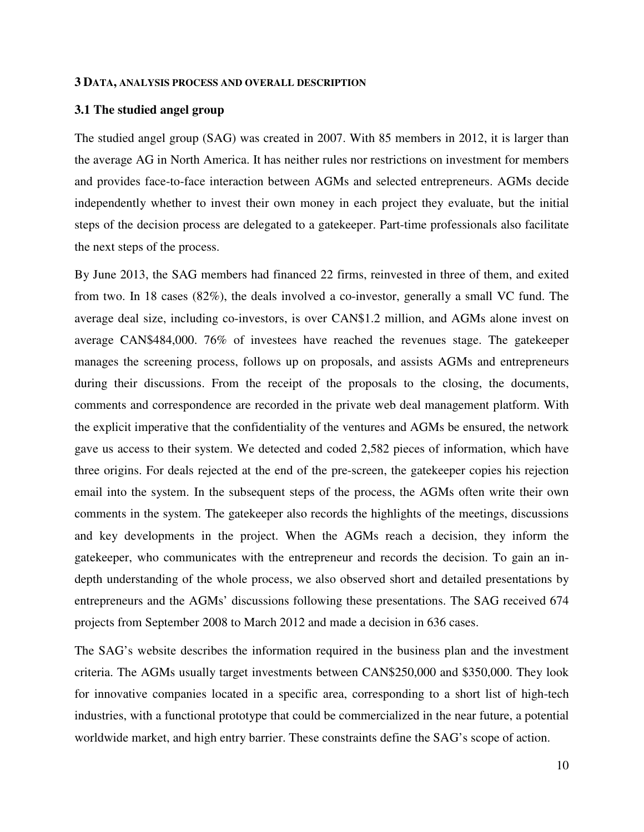#### **3 DATA, ANALYSIS PROCESS AND OVERALL DESCRIPTION**

# **3.1 The studied angel group**

The studied angel group (SAG) was created in 2007. With 85 members in 2012, it is larger than the average AG in North America. It has neither rules nor restrictions on investment for members and provides face-to-face interaction between AGMs and selected entrepreneurs. AGMs decide independently whether to invest their own money in each project they evaluate, but the initial steps of the decision process are delegated to a gatekeeper. Part-time professionals also facilitate the next steps of the process.

By June 2013, the SAG members had financed 22 firms, reinvested in three of them, and exited from two. In 18 cases (82%), the deals involved a co-investor, generally a small VC fund. The average deal size, including co-investors, is over CAN\$1.2 million, and AGMs alone invest on average CAN\$484,000. 76% of investees have reached the revenues stage. The gatekeeper manages the screening process, follows up on proposals, and assists AGMs and entrepreneurs during their discussions. From the receipt of the proposals to the closing, the documents, comments and correspondence are recorded in the private web deal management platform. With the explicit imperative that the confidentiality of the ventures and AGMs be ensured, the network gave us access to their system. We detected and coded 2,582 pieces of information, which have three origins. For deals rejected at the end of the pre-screen, the gatekeeper copies his rejection email into the system. In the subsequent steps of the process, the AGMs often write their own comments in the system. The gatekeeper also records the highlights of the meetings, discussions and key developments in the project. When the AGMs reach a decision, they inform the gatekeeper, who communicates with the entrepreneur and records the decision. To gain an indepth understanding of the whole process, we also observed short and detailed presentations by entrepreneurs and the AGMs' discussions following these presentations. The SAG received 674 projects from September 2008 to March 2012 and made a decision in 636 cases.

The SAG's website describes the information required in the business plan and the investment criteria. The AGMs usually target investments between CAN\$250,000 and \$350,000. They look for innovative companies located in a specific area, corresponding to a short list of high-tech industries, with a functional prototype that could be commercialized in the near future, a potential worldwide market, and high entry barrier. These constraints define the SAG's scope of action.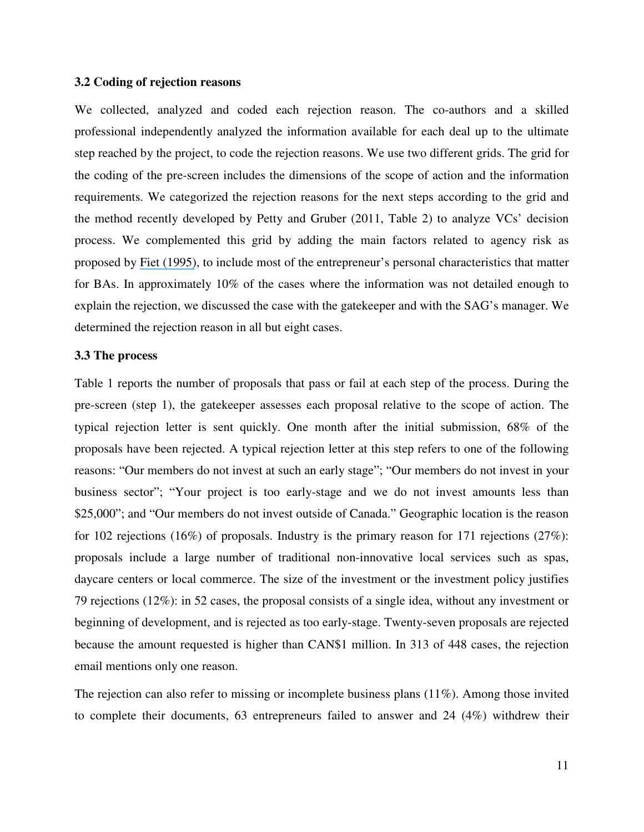# **3.2 Coding of rejection reasons**

We collected, analyzed and coded each rejection reason. The co-authors and a skilled professional independently analyzed the information available for each deal up to the ultimate step reached by the project, to code the rejection reasons. We use two different grids. The grid for the coding of the pre-screen includes the dimensions of the scope of action and the information requirements. We categorized the rejection reasons for the next steps according to the grid and the method recently developed by Petty and Gruber (2011, Table 2) to analyze VCs' decision process. We complemented this grid by adding the main factors related to agency risk as proposed by [Fiet \(1995\)](https://www.researchgate.net/publication/229690429_Risk_Avoidance_Strategies_in_Venture_Capital_Markets?el=1_x_8&enrichId=rgreq-8af4d9bcdb676e03800bb438f388e717-XXX&enrichSource=Y292ZXJQYWdlOzI3NTY3MTA5NztBUzo0MzEyNTQ3MTg5NDczMjhAMTQ3OTgzMDU0NTU3Nw==), to include most of the entrepreneur's personal characteristics that matter for BAs. In approximately 10% of the cases where the information was not detailed enough to explain the rejection, we discussed the case with the gatekeeper and with the SAG's manager. We determined the rejection reason in all but eight cases.

#### **3.3 The process**

Table 1 reports the number of proposals that pass or fail at each step of the process. During the pre-screen (step 1), the gatekeeper assesses each proposal relative to the scope of action. The typical rejection letter is sent quickly. One month after the initial submission, 68% of the proposals have been rejected. A typical rejection letter at this step refers to one of the following reasons: "Our members do not invest at such an early stage"; "Our members do not invest in your business sector"; "Your project is too early-stage and we do not invest amounts less than \$25,000"; and "Our members do not invest outside of Canada." Geographic location is the reason for 102 rejections (16%) of proposals. Industry is the primary reason for 171 rejections (27%): proposals include a large number of traditional non-innovative local services such as spas, daycare centers or local commerce. The size of the investment or the investment policy justifies 79 rejections (12%): in 52 cases, the proposal consists of a single idea, without any investment or beginning of development, and is rejected as too early-stage. Twenty-seven proposals are rejected because the amount requested is higher than CAN\$1 million. In 313 of 448 cases, the rejection email mentions only one reason.

The rejection can also refer to missing or incomplete business plans (11%). Among those invited to complete their documents, 63 entrepreneurs failed to answer and 24 (4%) withdrew their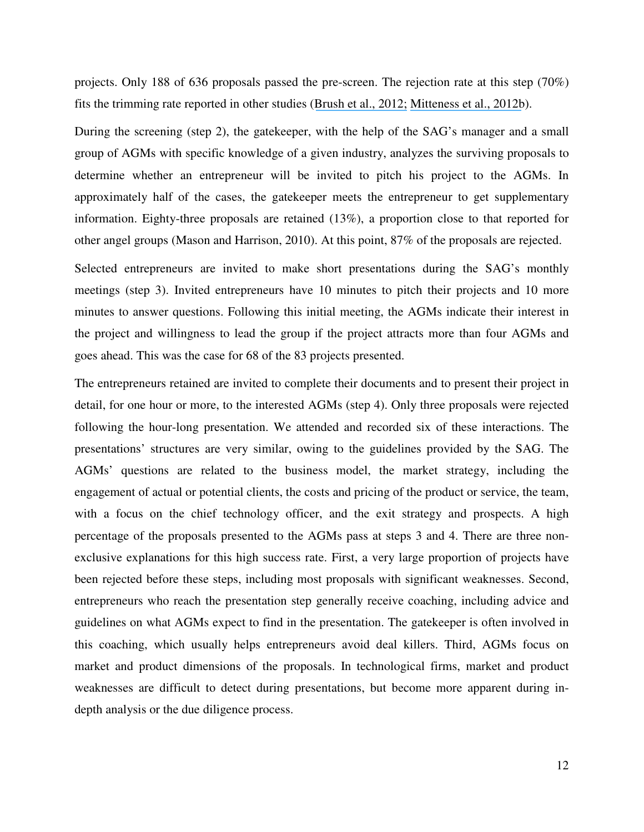projects. Only 188 of 636 proposals passed the pre-screen. The rejection rate at this step (70%) fits the trimming rate reported in other studies ([Brush et al., 2012;](https://www.researchgate.net/publication/254324413_Ready_for_funding_Entrepreneurial_ventures_and_the_pursuit_of_angel_financing?el=1_x_8&enrichId=rgreq-8af4d9bcdb676e03800bb438f388e717-XXX&enrichSource=Y292ZXJQYWdlOzI3NTY3MTA5NztBUzo0MzEyNTQ3MTg5NDczMjhAMTQ3OTgzMDU0NTU3Nw==) [Mitteness et al., 2012b](https://www.researchgate.net/publication/254325285_Horse_vs_Jockey_How_stage_of_funding_process_and_industry_experience_affect_the_evaluations_of_angel_investors?el=1_x_8&enrichId=rgreq-8af4d9bcdb676e03800bb438f388e717-XXX&enrichSource=Y292ZXJQYWdlOzI3NTY3MTA5NztBUzo0MzEyNTQ3MTg5NDczMjhAMTQ3OTgzMDU0NTU3Nw==)).

During the screening (step 2), the gatekeeper, with the help of the SAG's manager and a small group of AGMs with specific knowledge of a given industry, analyzes the surviving proposals to determine whether an entrepreneur will be invited to pitch his project to the AGMs. In approximately half of the cases, the gatekeeper meets the entrepreneur to get supplementary information. Eighty-three proposals are retained (13%), a proportion close to that reported for other angel groups (Mason and Harrison, 2010). At this point, 87% of the proposals are rejected.

Selected entrepreneurs are invited to make short presentations during the SAG's monthly meetings (step 3). Invited entrepreneurs have 10 minutes to pitch their projects and 10 more minutes to answer questions. Following this initial meeting, the AGMs indicate their interest in the project and willingness to lead the group if the project attracts more than four AGMs and goes ahead. This was the case for 68 of the 83 projects presented.

The entrepreneurs retained are invited to complete their documents and to present their project in detail, for one hour or more, to the interested AGMs (step 4). Only three proposals were rejected following the hour-long presentation. We attended and recorded six of these interactions. The presentations' structures are very similar, owing to the guidelines provided by the SAG. The AGMs' questions are related to the business model, the market strategy, including the engagement of actual or potential clients, the costs and pricing of the product or service, the team, with a focus on the chief technology officer, and the exit strategy and prospects. A high percentage of the proposals presented to the AGMs pass at steps 3 and 4. There are three nonexclusive explanations for this high success rate. First, a very large proportion of projects have been rejected before these steps, including most proposals with significant weaknesses. Second, entrepreneurs who reach the presentation step generally receive coaching, including advice and guidelines on what AGMs expect to find in the presentation. The gatekeeper is often involved in this coaching, which usually helps entrepreneurs avoid deal killers. Third, AGMs focus on market and product dimensions of the proposals. In technological firms, market and product weaknesses are difficult to detect during presentations, but become more apparent during indepth analysis or the due diligence process.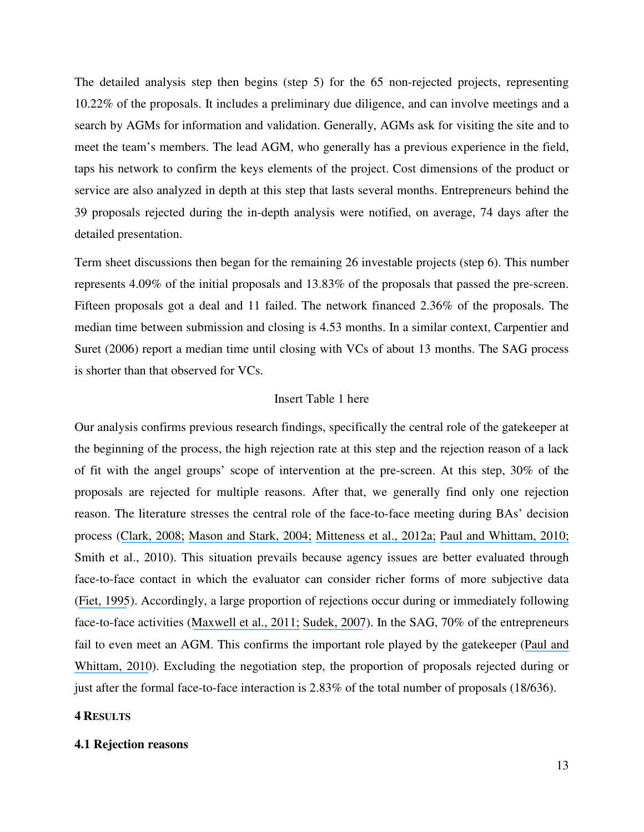The detailed analysis step then begins (step 5) for the 65 non-rejected projects, representing 10.22% of the proposals. It includes a preliminary due diligence, and can involve meetings and a search by AGMs for information and validation. Generally, AGMs ask for visiting the site and to meet the team's members. The lead AGM, who generally has a previous experience in the field, taps his network to confirm the keys elements of the project. Cost dimensions of the product or service are also analyzed in depth at this step that lasts several months. Entrepreneurs behind the 39 proposals rejected during the in-depth analysis were notified, on average, 74 days after the detailed presentation.

Term sheet discussions then began for the remaining 26 investable projects (step 6). This number represents 4.09% of the initial proposals and 13.83% of the proposals that passed the pre-screen. Fifteen proposals got a deal and 11 failed. The network financed 2.36% of the proposals. The median time between submission and closing is 4.53 months. In a similar context, Carpentier and Suret (2006) report a median time until closing with VCs of about 13 months. The SAG process is shorter than that observed for VCs.

# Insert Table 1 here

Our analysis confirms previous research findings, specifically the central role of the gatekeeper at the beginning of the process, the high rejection rate at this step and the rejection reason of a lack of fit with the angel groups' scope of intervention at the pre-screen. At this step, 30% of the proposals are rejected for multiple reasons. After that, we generally find only one rejection reason. The literature stresses the central role of the face-to-face meeting during BAs' decision process ([Clark, 2008;](https://www.researchgate.net/publication/247518656_The_Impact_of_Entrepreneurs) [Mason and Stark, 2004;](https://www.researchgate.net/publication/247738793_What_do_Investors_Look_for_in_a_Business_Plan_A_Comparison_of_the_Investment_Criteria_of_Bankers_Venture_Capitalists_and_Business_Angels?el=1_x_8&enrichId=rgreq-8af4d9bcdb676e03800bb438f388e717-XXX&enrichSource=Y292ZXJQYWdlOzI3NTY3MTA5NztBUzo0MzEyNTQ3MTg5NDczMjhAMTQ3OTgzMDU0NTU3Nw==) [Mitteness et al., 2012a;](https://www.researchgate.net/publication/257266752_Investor_characteristics_that_determine_whether_perceived_passion_leads_to_higher_evaluations_of_funding_potential?el=1_x_8&enrichId=rgreq-8af4d9bcdb676e03800bb438f388e717-XXX&enrichSource=Y292ZXJQYWdlOzI3NTY3MTA5NztBUzo0MzEyNTQ3MTg5NDczMjhAMTQ3OTgzMDU0NTU3Nw==) [Paul and Whittam, 2010;](https://www.researchgate.net/publication/233033559_Business_angel_syndicates_An_exploratory_study_of_gatekeepers?el=1_x_8&enrichId=rgreq-8af4d9bcdb676e03800bb438f388e717-XXX&enrichSource=Y292ZXJQYWdlOzI3NTY3MTA5NztBUzo0MzEyNTQ3MTg5NDczMjhAMTQ3OTgzMDU0NTU3Nw==) Smith et al., 2010). This situation prevails because agency issues are better evaluated through face-to-face contact in which the evaluator can consider richer forms of more subjective data ([Fiet, 1995](https://www.researchgate.net/publication/229690429_Risk_Avoidance_Strategies_in_Venture_Capital_Markets?el=1_x_8&enrichId=rgreq-8af4d9bcdb676e03800bb438f388e717-XXX&enrichSource=Y292ZXJQYWdlOzI3NTY3MTA5NztBUzo0MzEyNTQ3MTg5NDczMjhAMTQ3OTgzMDU0NTU3Nw==)). Accordingly, a large proportion of rejections occur during or immediately following face-to-face activities ([Maxwell et al., 2011;](https://www.researchgate.net/publication/227418352_Business_Angel_Early_Stage_Decision_Making?el=1_x_8&enrichId=rgreq-8af4d9bcdb676e03800bb438f388e717-XXX&enrichSource=Y292ZXJQYWdlOzI3NTY3MTA5NztBUzo0MzEyNTQ3MTg5NDczMjhAMTQ3OTgzMDU0NTU3Nw==) [Sudek, 2007](https://www.researchgate.net/publication/228636810_Angel_investment_criteria?el=1_x_8&enrichId=rgreq-8af4d9bcdb676e03800bb438f388e717-XXX&enrichSource=Y292ZXJQYWdlOzI3NTY3MTA5NztBUzo0MzEyNTQ3MTg5NDczMjhAMTQ3OTgzMDU0NTU3Nw==)). In the SAG, 70% of the entrepreneurs fail to even meet an AGM. This confirms the important role played by the gatekeeper ([Paul and](https://www.researchgate.net/publication/233033559_Business_angel_syndicates_An_exploratory_study_of_gatekeepers?el=1_x_8&enrichId=rgreq-8af4d9bcdb676e03800bb438f388e717-XXX&enrichSource=Y292ZXJQYWdlOzI3NTY3MTA5NztBUzo0MzEyNTQ3MTg5NDczMjhAMTQ3OTgzMDU0NTU3Nw==) [Whittam, 2010](https://www.researchgate.net/publication/233033559_Business_angel_syndicates_An_exploratory_study_of_gatekeepers?el=1_x_8&enrichId=rgreq-8af4d9bcdb676e03800bb438f388e717-XXX&enrichSource=Y292ZXJQYWdlOzI3NTY3MTA5NztBUzo0MzEyNTQ3MTg5NDczMjhAMTQ3OTgzMDU0NTU3Nw==)). Excluding the negotiation step, the proportion of proposals rejected during or just after the formal face-to-face interaction is 2.83% of the total number of proposals (18/636).

# **4 RESULTS**

# **4.1 Rejection reasons**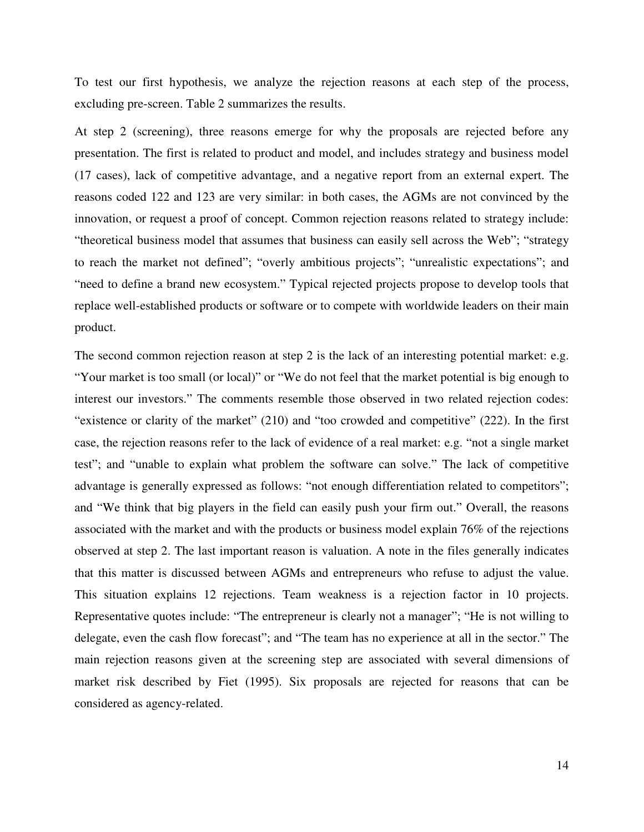To test our first hypothesis, we analyze the rejection reasons at each step of the process, excluding pre-screen. Table 2 summarizes the results.

At step 2 (screening), three reasons emerge for why the proposals are rejected before any presentation. The first is related to product and model, and includes strategy and business model (17 cases), lack of competitive advantage, and a negative report from an external expert. The reasons coded 122 and 123 are very similar: in both cases, the AGMs are not convinced by the innovation, or request a proof of concept. Common rejection reasons related to strategy include: "theoretical business model that assumes that business can easily sell across the Web"; "strategy to reach the market not defined"; "overly ambitious projects"; "unrealistic expectations"; and "need to define a brand new ecosystem." Typical rejected projects propose to develop tools that replace well-established products or software or to compete with worldwide leaders on their main product.

The second common rejection reason at step 2 is the lack of an interesting potential market: e.g. "Your market is too small (or local)" or "We do not feel that the market potential is big enough to interest our investors." The comments resemble those observed in two related rejection codes: "existence or clarity of the market" (210) and "too crowded and competitive" (222). In the first case, the rejection reasons refer to the lack of evidence of a real market: e.g. "not a single market test"; and "unable to explain what problem the software can solve." The lack of competitive advantage is generally expressed as follows: "not enough differentiation related to competitors"; and "We think that big players in the field can easily push your firm out." Overall, the reasons associated with the market and with the products or business model explain 76% of the rejections observed at step 2. The last important reason is valuation. A note in the files generally indicates that this matter is discussed between AGMs and entrepreneurs who refuse to adjust the value. This situation explains 12 rejections. Team weakness is a rejection factor in 10 projects. Representative quotes include: "The entrepreneur is clearly not a manager"; "He is not willing to delegate, even the cash flow forecast"; and "The team has no experience at all in the sector." The main rejection reasons given at the screening step are associated with several dimensions of market risk described by Fiet (1995). Six proposals are rejected for reasons that can be considered as agency-related.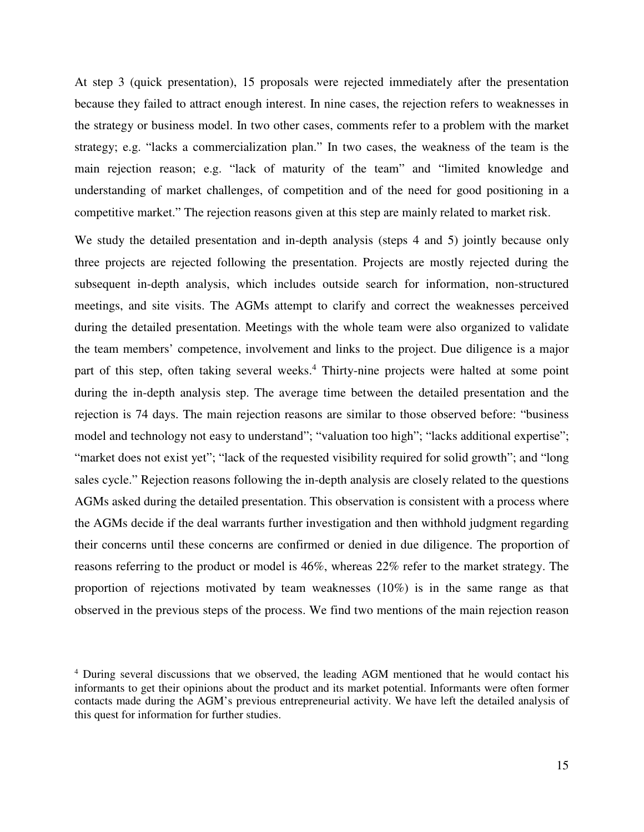At step 3 (quick presentation), 15 proposals were rejected immediately after the presentation because they failed to attract enough interest. In nine cases, the rejection refers to weaknesses in the strategy or business model. In two other cases, comments refer to a problem with the market strategy; e.g. "lacks a commercialization plan." In two cases, the weakness of the team is the main rejection reason; e.g. "lack of maturity of the team" and "limited knowledge and understanding of market challenges, of competition and of the need for good positioning in a competitive market." The rejection reasons given at this step are mainly related to market risk.

We study the detailed presentation and in-depth analysis (steps 4 and 5) jointly because only three projects are rejected following the presentation. Projects are mostly rejected during the subsequent in-depth analysis, which includes outside search for information, non-structured meetings, and site visits. The AGMs attempt to clarify and correct the weaknesses perceived during the detailed presentation. Meetings with the whole team were also organized to validate the team members' competence, involvement and links to the project. Due diligence is a major part of this step, often taking several weeks.<sup>4</sup> Thirty-nine projects were halted at some point during the in-depth analysis step. The average time between the detailed presentation and the rejection is 74 days. The main rejection reasons are similar to those observed before: "business model and technology not easy to understand"; "valuation too high"; "lacks additional expertise"; "market does not exist yet"; "lack of the requested visibility required for solid growth"; and "long" sales cycle." Rejection reasons following the in-depth analysis are closely related to the questions AGMs asked during the detailed presentation. This observation is consistent with a process where the AGMs decide if the deal warrants further investigation and then withhold judgment regarding their concerns until these concerns are confirmed or denied in due diligence. The proportion of reasons referring to the product or model is 46%, whereas 22% refer to the market strategy. The proportion of rejections motivated by team weaknesses (10%) is in the same range as that observed in the previous steps of the process. We find two mentions of the main rejection reason

<sup>&</sup>lt;sup>4</sup> During several discussions that we observed, the leading AGM mentioned that he would contact his informants to get their opinions about the product and its market potential. Informants were often former contacts made during the AGM's previous entrepreneurial activity. We have left the detailed analysis of this quest for information for further studies.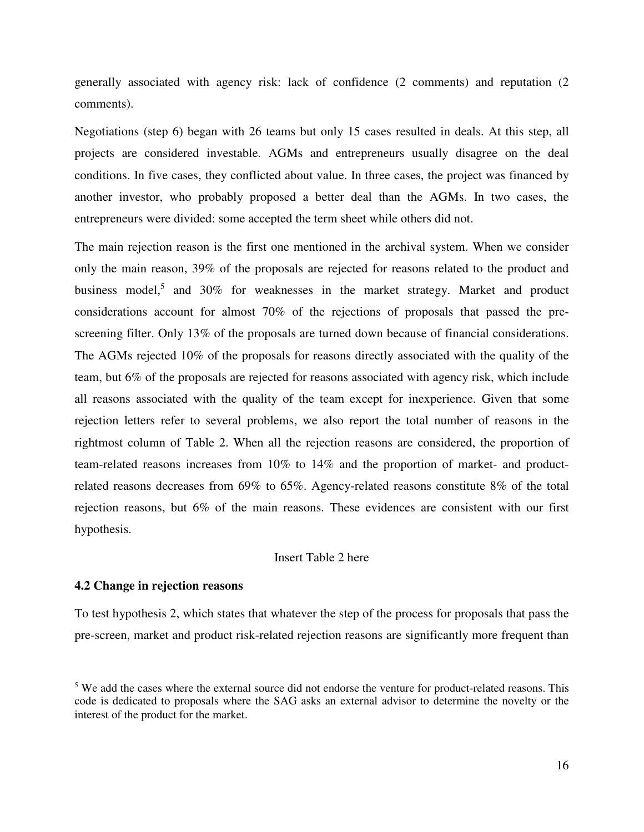generally associated with agency risk: lack of confidence (2 comments) and reputation (2 comments).

Negotiations (step 6) began with 26 teams but only 15 cases resulted in deals. At this step, all projects are considered investable. AGMs and entrepreneurs usually disagree on the deal conditions. In five cases, they conflicted about value. In three cases, the project was financed by another investor, who probably proposed a better deal than the AGMs. In two cases, the entrepreneurs were divided: some accepted the term sheet while others did not.

The main rejection reason is the first one mentioned in the archival system. When we consider only the main reason, 39% of the proposals are rejected for reasons related to the product and business model,<sup>5</sup> and 30% for weaknesses in the market strategy. Market and product considerations account for almost 70% of the rejections of proposals that passed the prescreening filter. Only 13% of the proposals are turned down because of financial considerations. The AGMs rejected 10% of the proposals for reasons directly associated with the quality of the team, but 6% of the proposals are rejected for reasons associated with agency risk, which include all reasons associated with the quality of the team except for inexperience. Given that some rejection letters refer to several problems, we also report the total number of reasons in the rightmost column of Table 2. When all the rejection reasons are considered, the proportion of team-related reasons increases from 10% to 14% and the proportion of market- and productrelated reasons decreases from 69% to 65%. Agency-related reasons constitute 8% of the total rejection reasons, but 6% of the main reasons. These evidences are consistent with our first hypothesis.

# Insert Table 2 here

# **4.2 Change in rejection reasons**

To test hypothesis 2, which states that whatever the step of the process for proposals that pass the pre-screen, market and product risk-related rejection reasons are significantly more frequent than

<sup>&</sup>lt;sup>5</sup> We add the cases where the external source did not endorse the venture for product-related reasons. This code is dedicated to proposals where the SAG asks an external advisor to determine the novelty or the interest of the product for the market.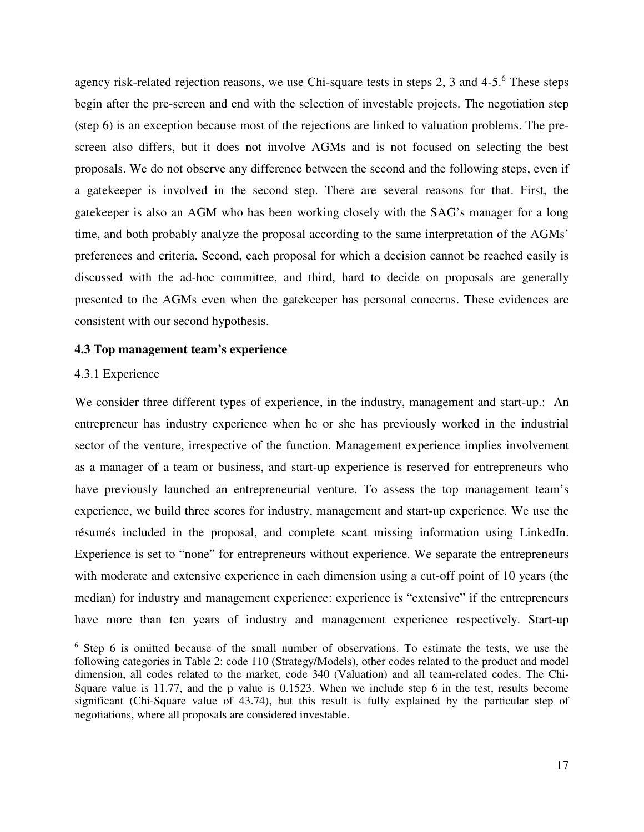agency risk-related rejection reasons, we use Chi-square tests in steps 2, 3 and 4-5.<sup>6</sup> These steps begin after the pre-screen and end with the selection of investable projects. The negotiation step (step 6) is an exception because most of the rejections are linked to valuation problems. The prescreen also differs, but it does not involve AGMs and is not focused on selecting the best proposals. We do not observe any difference between the second and the following steps, even if a gatekeeper is involved in the second step. There are several reasons for that. First, the gatekeeper is also an AGM who has been working closely with the SAG's manager for a long time, and both probably analyze the proposal according to the same interpretation of the AGMs' preferences and criteria. Second, each proposal for which a decision cannot be reached easily is discussed with the ad-hoc committee, and third, hard to decide on proposals are generally presented to the AGMs even when the gatekeeper has personal concerns. These evidences are consistent with our second hypothesis.

#### **4.3 Top management team's experience**

#### 4.3.1 Experience

We consider three different types of experience, in the industry, management and start-up.: An entrepreneur has industry experience when he or she has previously worked in the industrial sector of the venture, irrespective of the function. Management experience implies involvement as a manager of a team or business, and start-up experience is reserved for entrepreneurs who have previously launched an entrepreneurial venture. To assess the top management team's experience, we build three scores for industry, management and start-up experience. We use the résumés included in the proposal, and complete scant missing information using LinkedIn. Experience is set to "none" for entrepreneurs without experience. We separate the entrepreneurs with moderate and extensive experience in each dimension using a cut-off point of 10 years (the median) for industry and management experience: experience is "extensive" if the entrepreneurs have more than ten years of industry and management experience respectively. Start-up

<sup>&</sup>lt;sup>6</sup> Step 6 is omitted because of the small number of observations. To estimate the tests, we use the following categories in Table 2: code 110 (Strategy/Models), other codes related to the product and model dimension, all codes related to the market, code 340 (Valuation) and all team-related codes. The Chi-Square value is 11.77, and the p value is 0.1523. When we include step 6 in the test, results become significant (Chi-Square value of 43.74), but this result is fully explained by the particular step of negotiations, where all proposals are considered investable.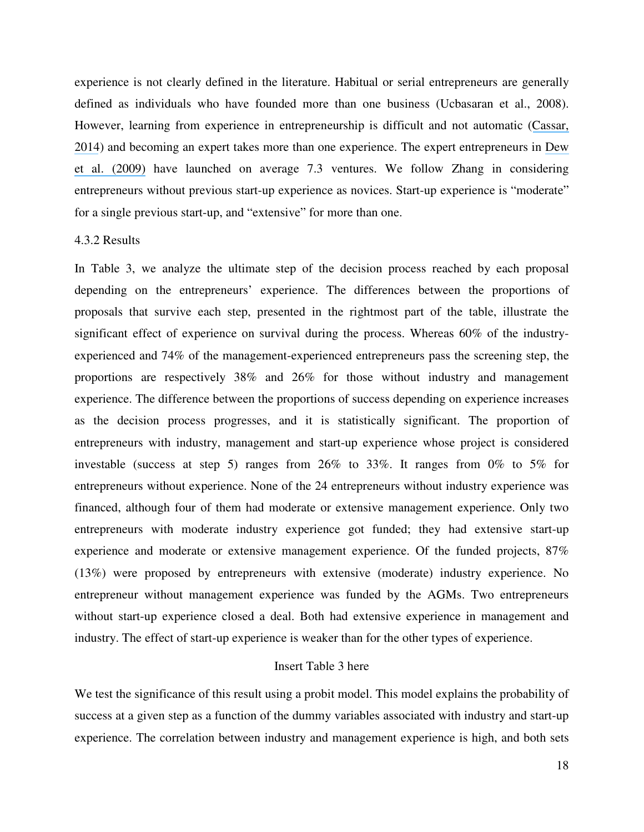experience is not clearly defined in the literature. Habitual or serial entrepreneurs are generally defined as individuals who have founded more than one business (Ucbasaran et al., 2008). However, learning from experience in entrepreneurship is difficult and not automatic ([Cassar,](https://www.researchgate.net/publication/228171621_Industry_and_Startup_Experience_on_Entrepreneur_Forecast_Performance_in_New_Firms?el=1_x_8&enrichId=rgreq-8af4d9bcdb676e03800bb438f388e717-XXX&enrichSource=Y292ZXJQYWdlOzI3NTY3MTA5NztBUzo0MzEyNTQ3MTg5NDczMjhAMTQ3OTgzMDU0NTU3Nw==) [2014](https://www.researchgate.net/publication/228171621_Industry_and_Startup_Experience_on_Entrepreneur_Forecast_Performance_in_New_Firms?el=1_x_8&enrichId=rgreq-8af4d9bcdb676e03800bb438f388e717-XXX&enrichSource=Y292ZXJQYWdlOzI3NTY3MTA5NztBUzo0MzEyNTQ3MTg5NDczMjhAMTQ3OTgzMDU0NTU3Nw==)) and becoming an expert takes more than one experience. The expert entrepreneurs in [Dew](https://www.researchgate.net/publication/222422741_Effectual_versus_Predictive_Logics_in_Entrepreneurial_Decision_Making_Differences_between_Experts_and_Novices?el=1_x_8&enrichId=rgreq-8af4d9bcdb676e03800bb438f388e717-XXX&enrichSource=Y292ZXJQYWdlOzI3NTY3MTA5NztBUzo0MzEyNTQ3MTg5NDczMjhAMTQ3OTgzMDU0NTU3Nw==) [et al. \(2009\)](https://www.researchgate.net/publication/222422741_Effectual_versus_Predictive_Logics_in_Entrepreneurial_Decision_Making_Differences_between_Experts_and_Novices?el=1_x_8&enrichId=rgreq-8af4d9bcdb676e03800bb438f388e717-XXX&enrichSource=Y292ZXJQYWdlOzI3NTY3MTA5NztBUzo0MzEyNTQ3MTg5NDczMjhAMTQ3OTgzMDU0NTU3Nw==) have launched on average 7.3 ventures. We follow Zhang in considering entrepreneurs without previous start-up experience as novices. Start-up experience is "moderate" for a single previous start-up, and "extensive" for more than one.

#### 4.3.2 Results

In Table 3, we analyze the ultimate step of the decision process reached by each proposal depending on the entrepreneurs' experience. The differences between the proportions of proposals that survive each step, presented in the rightmost part of the table, illustrate the significant effect of experience on survival during the process. Whereas 60% of the industryexperienced and 74% of the management-experienced entrepreneurs pass the screening step, the proportions are respectively 38% and 26% for those without industry and management experience. The difference between the proportions of success depending on experience increases as the decision process progresses, and it is statistically significant. The proportion of entrepreneurs with industry, management and start-up experience whose project is considered investable (success at step 5) ranges from 26% to 33%. It ranges from 0% to 5% for entrepreneurs without experience. None of the 24 entrepreneurs without industry experience was financed, although four of them had moderate or extensive management experience. Only two entrepreneurs with moderate industry experience got funded; they had extensive start-up experience and moderate or extensive management experience. Of the funded projects, 87% (13%) were proposed by entrepreneurs with extensive (moderate) industry experience. No entrepreneur without management experience was funded by the AGMs. Two entrepreneurs without start-up experience closed a deal. Both had extensive experience in management and industry. The effect of start-up experience is weaker than for the other types of experience.

# Insert Table 3 here

We test the significance of this result using a probit model. This model explains the probability of success at a given step as a function of the dummy variables associated with industry and start-up experience. The correlation between industry and management experience is high, and both sets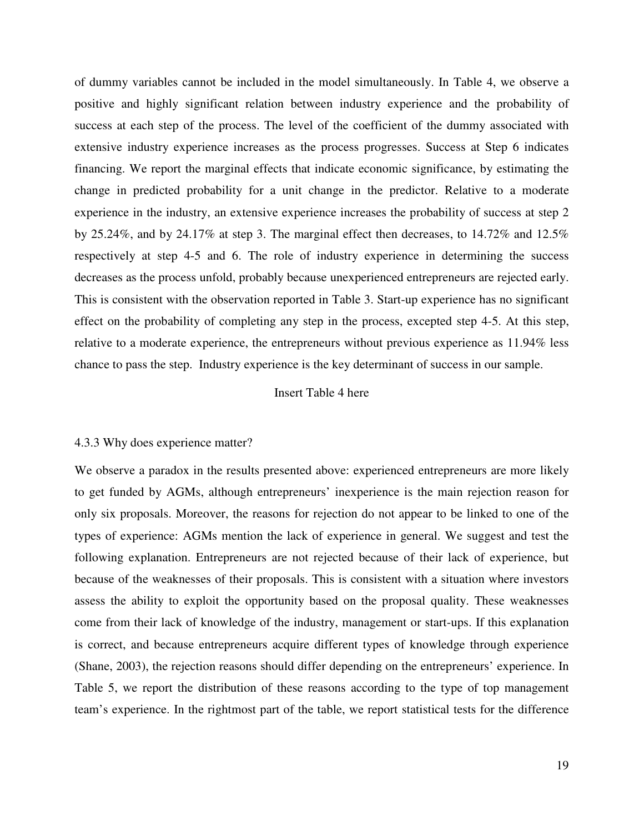of dummy variables cannot be included in the model simultaneously. In Table 4, we observe a positive and highly significant relation between industry experience and the probability of success at each step of the process. The level of the coefficient of the dummy associated with extensive industry experience increases as the process progresses. Success at Step 6 indicates financing. We report the marginal effects that indicate economic significance, by estimating the change in predicted probability for a unit change in the predictor. Relative to a moderate experience in the industry, an extensive experience increases the probability of success at step 2 by 25.24%, and by 24.17% at step 3. The marginal effect then decreases, to 14.72% and 12.5% respectively at step 4-5 and 6. The role of industry experience in determining the success decreases as the process unfold, probably because unexperienced entrepreneurs are rejected early. This is consistent with the observation reported in Table 3. Start-up experience has no significant effect on the probability of completing any step in the process, excepted step 4-5. At this step, relative to a moderate experience, the entrepreneurs without previous experience as 11.94% less chance to pass the step. Industry experience is the key determinant of success in our sample.

# Insert Table 4 here

# 4.3.3 Why does experience matter?

We observe a paradox in the results presented above: experienced entrepreneurs are more likely to get funded by AGMs, although entrepreneurs' inexperience is the main rejection reason for only six proposals. Moreover, the reasons for rejection do not appear to be linked to one of the types of experience: AGMs mention the lack of experience in general. We suggest and test the following explanation. Entrepreneurs are not rejected because of their lack of experience, but because of the weaknesses of their proposals. This is consistent with a situation where investors assess the ability to exploit the opportunity based on the proposal quality. These weaknesses come from their lack of knowledge of the industry, management or start-ups. If this explanation is correct, and because entrepreneurs acquire different types of knowledge through experience (Shane, 2003), the rejection reasons should differ depending on the entrepreneurs' experience. In Table 5, we report the distribution of these reasons according to the type of top management team's experience. In the rightmost part of the table, we report statistical tests for the difference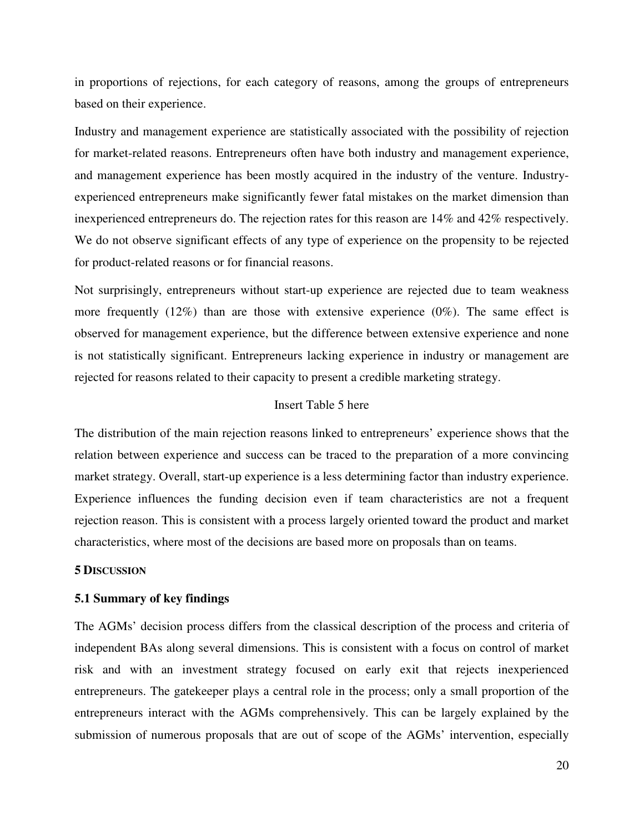in proportions of rejections, for each category of reasons, among the groups of entrepreneurs based on their experience.

Industry and management experience are statistically associated with the possibility of rejection for market-related reasons. Entrepreneurs often have both industry and management experience, and management experience has been mostly acquired in the industry of the venture. Industryexperienced entrepreneurs make significantly fewer fatal mistakes on the market dimension than inexperienced entrepreneurs do. The rejection rates for this reason are 14% and 42% respectively. We do not observe significant effects of any type of experience on the propensity to be rejected for product-related reasons or for financial reasons.

Not surprisingly, entrepreneurs without start-up experience are rejected due to team weakness more frequently (12%) than are those with extensive experience (0%). The same effect is observed for management experience, but the difference between extensive experience and none is not statistically significant. Entrepreneurs lacking experience in industry or management are rejected for reasons related to their capacity to present a credible marketing strategy.

# Insert Table 5 here

The distribution of the main rejection reasons linked to entrepreneurs' experience shows that the relation between experience and success can be traced to the preparation of a more convincing market strategy. Overall, start-up experience is a less determining factor than industry experience. Experience influences the funding decision even if team characteristics are not a frequent rejection reason. This is consistent with a process largely oriented toward the product and market characteristics, where most of the decisions are based more on proposals than on teams.

# **5 DISCUSSION**

#### **5.1 Summary of key findings**

The AGMs' decision process differs from the classical description of the process and criteria of independent BAs along several dimensions. This is consistent with a focus on control of market risk and with an investment strategy focused on early exit that rejects inexperienced entrepreneurs. The gatekeeper plays a central role in the process; only a small proportion of the entrepreneurs interact with the AGMs comprehensively. This can be largely explained by the submission of numerous proposals that are out of scope of the AGMs' intervention, especially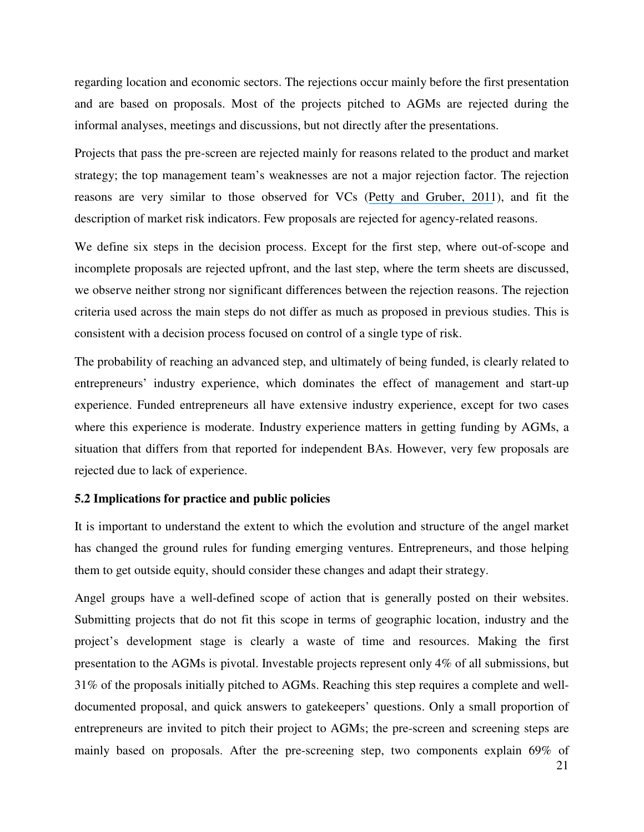regarding location and economic sectors. The rejections occur mainly before the first presentation and are based on proposals. Most of the projects pitched to AGMs are rejected during the informal analyses, meetings and discussions, but not directly after the presentations.

Projects that pass the pre-screen are rejected mainly for reasons related to the product and market strategy; the top management team's weaknesses are not a major rejection factor. The rejection reasons are very similar to those observed for VCs ([Petty and Gruber, 2011](https://www.researchgate.net/publication/222328219_In_pursuit_of_the_real_deal_A_longitudinal_study_of_VC_decision_making?el=1_x_8&enrichId=rgreq-8af4d9bcdb676e03800bb438f388e717-XXX&enrichSource=Y292ZXJQYWdlOzI3NTY3MTA5NztBUzo0MzEyNTQ3MTg5NDczMjhAMTQ3OTgzMDU0NTU3Nw==)), and fit the description of market risk indicators. Few proposals are rejected for agency-related reasons.

We define six steps in the decision process. Except for the first step, where out-of-scope and incomplete proposals are rejected upfront, and the last step, where the term sheets are discussed, we observe neither strong nor significant differences between the rejection reasons. The rejection criteria used across the main steps do not differ as much as proposed in previous studies. This is consistent with a decision process focused on control of a single type of risk.

The probability of reaching an advanced step, and ultimately of being funded, is clearly related to entrepreneurs' industry experience, which dominates the effect of management and start-up experience. Funded entrepreneurs all have extensive industry experience, except for two cases where this experience is moderate. Industry experience matters in getting funding by AGMs, a situation that differs from that reported for independent BAs. However, very few proposals are rejected due to lack of experience.

# **5.2 Implications for practice and public policies**

It is important to understand the extent to which the evolution and structure of the angel market has changed the ground rules for funding emerging ventures. Entrepreneurs, and those helping them to get outside equity, should consider these changes and adapt their strategy.

Angel groups have a well-defined scope of action that is generally posted on their websites. Submitting projects that do not fit this scope in terms of geographic location, industry and the project's development stage is clearly a waste of time and resources. Making the first presentation to the AGMs is pivotal. Investable projects represent only 4% of all submissions, but 31% of the proposals initially pitched to AGMs. Reaching this step requires a complete and welldocumented proposal, and quick answers to gatekeepers' questions. Only a small proportion of entrepreneurs are invited to pitch their project to AGMs; the pre-screen and screening steps are mainly based on proposals. After the pre-screening step, two components explain 69% of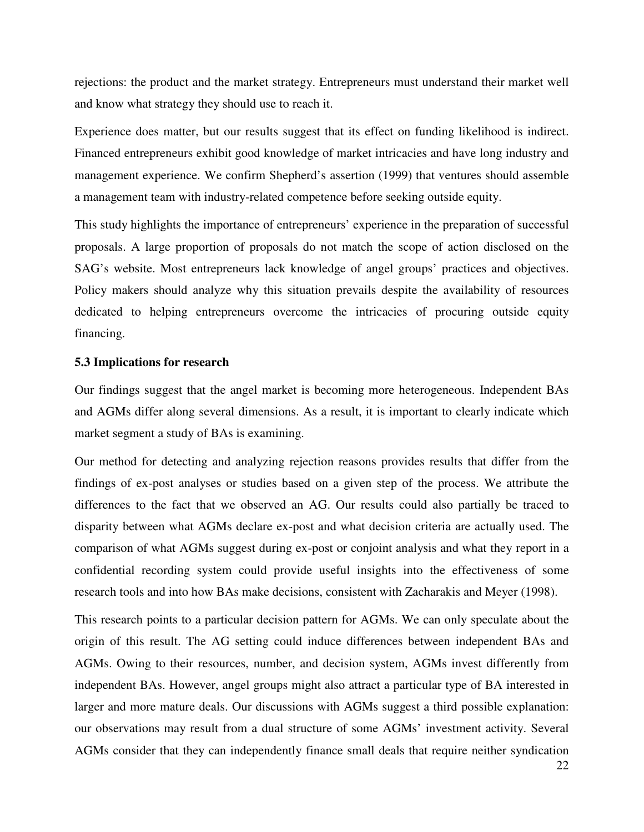rejections: the product and the market strategy. Entrepreneurs must understand their market well and know what strategy they should use to reach it.

Experience does matter, but our results suggest that its effect on funding likelihood is indirect. Financed entrepreneurs exhibit good knowledge of market intricacies and have long industry and management experience. We confirm Shepherd's assertion (1999) that ventures should assemble a management team with industry-related competence before seeking outside equity.

This study highlights the importance of entrepreneurs' experience in the preparation of successful proposals. A large proportion of proposals do not match the scope of action disclosed on the SAG's website. Most entrepreneurs lack knowledge of angel groups' practices and objectives. Policy makers should analyze why this situation prevails despite the availability of resources dedicated to helping entrepreneurs overcome the intricacies of procuring outside equity financing.

# **5.3 Implications for research**

Our findings suggest that the angel market is becoming more heterogeneous. Independent BAs and AGMs differ along several dimensions. As a result, it is important to clearly indicate which market segment a study of BAs is examining.

Our method for detecting and analyzing rejection reasons provides results that differ from the findings of ex-post analyses or studies based on a given step of the process. We attribute the differences to the fact that we observed an AG. Our results could also partially be traced to disparity between what AGMs declare ex-post and what decision criteria are actually used. The comparison of what AGMs suggest during ex-post or conjoint analysis and what they report in a confidential recording system could provide useful insights into the effectiveness of some research tools and into how BAs make decisions, consistent with Zacharakis and Meyer (1998).

This research points to a particular decision pattern for AGMs. We can only speculate about the origin of this result. The AG setting could induce differences between independent BAs and AGMs. Owing to their resources, number, and decision system, AGMs invest differently from independent BAs. However, angel groups might also attract a particular type of BA interested in larger and more mature deals. Our discussions with AGMs suggest a third possible explanation: our observations may result from a dual structure of some AGMs' investment activity. Several AGMs consider that they can independently finance small deals that require neither syndication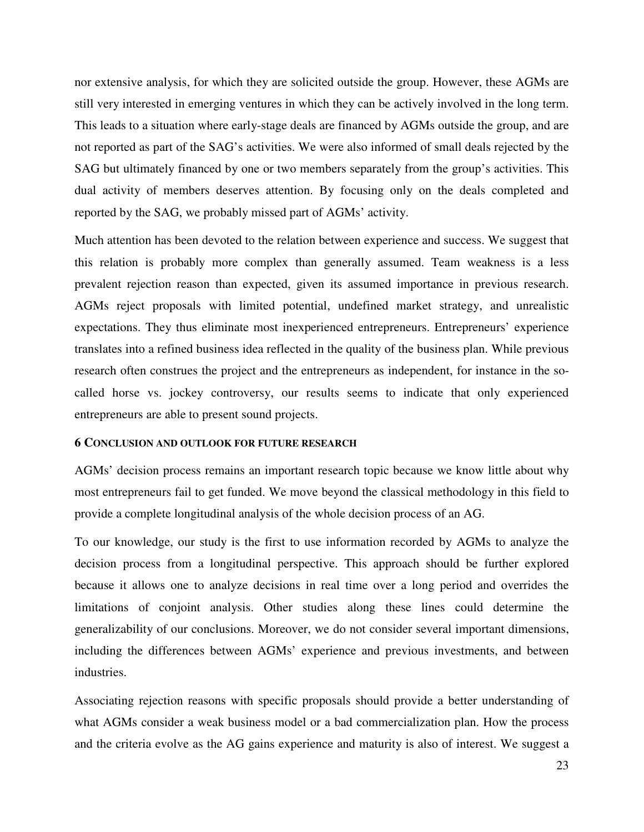nor extensive analysis, for which they are solicited outside the group. However, these AGMs are still very interested in emerging ventures in which they can be actively involved in the long term. This leads to a situation where early-stage deals are financed by AGMs outside the group, and are not reported as part of the SAG's activities. We were also informed of small deals rejected by the SAG but ultimately financed by one or two members separately from the group's activities. This dual activity of members deserves attention. By focusing only on the deals completed and reported by the SAG, we probably missed part of AGMs' activity.

Much attention has been devoted to the relation between experience and success. We suggest that this relation is probably more complex than generally assumed. Team weakness is a less prevalent rejection reason than expected, given its assumed importance in previous research. AGMs reject proposals with limited potential, undefined market strategy, and unrealistic expectations. They thus eliminate most inexperienced entrepreneurs. Entrepreneurs' experience translates into a refined business idea reflected in the quality of the business plan. While previous research often construes the project and the entrepreneurs as independent, for instance in the socalled horse vs. jockey controversy, our results seems to indicate that only experienced entrepreneurs are able to present sound projects.

# **6 CONCLUSION AND OUTLOOK FOR FUTURE RESEARCH**

AGMs' decision process remains an important research topic because we know little about why most entrepreneurs fail to get funded. We move beyond the classical methodology in this field to provide a complete longitudinal analysis of the whole decision process of an AG.

To our knowledge, our study is the first to use information recorded by AGMs to analyze the decision process from a longitudinal perspective. This approach should be further explored because it allows one to analyze decisions in real time over a long period and overrides the limitations of conjoint analysis. Other studies along these lines could determine the generalizability of our conclusions. Moreover, we do not consider several important dimensions, including the differences between AGMs' experience and previous investments, and between industries.

Associating rejection reasons with specific proposals should provide a better understanding of what AGMs consider a weak business model or a bad commercialization plan. How the process and the criteria evolve as the AG gains experience and maturity is also of interest. We suggest a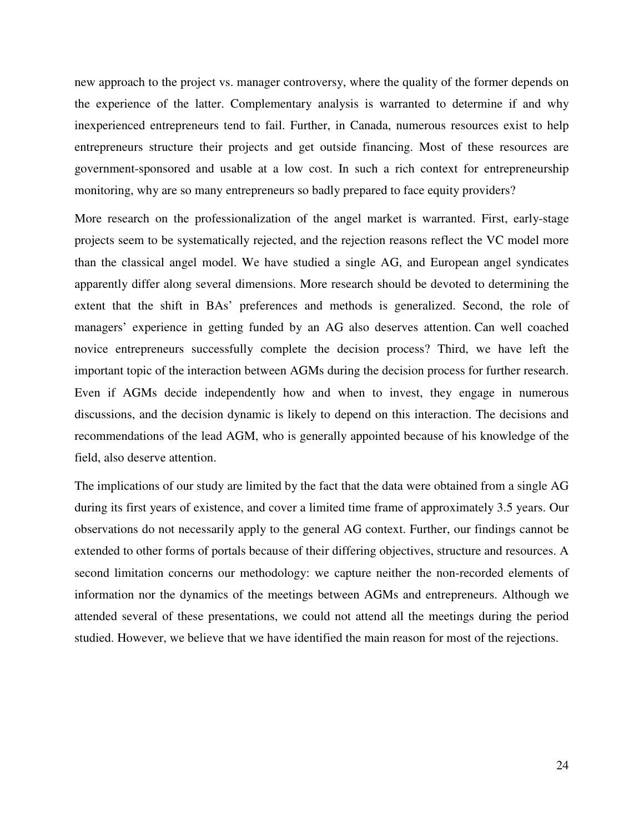new approach to the project vs. manager controversy, where the quality of the former depends on the experience of the latter. Complementary analysis is warranted to determine if and why inexperienced entrepreneurs tend to fail. Further, in Canada, numerous resources exist to help entrepreneurs structure their projects and get outside financing. Most of these resources are government-sponsored and usable at a low cost. In such a rich context for entrepreneurship monitoring, why are so many entrepreneurs so badly prepared to face equity providers?

More research on the professionalization of the angel market is warranted. First, early-stage projects seem to be systematically rejected, and the rejection reasons reflect the VC model more than the classical angel model. We have studied a single AG, and European angel syndicates apparently differ along several dimensions. More research should be devoted to determining the extent that the shift in BAs' preferences and methods is generalized. Second, the role of managers' experience in getting funded by an AG also deserves attention. Can well coached novice entrepreneurs successfully complete the decision process? Third, we have left the important topic of the interaction between AGMs during the decision process for further research. Even if AGMs decide independently how and when to invest, they engage in numerous discussions, and the decision dynamic is likely to depend on this interaction. The decisions and recommendations of the lead AGM, who is generally appointed because of his knowledge of the field, also deserve attention.

The implications of our study are limited by the fact that the data were obtained from a single AG during its first years of existence, and cover a limited time frame of approximately 3.5 years. Our observations do not necessarily apply to the general AG context. Further, our findings cannot be extended to other forms of portals because of their differing objectives, structure and resources. A second limitation concerns our methodology: we capture neither the non-recorded elements of information nor the dynamics of the meetings between AGMs and entrepreneurs. Although we attended several of these presentations, we could not attend all the meetings during the period studied. However, we believe that we have identified the main reason for most of the rejections.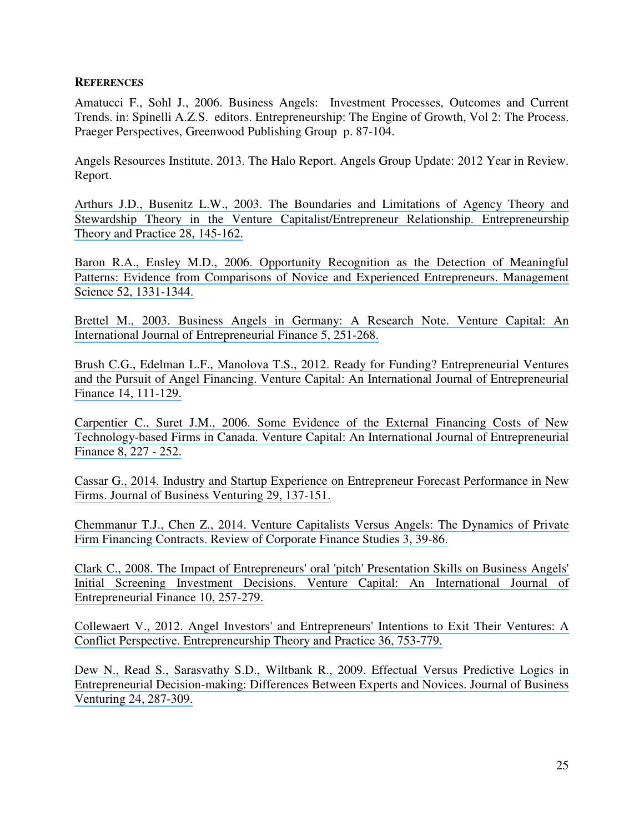# **REFERENCES**

Amatucci F., Sohl J., 2006. Business Angels: Investment Processes, Outcomes and Current Trends. in: Spinelli A.Z.S. editors. Entrepreneurship: The Engine of Growth, Vol 2: The Process. Praeger Perspectives, Greenwood Publishing Group p. 87-104.

Angels Resources Institute. 2013. The Halo Report. Angels Group Update: 2012 Year in Review. Report.

[Arthurs J.D., Busenitz L.W., 2003. The Boundaries and Limitations of Agency Theory and](https://www.researchgate.net/publication/227761037_The_Boundaries_and_Limitations_of_Agency_Theory_and_Stewardship_Theory_in_the_Venture_CapitalistEntrepreneur_Relationship?el=1_x_8&enrichId=rgreq-8af4d9bcdb676e03800bb438f388e717-XXX&enrichSource=Y292ZXJQYWdlOzI3NTY3MTA5NztBUzo0MzEyNTQ3MTg5NDczMjhAMTQ3OTgzMDU0NTU3Nw==) [Stewardship Theory in the Venture Capitalist/Entrepreneur Relationship. Entrepreneurship](https://www.researchgate.net/publication/227761037_The_Boundaries_and_Limitations_of_Agency_Theory_and_Stewardship_Theory_in_the_Venture_CapitalistEntrepreneur_Relationship?el=1_x_8&enrichId=rgreq-8af4d9bcdb676e03800bb438f388e717-XXX&enrichSource=Y292ZXJQYWdlOzI3NTY3MTA5NztBUzo0MzEyNTQ3MTg5NDczMjhAMTQ3OTgzMDU0NTU3Nw==) [Theory and Practice 28, 145-162.](https://www.researchgate.net/publication/227761037_The_Boundaries_and_Limitations_of_Agency_Theory_and_Stewardship_Theory_in_the_Venture_CapitalistEntrepreneur_Relationship?el=1_x_8&enrichId=rgreq-8af4d9bcdb676e03800bb438f388e717-XXX&enrichSource=Y292ZXJQYWdlOzI3NTY3MTA5NztBUzo0MzEyNTQ3MTg5NDczMjhAMTQ3OTgzMDU0NTU3Nw==)

[Baron R.A., Ensley M.D., 2006. Opportunity Recognition as the Detection of Meaningful](https://www.researchgate.net/publication/220534920_Opportunity_Recognition_as_the_Detection_of_Meaningful_Patterns_Evidence_from_Comparisons_of_Novice_and_Experienced_Entrepreneurs?el=1_x_8&enrichId=rgreq-8af4d9bcdb676e03800bb438f388e717-XXX&enrichSource=Y292ZXJQYWdlOzI3NTY3MTA5NztBUzo0MzEyNTQ3MTg5NDczMjhAMTQ3OTgzMDU0NTU3Nw==) [Patterns: Evidence from Comparisons of Novice and Experienced Entrepreneurs. Management](https://www.researchgate.net/publication/220534920_Opportunity_Recognition_as_the_Detection_of_Meaningful_Patterns_Evidence_from_Comparisons_of_Novice_and_Experienced_Entrepreneurs?el=1_x_8&enrichId=rgreq-8af4d9bcdb676e03800bb438f388e717-XXX&enrichSource=Y292ZXJQYWdlOzI3NTY3MTA5NztBUzo0MzEyNTQ3MTg5NDczMjhAMTQ3OTgzMDU0NTU3Nw==) [Science 52, 1331-1344.](https://www.researchgate.net/publication/220534920_Opportunity_Recognition_as_the_Detection_of_Meaningful_Patterns_Evidence_from_Comparisons_of_Novice_and_Experienced_Entrepreneurs?el=1_x_8&enrichId=rgreq-8af4d9bcdb676e03800bb438f388e717-XXX&enrichSource=Y292ZXJQYWdlOzI3NTY3MTA5NztBUzo0MzEyNTQ3MTg5NDczMjhAMTQ3OTgzMDU0NTU3Nw==)

[Brettel M., 2003. Business Angels in Germany: A Research Note. Venture Capital: An](https://www.researchgate.net/publication/247511932_Business_angels_in_Germany_A_research_note?el=1_x_8&enrichId=rgreq-8af4d9bcdb676e03800bb438f388e717-XXX&enrichSource=Y292ZXJQYWdlOzI3NTY3MTA5NztBUzo0MzEyNTQ3MTg5NDczMjhAMTQ3OTgzMDU0NTU3Nw==) [International Journal of Entrepreneurial Finance 5, 251-268.](https://www.researchgate.net/publication/247511932_Business_angels_in_Germany_A_research_note?el=1_x_8&enrichId=rgreq-8af4d9bcdb676e03800bb438f388e717-XXX&enrichSource=Y292ZXJQYWdlOzI3NTY3MTA5NztBUzo0MzEyNTQ3MTg5NDczMjhAMTQ3OTgzMDU0NTU3Nw==)

[Brush C.G., Edelman L.F., Manolova T.S., 2012. Ready for Funding? Entrepreneurial Ventures](https://www.researchgate.net/publication/254324413_Ready_for_funding_Entrepreneurial_ventures_and_the_pursuit_of_angel_financing?el=1_x_8&enrichId=rgreq-8af4d9bcdb676e03800bb438f388e717-XXX&enrichSource=Y292ZXJQYWdlOzI3NTY3MTA5NztBUzo0MzEyNTQ3MTg5NDczMjhAMTQ3OTgzMDU0NTU3Nw==) [and the Pursuit of Angel Financing. Venture Capital: An International Journal of Entrepreneurial](https://www.researchgate.net/publication/254324413_Ready_for_funding_Entrepreneurial_ventures_and_the_pursuit_of_angel_financing?el=1_x_8&enrichId=rgreq-8af4d9bcdb676e03800bb438f388e717-XXX&enrichSource=Y292ZXJQYWdlOzI3NTY3MTA5NztBUzo0MzEyNTQ3MTg5NDczMjhAMTQ3OTgzMDU0NTU3Nw==) [Finance 14, 111-129.](https://www.researchgate.net/publication/254324413_Ready_for_funding_Entrepreneurial_ventures_and_the_pursuit_of_angel_financing?el=1_x_8&enrichId=rgreq-8af4d9bcdb676e03800bb438f388e717-XXX&enrichSource=Y292ZXJQYWdlOzI3NTY3MTA5NztBUzo0MzEyNTQ3MTg5NDczMjhAMTQ3OTgzMDU0NTU3Nw==) 

[Carpentier C., Suret J.M., 2006. Some Evidence of the External Financing Costs of New](https://www.researchgate.net/publication/247511969_Some_evidence_of_the_external_financing_costs_of_new_technology-based_firms_in_Canada?el=1_x_8&enrichId=rgreq-8af4d9bcdb676e03800bb438f388e717-XXX&enrichSource=Y292ZXJQYWdlOzI3NTY3MTA5NztBUzo0MzEyNTQ3MTg5NDczMjhAMTQ3OTgzMDU0NTU3Nw==) [Technology-based Firms in Canada. Venture Capital: An International Journal of Entrepreneurial](https://www.researchgate.net/publication/247511969_Some_evidence_of_the_external_financing_costs_of_new_technology-based_firms_in_Canada?el=1_x_8&enrichId=rgreq-8af4d9bcdb676e03800bb438f388e717-XXX&enrichSource=Y292ZXJQYWdlOzI3NTY3MTA5NztBUzo0MzEyNTQ3MTg5NDczMjhAMTQ3OTgzMDU0NTU3Nw==) [Finance 8, 227 - 252.](https://www.researchgate.net/publication/247511969_Some_evidence_of_the_external_financing_costs_of_new_technology-based_firms_in_Canada?el=1_x_8&enrichId=rgreq-8af4d9bcdb676e03800bb438f388e717-XXX&enrichSource=Y292ZXJQYWdlOzI3NTY3MTA5NztBUzo0MzEyNTQ3MTg5NDczMjhAMTQ3OTgzMDU0NTU3Nw==) 

[Cassar G., 2014. Industry and Startup Experience on Entrepreneur Forecast Performance in New](https://www.researchgate.net/publication/228171621_Industry_and_Startup_Experience_on_Entrepreneur_Forecast_Performance_in_New_Firms?el=1_x_8&enrichId=rgreq-8af4d9bcdb676e03800bb438f388e717-XXX&enrichSource=Y292ZXJQYWdlOzI3NTY3MTA5NztBUzo0MzEyNTQ3MTg5NDczMjhAMTQ3OTgzMDU0NTU3Nw==) [Firms. Journal of Business Venturing 29, 137-151.](https://www.researchgate.net/publication/228171621_Industry_and_Startup_Experience_on_Entrepreneur_Forecast_Performance_in_New_Firms?el=1_x_8&enrichId=rgreq-8af4d9bcdb676e03800bb438f388e717-XXX&enrichSource=Y292ZXJQYWdlOzI3NTY3MTA5NztBUzo0MzEyNTQ3MTg5NDczMjhAMTQ3OTgzMDU0NTU3Nw==) 

[Chemmanur T.J., Chen Z., 2014. Venture Capitalists Versus Angels: The Dynamics of Private](https://www.researchgate.net/publication/228253569_Venture_Capitalists_Versus_Angels_The_Dynamics_of_Private_Firm_Financing_Contracts?el=1_x_8&enrichId=rgreq-8af4d9bcdb676e03800bb438f388e717-XXX&enrichSource=Y292ZXJQYWdlOzI3NTY3MTA5NztBUzo0MzEyNTQ3MTg5NDczMjhAMTQ3OTgzMDU0NTU3Nw==) [Firm Financing Contracts. Review of Corporate Finance Studies 3, 39-86.](https://www.researchgate.net/publication/228253569_Venture_Capitalists_Versus_Angels_The_Dynamics_of_Private_Firm_Financing_Contracts?el=1_x_8&enrichId=rgreq-8af4d9bcdb676e03800bb438f388e717-XXX&enrichSource=Y292ZXJQYWdlOzI3NTY3MTA5NztBUzo0MzEyNTQ3MTg5NDczMjhAMTQ3OTgzMDU0NTU3Nw==)

[Clark C., 2008. The Impact of Entrepreneurs' oral 'pitch' Presentation Skills on Business Angels'](https://www.researchgate.net/publication/247518656_The_Impact_of_Entrepreneurs) [Initial Screening Investment Decisions. Venture Capital: An International Journal of](https://www.researchgate.net/publication/247518656_The_Impact_of_Entrepreneurs) [Entrepreneurial Finance 10, 257-279.](https://www.researchgate.net/publication/247518656_The_Impact_of_Entrepreneurs) 

[Collewaert V., 2012. Angel Investors' and Entrepreneurs' Intentions to Exit Their Ventures: A](https://www.researchgate.net/publication/228240324_Angel_Investors) [Conflict Perspective. Entrepreneurship Theory and Practice 36, 753-779.](https://www.researchgate.net/publication/228240324_Angel_Investors) 

[Dew N., Read S., Sarasvathy S.D., Wiltbank R., 2009. Effectual Versus Predictive Logics in](https://www.researchgate.net/publication/222422741_Effectual_versus_Predictive_Logics_in_Entrepreneurial_Decision_Making_Differences_between_Experts_and_Novices?el=1_x_8&enrichId=rgreq-8af4d9bcdb676e03800bb438f388e717-XXX&enrichSource=Y292ZXJQYWdlOzI3NTY3MTA5NztBUzo0MzEyNTQ3MTg5NDczMjhAMTQ3OTgzMDU0NTU3Nw==) [Entrepreneurial Decision-making: Differences Between Experts and Novices. Journal of Business](https://www.researchgate.net/publication/222422741_Effectual_versus_Predictive_Logics_in_Entrepreneurial_Decision_Making_Differences_between_Experts_and_Novices?el=1_x_8&enrichId=rgreq-8af4d9bcdb676e03800bb438f388e717-XXX&enrichSource=Y292ZXJQYWdlOzI3NTY3MTA5NztBUzo0MzEyNTQ3MTg5NDczMjhAMTQ3OTgzMDU0NTU3Nw==) [Venturing 24, 287-309.](https://www.researchgate.net/publication/222422741_Effectual_versus_Predictive_Logics_in_Entrepreneurial_Decision_Making_Differences_between_Experts_and_Novices?el=1_x_8&enrichId=rgreq-8af4d9bcdb676e03800bb438f388e717-XXX&enrichSource=Y292ZXJQYWdlOzI3NTY3MTA5NztBUzo0MzEyNTQ3MTg5NDczMjhAMTQ3OTgzMDU0NTU3Nw==)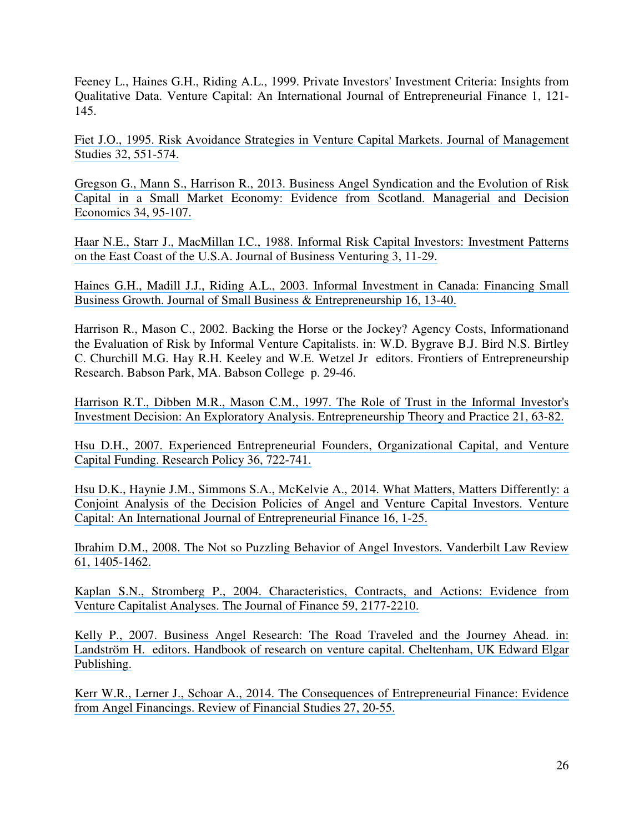Feeney L., Haines G.H., Riding A.L., 1999. Private Investors' Investment Criteria: Insights from Qualitative Data. Venture Capital: An International Journal of Entrepreneurial Finance 1, 121- 145.

[Fiet J.O., 1995. Risk Avoidance Strategies in Venture Capital Markets. Journal of Management](https://www.researchgate.net/publication/229690429_Risk_Avoidance_Strategies_in_Venture_Capital_Markets?el=1_x_8&enrichId=rgreq-8af4d9bcdb676e03800bb438f388e717-XXX&enrichSource=Y292ZXJQYWdlOzI3NTY3MTA5NztBUzo0MzEyNTQ3MTg5NDczMjhAMTQ3OTgzMDU0NTU3Nw==) [Studies 32, 551-574.](https://www.researchgate.net/publication/229690429_Risk_Avoidance_Strategies_in_Venture_Capital_Markets?el=1_x_8&enrichId=rgreq-8af4d9bcdb676e03800bb438f388e717-XXX&enrichSource=Y292ZXJQYWdlOzI3NTY3MTA5NztBUzo0MzEyNTQ3MTg5NDczMjhAMTQ3OTgzMDU0NTU3Nw==)

[Gregson G., Mann S., Harrison R., 2013. Business Angel Syndication and the Evolution of Risk](https://www.researchgate.net/publication/260161297_Business_Angel_Syndication_and_the_Evolution_of_Risk_Capital_in_a_Small_Market_Economy_Evidence_from_Scotland?el=1_x_8&enrichId=rgreq-8af4d9bcdb676e03800bb438f388e717-XXX&enrichSource=Y292ZXJQYWdlOzI3NTY3MTA5NztBUzo0MzEyNTQ3MTg5NDczMjhAMTQ3OTgzMDU0NTU3Nw==) [Capital in a Small Market Economy: Evidence from Scotland. Managerial and Decision](https://www.researchgate.net/publication/260161297_Business_Angel_Syndication_and_the_Evolution_of_Risk_Capital_in_a_Small_Market_Economy_Evidence_from_Scotland?el=1_x_8&enrichId=rgreq-8af4d9bcdb676e03800bb438f388e717-XXX&enrichSource=Y292ZXJQYWdlOzI3NTY3MTA5NztBUzo0MzEyNTQ3MTg5NDczMjhAMTQ3OTgzMDU0NTU3Nw==) [Economics 34, 95-107.](https://www.researchgate.net/publication/260161297_Business_Angel_Syndication_and_the_Evolution_of_Risk_Capital_in_a_Small_Market_Economy_Evidence_from_Scotland?el=1_x_8&enrichId=rgreq-8af4d9bcdb676e03800bb438f388e717-XXX&enrichSource=Y292ZXJQYWdlOzI3NTY3MTA5NztBUzo0MzEyNTQ3MTg5NDczMjhAMTQ3OTgzMDU0NTU3Nw==)

[Haar N.E., Starr J., MacMillan I.C., 1988. Informal Risk Capital Investors: Investment Patterns](https://www.researchgate.net/publication/4968144_Informal_risk_capital_investors_Investment_patterns_on_the_East_Coast_of_the_USA?el=1_x_8&enrichId=rgreq-8af4d9bcdb676e03800bb438f388e717-XXX&enrichSource=Y292ZXJQYWdlOzI3NTY3MTA5NztBUzo0MzEyNTQ3MTg5NDczMjhAMTQ3OTgzMDU0NTU3Nw==) [on the East Coast of the U.S.A. Journal of Business Venturing 3, 11-29.](https://www.researchgate.net/publication/4968144_Informal_risk_capital_investors_Investment_patterns_on_the_East_Coast_of_the_USA?el=1_x_8&enrichId=rgreq-8af4d9bcdb676e03800bb438f388e717-XXX&enrichSource=Y292ZXJQYWdlOzI3NTY3MTA5NztBUzo0MzEyNTQ3MTg5NDczMjhAMTQ3OTgzMDU0NTU3Nw==)

[Haines G.H., Madill J.J., Riding A.L., 2003. Informal Investment in Canada: Financing Small](https://www.researchgate.net/publication/271822439_Informal_Investment_in_Canada_Financing_Small_Business_Growth?el=1_x_8&enrichId=rgreq-8af4d9bcdb676e03800bb438f388e717-XXX&enrichSource=Y292ZXJQYWdlOzI3NTY3MTA5NztBUzo0MzEyNTQ3MTg5NDczMjhAMTQ3OTgzMDU0NTU3Nw==) [Business Growth. Journal of Small Business & Entrepreneurship 16, 13-40.](https://www.researchgate.net/publication/271822439_Informal_Investment_in_Canada_Financing_Small_Business_Growth?el=1_x_8&enrichId=rgreq-8af4d9bcdb676e03800bb438f388e717-XXX&enrichSource=Y292ZXJQYWdlOzI3NTY3MTA5NztBUzo0MzEyNTQ3MTg5NDczMjhAMTQ3OTgzMDU0NTU3Nw==)

Harrison R., Mason C., 2002. Backing the Horse or the Jockey? Agency Costs, Informationand the Evaluation of Risk by Informal Venture Capitalists. in: W.D. Bygrave B.J. Bird N.S. Birtley C. Churchill M.G. Hay R.H. Keeley and W.E. Wetzel Jr editors. Frontiers of Entrepreneurship Research. Babson Park, MA. Babson College p. 29-46.

[Harrison R.T., Dibben M.R., Mason C.M., 1997. The Role of Trust in the Informal Investor's](https://www.researchgate.net/publication/284312672_The_role_of_trust_in_the_informal_investor) [Investment Decision: An Exploratory Analysis. Entrepreneurship Theory and Practice 21, 63-82.](https://www.researchgate.net/publication/284312672_The_role_of_trust_in_the_informal_investor)

[Hsu D.H., 2007. Experienced Entrepreneurial Founders, Organizational Capital, and Venture](https://www.researchgate.net/publication/4929925_Experienced_Entrepreneurial_Founders_Organizational_Capital_and_Venture_Capital_Funding?el=1_x_8&enrichId=rgreq-8af4d9bcdb676e03800bb438f388e717-XXX&enrichSource=Y292ZXJQYWdlOzI3NTY3MTA5NztBUzo0MzEyNTQ3MTg5NDczMjhAMTQ3OTgzMDU0NTU3Nw==) [Capital Funding. Research Policy 36, 722-741.](https://www.researchgate.net/publication/4929925_Experienced_Entrepreneurial_Founders_Organizational_Capital_and_Venture_Capital_Funding?el=1_x_8&enrichId=rgreq-8af4d9bcdb676e03800bb438f388e717-XXX&enrichSource=Y292ZXJQYWdlOzI3NTY3MTA5NztBUzo0MzEyNTQ3MTg5NDczMjhAMTQ3OTgzMDU0NTU3Nw==)

[Hsu D.K., Haynie J.M., Simmons S.A., McKelvie A., 2014. What Matters, Matters Differently: a](https://www.researchgate.net/publication/259192950_What_matters_matters_differently_a_conjoint_analysis_of_the_decision_policies_of_angel_and_venture_capital_investors?el=1_x_8&enrichId=rgreq-8af4d9bcdb676e03800bb438f388e717-XXX&enrichSource=Y292ZXJQYWdlOzI3NTY3MTA5NztBUzo0MzEyNTQ3MTg5NDczMjhAMTQ3OTgzMDU0NTU3Nw==) [Conjoint Analysis of the Decision Policies of Angel and Venture Capital Investors. Venture](https://www.researchgate.net/publication/259192950_What_matters_matters_differently_a_conjoint_analysis_of_the_decision_policies_of_angel_and_venture_capital_investors?el=1_x_8&enrichId=rgreq-8af4d9bcdb676e03800bb438f388e717-XXX&enrichSource=Y292ZXJQYWdlOzI3NTY3MTA5NztBUzo0MzEyNTQ3MTg5NDczMjhAMTQ3OTgzMDU0NTU3Nw==) [Capital: An International Journal of Entrepreneurial Finance 16, 1-25.](https://www.researchgate.net/publication/259192950_What_matters_matters_differently_a_conjoint_analysis_of_the_decision_policies_of_angel_and_venture_capital_investors?el=1_x_8&enrichId=rgreq-8af4d9bcdb676e03800bb438f388e717-XXX&enrichSource=Y292ZXJQYWdlOzI3NTY3MTA5NztBUzo0MzEyNTQ3MTg5NDczMjhAMTQ3OTgzMDU0NTU3Nw==) 

[Ibrahim D.M., 2008. The Not so Puzzling Behavior of Angel Investors. Vanderbilt Law Review](https://www.researchgate.net/publication/228219042_The_Not_So_Puzzling_Behavior_of_Angel_Investors?el=1_x_8&enrichId=rgreq-8af4d9bcdb676e03800bb438f388e717-XXX&enrichSource=Y292ZXJQYWdlOzI3NTY3MTA5NztBUzo0MzEyNTQ3MTg5NDczMjhAMTQ3OTgzMDU0NTU3Nw==) [61, 1405-1462.](https://www.researchgate.net/publication/228219042_The_Not_So_Puzzling_Behavior_of_Angel_Investors?el=1_x_8&enrichId=rgreq-8af4d9bcdb676e03800bb438f388e717-XXX&enrichSource=Y292ZXJQYWdlOzI3NTY3MTA5NztBUzo0MzEyNTQ3MTg5NDczMjhAMTQ3OTgzMDU0NTU3Nw==) 

[Kaplan S.N., Stromberg P., 2004. Characteristics, Contracts, and Actions: Evidence from](https://www.researchgate.net/publication/227500571_Characteristics_Contracts_and_Actions_Evidence_From_Venture_Capitalist_Analyses?el=1_x_8&enrichId=rgreq-8af4d9bcdb676e03800bb438f388e717-XXX&enrichSource=Y292ZXJQYWdlOzI3NTY3MTA5NztBUzo0MzEyNTQ3MTg5NDczMjhAMTQ3OTgzMDU0NTU3Nw==) [Venture Capitalist Analyses. The Journal of Finance 59, 2177-2210.](https://www.researchgate.net/publication/227500571_Characteristics_Contracts_and_Actions_Evidence_From_Venture_Capitalist_Analyses?el=1_x_8&enrichId=rgreq-8af4d9bcdb676e03800bb438f388e717-XXX&enrichSource=Y292ZXJQYWdlOzI3NTY3MTA5NztBUzo0MzEyNTQ3MTg5NDczMjhAMTQ3OTgzMDU0NTU3Nw==)

[Kelly P., 2007. Business Angel Research: The Road Traveled and the Journey Ahead. in:](https://www.researchgate.net/publication/288160607_Business_angel_research_The_road_traveled_and_the_journey_ahead?el=1_x_8&enrichId=rgreq-8af4d9bcdb676e03800bb438f388e717-XXX&enrichSource=Y292ZXJQYWdlOzI3NTY3MTA5NztBUzo0MzEyNTQ3MTg5NDczMjhAMTQ3OTgzMDU0NTU3Nw==) [Landström H. editors. Handbook of research on venture capital. Cheltenham, UK Edward Elgar](https://www.researchgate.net/publication/298634764_Handbook_of_research_on_venture_capital?el=1_x_8&enrichId=rgreq-8af4d9bcdb676e03800bb438f388e717-XXX&enrichSource=Y292ZXJQYWdlOzI3NTY3MTA5NztBUzo0MzEyNTQ3MTg5NDczMjhAMTQ3OTgzMDU0NTU3Nw==) [Publishing.](https://www.researchgate.net/publication/298634764_Handbook_of_research_on_venture_capital?el=1_x_8&enrichId=rgreq-8af4d9bcdb676e03800bb438f388e717-XXX&enrichSource=Y292ZXJQYWdlOzI3NTY3MTA5NztBUzo0MzEyNTQ3MTg5NDczMjhAMTQ3OTgzMDU0NTU3Nw==)

[Kerr W.R., Lerner J., Schoar A., 2014. The Consequences of Entrepreneurial Finance: Evidence](https://www.researchgate.net/publication/279415335_The_Consequences_of_Entrepreneurial_Finance_Evidence_from_Angel_Financings?el=1_x_8&enrichId=rgreq-8af4d9bcdb676e03800bb438f388e717-XXX&enrichSource=Y292ZXJQYWdlOzI3NTY3MTA5NztBUzo0MzEyNTQ3MTg5NDczMjhAMTQ3OTgzMDU0NTU3Nw==) [from Angel Financings. Review of Financial Studies 27, 20-55.](https://www.researchgate.net/publication/279415335_The_Consequences_of_Entrepreneurial_Finance_Evidence_from_Angel_Financings?el=1_x_8&enrichId=rgreq-8af4d9bcdb676e03800bb438f388e717-XXX&enrichSource=Y292ZXJQYWdlOzI3NTY3MTA5NztBUzo0MzEyNTQ3MTg5NDczMjhAMTQ3OTgzMDU0NTU3Nw==)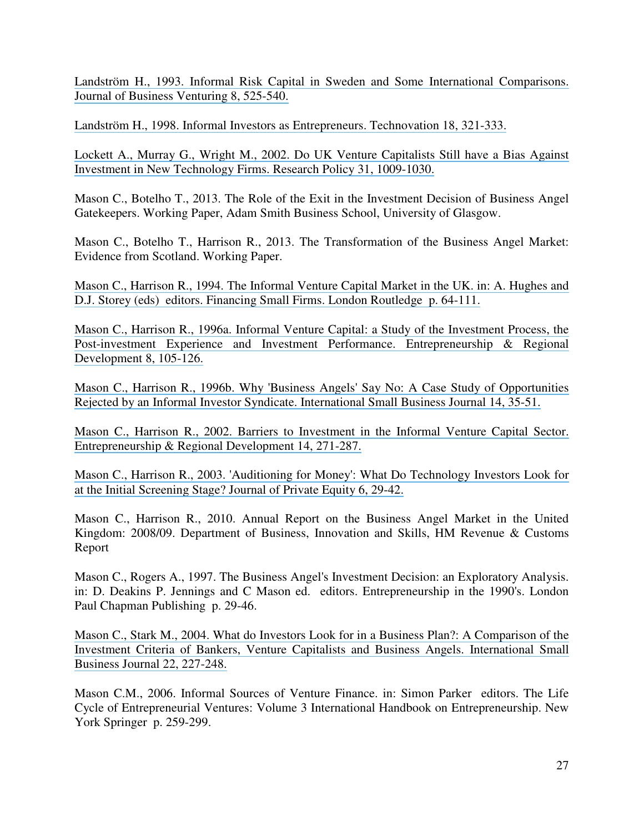[Landström H., 1993. Informal Risk Capital in Sweden and Some International Comparisons.](https://www.researchgate.net/publication/4968292_Informal_Risk_Capital_In_Sweden_and_Some_International_Comparisons?el=1_x_8&enrichId=rgreq-8af4d9bcdb676e03800bb438f388e717-XXX&enrichSource=Y292ZXJQYWdlOzI3NTY3MTA5NztBUzo0MzEyNTQ3MTg5NDczMjhAMTQ3OTgzMDU0NTU3Nw==) [Journal of Business Venturing 8, 525-540.](https://www.researchgate.net/publication/4968292_Informal_Risk_Capital_In_Sweden_and_Some_International_Comparisons?el=1_x_8&enrichId=rgreq-8af4d9bcdb676e03800bb438f388e717-XXX&enrichSource=Y292ZXJQYWdlOzI3NTY3MTA5NztBUzo0MzEyNTQ3MTg5NDczMjhAMTQ3OTgzMDU0NTU3Nw==)

[Landström H., 1998. Informal Investors as Entrepreneurs. Technovation 18, 321-333.](https://www.researchgate.net/publication/223010484_Informal_investors_as_entrepreneurs?el=1_x_8&enrichId=rgreq-8af4d9bcdb676e03800bb438f388e717-XXX&enrichSource=Y292ZXJQYWdlOzI3NTY3MTA5NztBUzo0MzEyNTQ3MTg5NDczMjhAMTQ3OTgzMDU0NTU3Nw==) 

[Lockett A., Murray G., Wright M., 2002. Do UK Venture Capitalists Still have a Bias Against](https://www.researchgate.net/publication/223597969_Do_UK_venture_capitalists_still_have_a_bias_against_investment_in_new_technology_firms?el=1_x_8&enrichId=rgreq-8af4d9bcdb676e03800bb438f388e717-XXX&enrichSource=Y292ZXJQYWdlOzI3NTY3MTA5NztBUzo0MzEyNTQ3MTg5NDczMjhAMTQ3OTgzMDU0NTU3Nw==) [Investment in New Technology Firms. Research Policy 31, 1009-1030.](https://www.researchgate.net/publication/223597969_Do_UK_venture_capitalists_still_have_a_bias_against_investment_in_new_technology_firms?el=1_x_8&enrichId=rgreq-8af4d9bcdb676e03800bb438f388e717-XXX&enrichSource=Y292ZXJQYWdlOzI3NTY3MTA5NztBUzo0MzEyNTQ3MTg5NDczMjhAMTQ3OTgzMDU0NTU3Nw==)

Mason C., Botelho T., 2013. The Role of the Exit in the Investment Decision of Business Angel Gatekeepers. Working Paper, Adam Smith Business School, University of Glasgow.

Mason C., Botelho T., Harrison R., 2013. The Transformation of the Business Angel Market: Evidence from Scotland. Working Paper.

[Mason C., Harrison R., 1994. The Informal Venture Capital Market in the UK. in: A. Hughes and](https://www.researchgate.net/publication/284098214_The_informal_venture_capital_market_in_the_UK?el=1_x_8&enrichId=rgreq-8af4d9bcdb676e03800bb438f388e717-XXX&enrichSource=Y292ZXJQYWdlOzI3NTY3MTA5NztBUzo0MzEyNTQ3MTg5NDczMjhAMTQ3OTgzMDU0NTU3Nw==) [D.J. Storey \(eds\) editors. Financing Small Firms. London Routledge p. 64-111.](https://www.researchgate.net/publication/284098214_The_informal_venture_capital_market_in_the_UK?el=1_x_8&enrichId=rgreq-8af4d9bcdb676e03800bb438f388e717-XXX&enrichSource=Y292ZXJQYWdlOzI3NTY3MTA5NztBUzo0MzEyNTQ3MTg5NDczMjhAMTQ3OTgzMDU0NTU3Nw==) 

[Mason C., Harrison R., 1996a. Informal Venture Capital: a Study of the Investment Process, the](https://www.researchgate.net/publication/233105001_Informal_Venture_Capital_A_Study_of_the_Investment_Process_the_Post-Investment_Experience_and_Investment_Performance?el=1_x_8&enrichId=rgreq-8af4d9bcdb676e03800bb438f388e717-XXX&enrichSource=Y292ZXJQYWdlOzI3NTY3MTA5NztBUzo0MzEyNTQ3MTg5NDczMjhAMTQ3OTgzMDU0NTU3Nw==) [Post-investment Experience and Investment Performance. Entrepreneurship & Regional](https://www.researchgate.net/publication/233105001_Informal_Venture_Capital_A_Study_of_the_Investment_Process_the_Post-Investment_Experience_and_Investment_Performance?el=1_x_8&enrichId=rgreq-8af4d9bcdb676e03800bb438f388e717-XXX&enrichSource=Y292ZXJQYWdlOzI3NTY3MTA5NztBUzo0MzEyNTQ3MTg5NDczMjhAMTQ3OTgzMDU0NTU3Nw==) [Development 8, 105-126.](https://www.researchgate.net/publication/233105001_Informal_Venture_Capital_A_Study_of_the_Investment_Process_the_Post-Investment_Experience_and_Investment_Performance?el=1_x_8&enrichId=rgreq-8af4d9bcdb676e03800bb438f388e717-XXX&enrichSource=Y292ZXJQYWdlOzI3NTY3MTA5NztBUzo0MzEyNTQ3MTg5NDczMjhAMTQ3OTgzMDU0NTU3Nw==)

[Mason C., Harrison R., 1996b. Why 'Business Angels' Say No: A Case Study of Opportunities](https://www.researchgate.net/publication/247738522_Why_) [Rejected by an Informal Investor Syndicate. International Small Business Journal 14, 35-51.](https://www.researchgate.net/publication/247738522_Why_)

[Mason C., Harrison R., 2002. Barriers to Investment in the Informal Venture Capital Sector.](https://www.researchgate.net/publication/228876780_Barriers_to_Investment_in_the_Informal_Venture_Capital_Sector?el=1_x_8&enrichId=rgreq-8af4d9bcdb676e03800bb438f388e717-XXX&enrichSource=Y292ZXJQYWdlOzI3NTY3MTA5NztBUzo0MzEyNTQ3MTg5NDczMjhAMTQ3OTgzMDU0NTU3Nw==) [Entrepreneurship & Regional Development 14, 271-287.](https://www.researchgate.net/publication/228876780_Barriers_to_Investment_in_the_Informal_Venture_Capital_Sector?el=1_x_8&enrichId=rgreq-8af4d9bcdb676e03800bb438f388e717-XXX&enrichSource=Y292ZXJQYWdlOzI3NTY3MTA5NztBUzo0MzEyNTQ3MTg5NDczMjhAMTQ3OTgzMDU0NTU3Nw==) 

[Mason C., Harrison R., 2003. 'Auditioning for Money': What Do Technology Investors Look for](https://www.researchgate.net/publication/247907718_Auditioning_for_Money_What_Do_Technology_Investors_Look_For_at_the_Initial_Screening_Stage?el=1_x_8&enrichId=rgreq-8af4d9bcdb676e03800bb438f388e717-XXX&enrichSource=Y292ZXJQYWdlOzI3NTY3MTA5NztBUzo0MzEyNTQ3MTg5NDczMjhAMTQ3OTgzMDU0NTU3Nw==) [at the Initial Screening Stage? Journal of Private Equity 6, 29-42.](https://www.researchgate.net/publication/247907718_Auditioning_for_Money_What_Do_Technology_Investors_Look_For_at_the_Initial_Screening_Stage?el=1_x_8&enrichId=rgreq-8af4d9bcdb676e03800bb438f388e717-XXX&enrichSource=Y292ZXJQYWdlOzI3NTY3MTA5NztBUzo0MzEyNTQ3MTg5NDczMjhAMTQ3OTgzMDU0NTU3Nw==)

Mason C., Harrison R., 2010. Annual Report on the Business Angel Market in the United Kingdom: 2008/09. Department of Business, Innovation and Skills, HM Revenue & Customs Report

Mason C., Rogers A., 1997. The Business Angel's Investment Decision: an Exploratory Analysis. in: D. Deakins P. Jennings and C Mason ed. editors. Entrepreneurship in the 1990's. London Paul Chapman Publishing p. 29-46.

[Mason C., Stark M., 2004. What do Investors Look for in a Business Plan?: A Comparison of the](https://www.researchgate.net/publication/247738793_What_do_Investors_Look_for_in_a_Business_Plan_A_Comparison_of_the_Investment_Criteria_of_Bankers_Venture_Capitalists_and_Business_Angels?el=1_x_8&enrichId=rgreq-8af4d9bcdb676e03800bb438f388e717-XXX&enrichSource=Y292ZXJQYWdlOzI3NTY3MTA5NztBUzo0MzEyNTQ3MTg5NDczMjhAMTQ3OTgzMDU0NTU3Nw==) [Investment Criteria of Bankers, Venture Capitalists and Business Angels. International Small](https://www.researchgate.net/publication/247738793_What_do_Investors_Look_for_in_a_Business_Plan_A_Comparison_of_the_Investment_Criteria_of_Bankers_Venture_Capitalists_and_Business_Angels?el=1_x_8&enrichId=rgreq-8af4d9bcdb676e03800bb438f388e717-XXX&enrichSource=Y292ZXJQYWdlOzI3NTY3MTA5NztBUzo0MzEyNTQ3MTg5NDczMjhAMTQ3OTgzMDU0NTU3Nw==) [Business Journal 22, 227-248.](https://www.researchgate.net/publication/247738793_What_do_Investors_Look_for_in_a_Business_Plan_A_Comparison_of_the_Investment_Criteria_of_Bankers_Venture_Capitalists_and_Business_Angels?el=1_x_8&enrichId=rgreq-8af4d9bcdb676e03800bb438f388e717-XXX&enrichSource=Y292ZXJQYWdlOzI3NTY3MTA5NztBUzo0MzEyNTQ3MTg5NDczMjhAMTQ3OTgzMDU0NTU3Nw==) 

Mason C.M., 2006. Informal Sources of Venture Finance. in: Simon Parker editors. The Life Cycle of Entrepreneurial Ventures: Volume 3 International Handbook on Entrepreneurship. New York Springer p. 259-299.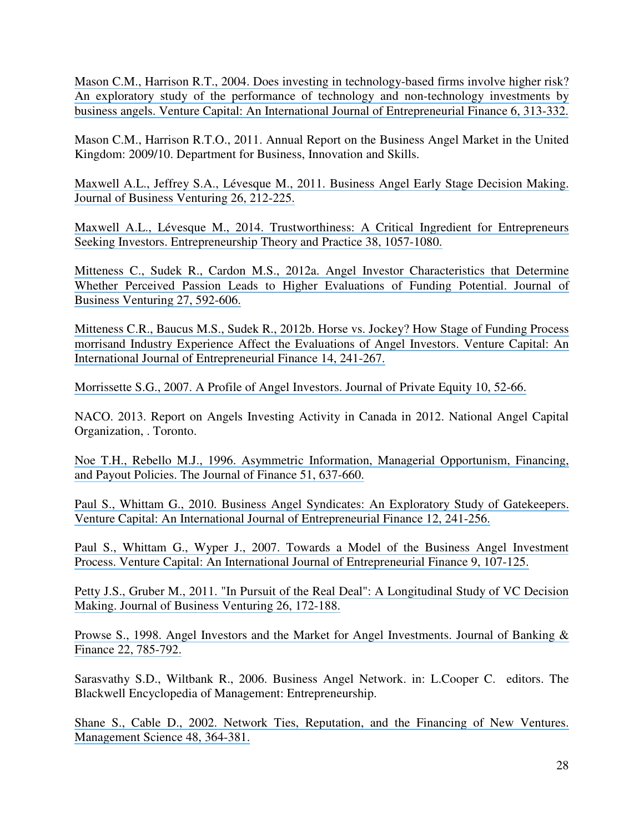[Mason C.M., Harrison R.T., 2004. Does investing in technology-based firms involve higher risk?](https://www.researchgate.net/publication/240238955_Does_investing_in_technology-based_firms_involve_higher_risk_An_exploratory_study_of_the_performance_of_technology_and_non-technology_investments_by_business_angels?el=1_x_8&enrichId=rgreq-8af4d9bcdb676e03800bb438f388e717-XXX&enrichSource=Y292ZXJQYWdlOzI3NTY3MTA5NztBUzo0MzEyNTQ3MTg5NDczMjhAMTQ3OTgzMDU0NTU3Nw==) [An exploratory study of the performance of technology and non-technology investments by](https://www.researchgate.net/publication/240238955_Does_investing_in_technology-based_firms_involve_higher_risk_An_exploratory_study_of_the_performance_of_technology_and_non-technology_investments_by_business_angels?el=1_x_8&enrichId=rgreq-8af4d9bcdb676e03800bb438f388e717-XXX&enrichSource=Y292ZXJQYWdlOzI3NTY3MTA5NztBUzo0MzEyNTQ3MTg5NDczMjhAMTQ3OTgzMDU0NTU3Nw==) [business angels. Venture Capital: An International Journal of Entrepreneurial Finance 6, 313-332.](https://www.researchgate.net/publication/240238955_Does_investing_in_technology-based_firms_involve_higher_risk_An_exploratory_study_of_the_performance_of_technology_and_non-technology_investments_by_business_angels?el=1_x_8&enrichId=rgreq-8af4d9bcdb676e03800bb438f388e717-XXX&enrichSource=Y292ZXJQYWdlOzI3NTY3MTA5NztBUzo0MzEyNTQ3MTg5NDczMjhAMTQ3OTgzMDU0NTU3Nw==) 

Mason C.M., Harrison R.T.O., 2011. Annual Report on the Business Angel Market in the United Kingdom: 2009/10. Department for Business, Innovation and Skills.

[Maxwell A.L., Jeffrey S.A., Lévesque M., 2011. Business Angel Early Stage Decision Making.](https://www.researchgate.net/publication/227418352_Business_Angel_Early_Stage_Decision_Making?el=1_x_8&enrichId=rgreq-8af4d9bcdb676e03800bb438f388e717-XXX&enrichSource=Y292ZXJQYWdlOzI3NTY3MTA5NztBUzo0MzEyNTQ3MTg5NDczMjhAMTQ3OTgzMDU0NTU3Nw==) [Journal of Business Venturing 26, 212-225.](https://www.researchgate.net/publication/227418352_Business_Angel_Early_Stage_Decision_Making?el=1_x_8&enrichId=rgreq-8af4d9bcdb676e03800bb438f388e717-XXX&enrichSource=Y292ZXJQYWdlOzI3NTY3MTA5NztBUzo0MzEyNTQ3MTg5NDczMjhAMTQ3OTgzMDU0NTU3Nw==)

[Maxwell A.L., Lévesque M., 2014. Trustworthiness: A Critical Ingredient for Entrepreneurs](https://www.researchgate.net/publication/264454437_Trustworthiness_A_Critical_Ingredient_for_Entrepreneurs_Seeking_Investors?el=1_x_8&enrichId=rgreq-8af4d9bcdb676e03800bb438f388e717-XXX&enrichSource=Y292ZXJQYWdlOzI3NTY3MTA5NztBUzo0MzEyNTQ3MTg5NDczMjhAMTQ3OTgzMDU0NTU3Nw==) [Seeking Investors. Entrepreneurship Theory and Practice 38, 1057-1080.](https://www.researchgate.net/publication/264454437_Trustworthiness_A_Critical_Ingredient_for_Entrepreneurs_Seeking_Investors?el=1_x_8&enrichId=rgreq-8af4d9bcdb676e03800bb438f388e717-XXX&enrichSource=Y292ZXJQYWdlOzI3NTY3MTA5NztBUzo0MzEyNTQ3MTg5NDczMjhAMTQ3OTgzMDU0NTU3Nw==) 

[Mitteness C., Sudek R., Cardon M.S., 2012a. Angel Investor Characteristics that Determine](https://www.researchgate.net/publication/257266752_Investor_characteristics_that_determine_whether_perceived_passion_leads_to_higher_evaluations_of_funding_potential?el=1_x_8&enrichId=rgreq-8af4d9bcdb676e03800bb438f388e717-XXX&enrichSource=Y292ZXJQYWdlOzI3NTY3MTA5NztBUzo0MzEyNTQ3MTg5NDczMjhAMTQ3OTgzMDU0NTU3Nw==) [Whether Perceived Passion Leads to Higher Evaluations of Funding Potential. Journal of](https://www.researchgate.net/publication/257266752_Investor_characteristics_that_determine_whether_perceived_passion_leads_to_higher_evaluations_of_funding_potential?el=1_x_8&enrichId=rgreq-8af4d9bcdb676e03800bb438f388e717-XXX&enrichSource=Y292ZXJQYWdlOzI3NTY3MTA5NztBUzo0MzEyNTQ3MTg5NDczMjhAMTQ3OTgzMDU0NTU3Nw==) [Business Venturing 27, 592-606.](https://www.researchgate.net/publication/257266752_Investor_characteristics_that_determine_whether_perceived_passion_leads_to_higher_evaluations_of_funding_potential?el=1_x_8&enrichId=rgreq-8af4d9bcdb676e03800bb438f388e717-XXX&enrichSource=Y292ZXJQYWdlOzI3NTY3MTA5NztBUzo0MzEyNTQ3MTg5NDczMjhAMTQ3OTgzMDU0NTU3Nw==)

[Mitteness C.R., Baucus M.S., Sudek R., 2012b. Horse vs. Jockey? How Stage of Funding Process](https://www.researchgate.net/publication/254325285_Horse_vs_Jockey_How_stage_of_funding_process_and_industry_experience_affect_the_evaluations_of_angel_investors?el=1_x_8&enrichId=rgreq-8af4d9bcdb676e03800bb438f388e717-XXX&enrichSource=Y292ZXJQYWdlOzI3NTY3MTA5NztBUzo0MzEyNTQ3MTg5NDczMjhAMTQ3OTgzMDU0NTU3Nw==) [morrisand Industry Experience Affect the Evaluations of Angel Investors. Venture Capital: An](https://www.researchgate.net/publication/254325285_Horse_vs_Jockey_How_stage_of_funding_process_and_industry_experience_affect_the_evaluations_of_angel_investors?el=1_x_8&enrichId=rgreq-8af4d9bcdb676e03800bb438f388e717-XXX&enrichSource=Y292ZXJQYWdlOzI3NTY3MTA5NztBUzo0MzEyNTQ3MTg5NDczMjhAMTQ3OTgzMDU0NTU3Nw==) [International Journal of Entrepreneurial Finance 14, 241-267.](https://www.researchgate.net/publication/254325285_Horse_vs_Jockey_How_stage_of_funding_process_and_industry_experience_affect_the_evaluations_of_angel_investors?el=1_x_8&enrichId=rgreq-8af4d9bcdb676e03800bb438f388e717-XXX&enrichSource=Y292ZXJQYWdlOzI3NTY3MTA5NztBUzo0MzEyNTQ3MTg5NDczMjhAMTQ3OTgzMDU0NTU3Nw==)

[Morrissette S.G., 2007. A Profile of Angel Investors. Journal of Private Equity 10, 52-66.](https://www.researchgate.net/publication/247907755_A_Profile_of_Angel_Investors?el=1_x_8&enrichId=rgreq-8af4d9bcdb676e03800bb438f388e717-XXX&enrichSource=Y292ZXJQYWdlOzI3NTY3MTA5NztBUzo0MzEyNTQ3MTg5NDczMjhAMTQ3OTgzMDU0NTU3Nw==) 

NACO. 2013. Report on Angels Investing Activity in Canada in 2012. National Angel Capital Organization, . Toronto.

[Noe T.H., Rebello M.J., 1996. Asymmetric Information, Managerial Opportunism, Financing,](https://www.researchgate.net/publication/4912850_Asymmetric_Information_Managerial_Opportunism_Financing_and_Payout_Policies?el=1_x_8&enrichId=rgreq-8af4d9bcdb676e03800bb438f388e717-XXX&enrichSource=Y292ZXJQYWdlOzI3NTY3MTA5NztBUzo0MzEyNTQ3MTg5NDczMjhAMTQ3OTgzMDU0NTU3Nw==) [and Payout Policies. The Journal of Finance 51, 637-660.](https://www.researchgate.net/publication/4912850_Asymmetric_Information_Managerial_Opportunism_Financing_and_Payout_Policies?el=1_x_8&enrichId=rgreq-8af4d9bcdb676e03800bb438f388e717-XXX&enrichSource=Y292ZXJQYWdlOzI3NTY3MTA5NztBUzo0MzEyNTQ3MTg5NDczMjhAMTQ3OTgzMDU0NTU3Nw==)

[Paul S., Whittam G., 2010. Business Angel Syndicates: An Exploratory Study of Gatekeepers.](https://www.researchgate.net/publication/233033559_Business_angel_syndicates_An_exploratory_study_of_gatekeepers?el=1_x_8&enrichId=rgreq-8af4d9bcdb676e03800bb438f388e717-XXX&enrichSource=Y292ZXJQYWdlOzI3NTY3MTA5NztBUzo0MzEyNTQ3MTg5NDczMjhAMTQ3OTgzMDU0NTU3Nw==) [Venture Capital: An International Journal of Entrepreneurial Finance 12, 241-256.](https://www.researchgate.net/publication/233033559_Business_angel_syndicates_An_exploratory_study_of_gatekeepers?el=1_x_8&enrichId=rgreq-8af4d9bcdb676e03800bb438f388e717-XXX&enrichSource=Y292ZXJQYWdlOzI3NTY3MTA5NztBUzo0MzEyNTQ3MTg5NDczMjhAMTQ3OTgzMDU0NTU3Nw==)

[Paul S., Whittam G., Wyper J., 2007. Towards a Model of the Business Angel Investment](https://www.researchgate.net/publication/247523731_Toward_a_model_of_the_business_angel_investment_process?el=1_x_8&enrichId=rgreq-8af4d9bcdb676e03800bb438f388e717-XXX&enrichSource=Y292ZXJQYWdlOzI3NTY3MTA5NztBUzo0MzEyNTQ3MTg5NDczMjhAMTQ3OTgzMDU0NTU3Nw==) [Process. Venture Capital: An International Journal of Entrepreneurial Finance 9, 107-125.](https://www.researchgate.net/publication/247523731_Toward_a_model_of_the_business_angel_investment_process?el=1_x_8&enrichId=rgreq-8af4d9bcdb676e03800bb438f388e717-XXX&enrichSource=Y292ZXJQYWdlOzI3NTY3MTA5NztBUzo0MzEyNTQ3MTg5NDczMjhAMTQ3OTgzMDU0NTU3Nw==)

[Petty J.S., Gruber M., 2011. "In Pursuit of the Real Deal": A Longitudinal Study of VC Decision](https://www.researchgate.net/publication/222328219_In_pursuit_of_the_real_deal_A_longitudinal_study_of_VC_decision_making?el=1_x_8&enrichId=rgreq-8af4d9bcdb676e03800bb438f388e717-XXX&enrichSource=Y292ZXJQYWdlOzI3NTY3MTA5NztBUzo0MzEyNTQ3MTg5NDczMjhAMTQ3OTgzMDU0NTU3Nw==) [Making. Journal of Business Venturing 26, 172-188.](https://www.researchgate.net/publication/222328219_In_pursuit_of_the_real_deal_A_longitudinal_study_of_VC_decision_making?el=1_x_8&enrichId=rgreq-8af4d9bcdb676e03800bb438f388e717-XXX&enrichSource=Y292ZXJQYWdlOzI3NTY3MTA5NztBUzo0MzEyNTQ3MTg5NDczMjhAMTQ3OTgzMDU0NTU3Nw==) 

[Prowse S., 1998. Angel Investors and the Market for Angel Investments. Journal of Banking &](https://www.researchgate.net/publication/222856935_Angel_Investors_and_the_Market_for_Angel_Investments?el=1_x_8&enrichId=rgreq-8af4d9bcdb676e03800bb438f388e717-XXX&enrichSource=Y292ZXJQYWdlOzI3NTY3MTA5NztBUzo0MzEyNTQ3MTg5NDczMjhAMTQ3OTgzMDU0NTU3Nw==) Finance 22, 785-792.

Sarasvathy S.D., Wiltbank R., 2006. Business Angel Network. in: L.Cooper C. editors. The Blackwell Encyclopedia of Management: Entrepreneurship.

[Shane S., Cable D., 2002. Network Ties, Reputation, and the Financing of New Ventures.](https://www.researchgate.net/publication/284401749_Network_ties_reputation_and_the_financing_of_new_ventures?el=1_x_8&enrichId=rgreq-8af4d9bcdb676e03800bb438f388e717-XXX&enrichSource=Y292ZXJQYWdlOzI3NTY3MTA5NztBUzo0MzEyNTQ3MTg5NDczMjhAMTQ3OTgzMDU0NTU3Nw==) [Management Science 48, 364-381.](https://www.researchgate.net/publication/284401749_Network_ties_reputation_and_the_financing_of_new_ventures?el=1_x_8&enrichId=rgreq-8af4d9bcdb676e03800bb438f388e717-XXX&enrichSource=Y292ZXJQYWdlOzI3NTY3MTA5NztBUzo0MzEyNTQ3MTg5NDczMjhAMTQ3OTgzMDU0NTU3Nw==)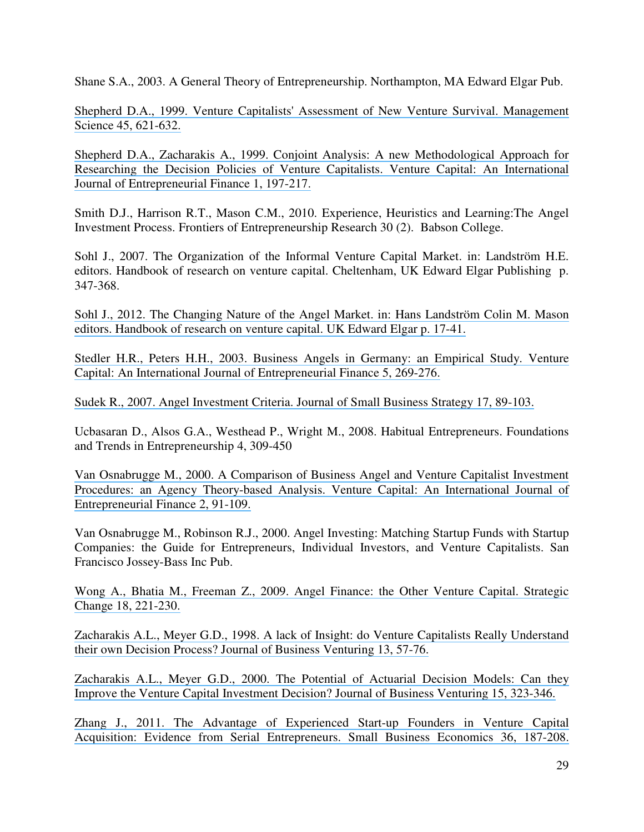Shane S.A., 2003. A General Theory of Entrepreneurship. Northampton, MA Edward Elgar Pub.

[Shepherd D.A., 1999. Venture Capitalists' Assessment of New Venture Survival. Management](https://www.researchgate.net/publication/227447215_Venture_Capitalists) [Science 45, 621-632.](https://www.researchgate.net/publication/227447215_Venture_Capitalists)

[Shepherd D.A., Zacharakis A., 1999. Conjoint Analysis: A new Methodological Approach for](https://www.researchgate.net/publication/261668092_Conjoint_Analysis_A_New_Methodological_Approach_for_Researching_the_Decision_Policies_of_Venture_Capitalists?el=1_x_8&enrichId=rgreq-8af4d9bcdb676e03800bb438f388e717-XXX&enrichSource=Y292ZXJQYWdlOzI3NTY3MTA5NztBUzo0MzEyNTQ3MTg5NDczMjhAMTQ3OTgzMDU0NTU3Nw==) [Researching the Decision Policies of Venture Capitalists. Venture Capital: An International](https://www.researchgate.net/publication/261668092_Conjoint_Analysis_A_New_Methodological_Approach_for_Researching_the_Decision_Policies_of_Venture_Capitalists?el=1_x_8&enrichId=rgreq-8af4d9bcdb676e03800bb438f388e717-XXX&enrichSource=Y292ZXJQYWdlOzI3NTY3MTA5NztBUzo0MzEyNTQ3MTg5NDczMjhAMTQ3OTgzMDU0NTU3Nw==) [Journal of Entrepreneurial Finance 1, 197-217.](https://www.researchgate.net/publication/261668092_Conjoint_Analysis_A_New_Methodological_Approach_for_Researching_the_Decision_Policies_of_Venture_Capitalists?el=1_x_8&enrichId=rgreq-8af4d9bcdb676e03800bb438f388e717-XXX&enrichSource=Y292ZXJQYWdlOzI3NTY3MTA5NztBUzo0MzEyNTQ3MTg5NDczMjhAMTQ3OTgzMDU0NTU3Nw==) 

Smith D.J., Harrison R.T., Mason C.M., 2010. Experience, Heuristics and Learning:The Angel Investment Process. Frontiers of Entrepreneurship Research 30 (2). Babson College.

Sohl J., 2007. The Organization of the Informal Venture Capital Market. in: Landström H.E. editors. Handbook of research on venture capital. Cheltenham, UK Edward Elgar Publishing p. 347-368.

[Sohl J., 2012. The Changing Nature of the Angel Market. in: Hans Landström Colin M. Mason](https://www.researchgate.net/publication/282592804_The_changing_nature_of_the_angel_market?el=1_x_8&enrichId=rgreq-8af4d9bcdb676e03800bb438f388e717-XXX&enrichSource=Y292ZXJQYWdlOzI3NTY3MTA5NztBUzo0MzEyNTQ3MTg5NDczMjhAMTQ3OTgzMDU0NTU3Nw==) [editors. Handbook of research on venture capital. UK Edward Elgar p. 17-41.](https://www.researchgate.net/publication/282592804_The_changing_nature_of_the_angel_market?el=1_x_8&enrichId=rgreq-8af4d9bcdb676e03800bb438f388e717-XXX&enrichSource=Y292ZXJQYWdlOzI3NTY3MTA5NztBUzo0MzEyNTQ3MTg5NDczMjhAMTQ3OTgzMDU0NTU3Nw==)

[Stedler H.R., Peters H.H., 2003. Business Angels in Germany: an Empirical Study. Venture](https://www.researchgate.net/publication/232827068_Business_angels_in_Germany_An_empirical_study?el=1_x_8&enrichId=rgreq-8af4d9bcdb676e03800bb438f388e717-XXX&enrichSource=Y292ZXJQYWdlOzI3NTY3MTA5NztBUzo0MzEyNTQ3MTg5NDczMjhAMTQ3OTgzMDU0NTU3Nw==) [Capital: An International Journal of Entrepreneurial Finance 5, 269-276.](https://www.researchgate.net/publication/232827068_Business_angels_in_Germany_An_empirical_study?el=1_x_8&enrichId=rgreq-8af4d9bcdb676e03800bb438f388e717-XXX&enrichSource=Y292ZXJQYWdlOzI3NTY3MTA5NztBUzo0MzEyNTQ3MTg5NDczMjhAMTQ3OTgzMDU0NTU3Nw==) 

[Sudek R., 2007. Angel Investment Criteria. Journal of Small Business Strategy 17, 89-103.](https://www.researchgate.net/publication/228636810_Angel_investment_criteria?el=1_x_8&enrichId=rgreq-8af4d9bcdb676e03800bb438f388e717-XXX&enrichSource=Y292ZXJQYWdlOzI3NTY3MTA5NztBUzo0MzEyNTQ3MTg5NDczMjhAMTQ3OTgzMDU0NTU3Nw==)

Ucbasaran D., Alsos G.A., Westhead P., Wright M., 2008. Habitual Entrepreneurs. Foundations and Trends in Entrepreneurship 4, 309-450

[Van Osnabrugge M., 2000. A Comparison of Business Angel and Venture Capitalist Investment](https://www.researchgate.net/publication/247510983_A_Comparison_of_Business_Angel_and_Venture_Capitalist_Investment_Procedures_An_Agency_Theory-Based_Analysis?el=1_x_8&enrichId=rgreq-8af4d9bcdb676e03800bb438f388e717-XXX&enrichSource=Y292ZXJQYWdlOzI3NTY3MTA5NztBUzo0MzEyNTQ3MTg5NDczMjhAMTQ3OTgzMDU0NTU3Nw==) [Procedures: an Agency Theory-based Analysis. Venture Capital: An International Journal of](https://www.researchgate.net/publication/247510983_A_Comparison_of_Business_Angel_and_Venture_Capitalist_Investment_Procedures_An_Agency_Theory-Based_Analysis?el=1_x_8&enrichId=rgreq-8af4d9bcdb676e03800bb438f388e717-XXX&enrichSource=Y292ZXJQYWdlOzI3NTY3MTA5NztBUzo0MzEyNTQ3MTg5NDczMjhAMTQ3OTgzMDU0NTU3Nw==) [Entrepreneurial Finance 2, 91-109.](https://www.researchgate.net/publication/247510983_A_Comparison_of_Business_Angel_and_Venture_Capitalist_Investment_Procedures_An_Agency_Theory-Based_Analysis?el=1_x_8&enrichId=rgreq-8af4d9bcdb676e03800bb438f388e717-XXX&enrichSource=Y292ZXJQYWdlOzI3NTY3MTA5NztBUzo0MzEyNTQ3MTg5NDczMjhAMTQ3OTgzMDU0NTU3Nw==) 

Van Osnabrugge M., Robinson R.J., 2000. Angel Investing: Matching Startup Funds with Startup Companies: the Guide for Entrepreneurs, Individual Investors, and Venture Capitalists. San Francisco Jossey-Bass Inc Pub.

[Wong A., Bhatia M., Freeman Z., 2009. Angel Finance: the Other Venture Capital. Strategic](https://www.researchgate.net/publication/264487892_Angel_Finance_The_Other_Venture_Capital?el=1_x_8&enrichId=rgreq-8af4d9bcdb676e03800bb438f388e717-XXX&enrichSource=Y292ZXJQYWdlOzI3NTY3MTA5NztBUzo0MzEyNTQ3MTg5NDczMjhAMTQ3OTgzMDU0NTU3Nw==) [Change 18, 221-230.](https://www.researchgate.net/publication/264487892_Angel_Finance_The_Other_Venture_Capital?el=1_x_8&enrichId=rgreq-8af4d9bcdb676e03800bb438f388e717-XXX&enrichSource=Y292ZXJQYWdlOzI3NTY3MTA5NztBUzo0MzEyNTQ3MTg5NDczMjhAMTQ3OTgzMDU0NTU3Nw==)

[Zacharakis A.L., Meyer G.D., 1998. A lack of Insight: do Venture Capitalists Really Understand](https://www.researchgate.net/publication/223475338_A_Lack_of_Insight_Do_Venture_Capitalists_Really_Understand_Their_Own_Decision_Process?el=1_x_8&enrichId=rgreq-8af4d9bcdb676e03800bb438f388e717-XXX&enrichSource=Y292ZXJQYWdlOzI3NTY3MTA5NztBUzo0MzEyNTQ3MTg5NDczMjhAMTQ3OTgzMDU0NTU3Nw==) [their own Decision Process? Journal of Business Venturing 13, 57-76.](https://www.researchgate.net/publication/223475338_A_Lack_of_Insight_Do_Venture_Capitalists_Really_Understand_Their_Own_Decision_Process?el=1_x_8&enrichId=rgreq-8af4d9bcdb676e03800bb438f388e717-XXX&enrichSource=Y292ZXJQYWdlOzI3NTY3MTA5NztBUzo0MzEyNTQ3MTg5NDczMjhAMTQ3OTgzMDU0NTU3Nw==) 

[Zacharakis A.L., Meyer G.D., 2000. The Potential of Actuarial Decision Models: Can they](https://www.researchgate.net/publication/4967855_The_potential_of_actuarial_decision_models_Can_they_improve_the_venture_capital_investment_decision?el=1_x_8&enrichId=rgreq-8af4d9bcdb676e03800bb438f388e717-XXX&enrichSource=Y292ZXJQYWdlOzI3NTY3MTA5NztBUzo0MzEyNTQ3MTg5NDczMjhAMTQ3OTgzMDU0NTU3Nw==) [Improve the Venture Capital Investment Decision? Journal of Business Venturing 15, 323-346.](https://www.researchgate.net/publication/4967855_The_potential_of_actuarial_decision_models_Can_they_improve_the_venture_capital_investment_decision?el=1_x_8&enrichId=rgreq-8af4d9bcdb676e03800bb438f388e717-XXX&enrichSource=Y292ZXJQYWdlOzI3NTY3MTA5NztBUzo0MzEyNTQ3MTg5NDczMjhAMTQ3OTgzMDU0NTU3Nw==)

[Zhang J., 2011. The Advantage of Experienced Start-up Founders in Venture Capital](https://www.researchgate.net/publication/5137336_The_Advantage_of_Experienced_Start-Up_Founders_in_Venture_Capital_Acquisition_Evidence_from_Serial_Entrepreneurs?el=1_x_8&enrichId=rgreq-8af4d9bcdb676e03800bb438f388e717-XXX&enrichSource=Y292ZXJQYWdlOzI3NTY3MTA5NztBUzo0MzEyNTQ3MTg5NDczMjhAMTQ3OTgzMDU0NTU3Nw==) [Acquisition: Evidence from Serial Entrepreneurs. Small Business Economics 36, 187-208.](https://www.researchgate.net/publication/5137336_The_Advantage_of_Experienced_Start-Up_Founders_in_Venture_Capital_Acquisition_Evidence_from_Serial_Entrepreneurs?el=1_x_8&enrichId=rgreq-8af4d9bcdb676e03800bb438f388e717-XXX&enrichSource=Y292ZXJQYWdlOzI3NTY3MTA5NztBUzo0MzEyNTQ3MTg5NDczMjhAMTQ3OTgzMDU0NTU3Nw==)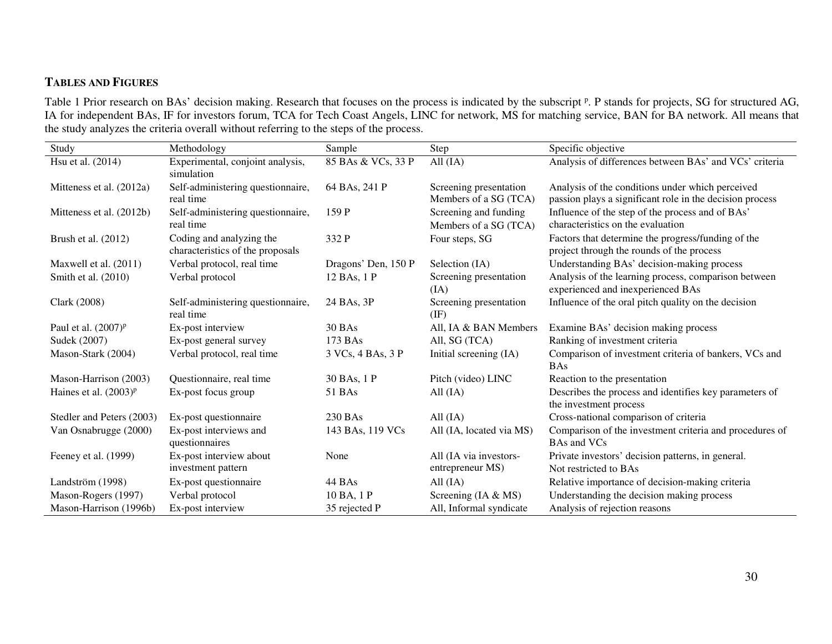# **TABLES AND FIGURES**

Table 1 Prior research on BAs' decision making. Research that focuses on the process is indicated by the subscript P. P stands for projects, SG for structured AG, IA for independent BAs, IF for investors forum, TCA for Tech Coast Angels, LINC for network, MS for matching service, BAN for BA network. All means that the study analyzes the criteria overall without referring to the steps of the process.

| Study                     | Methodology                                                  | Sample              | Step                                            | Specific objective                                                                                           |
|---------------------------|--------------------------------------------------------------|---------------------|-------------------------------------------------|--------------------------------------------------------------------------------------------------------------|
| Hsu et al. (2014)         | Experimental, conjoint analysis,<br>simulation               | 85 BAs & VCs, 33 P  | All $(IA)$                                      | Analysis of differences between BAs' and VCs' criteria                                                       |
| Mitteness et al. (2012a)  | Self-administering questionnaire,<br>real time               | 64 BAs, 241 P       | Screening presentation<br>Members of a SG (TCA) | Analysis of the conditions under which perceived<br>passion plays a significant role in the decision process |
| Mitteness et al. (2012b)  | Self-administering questionnaire,<br>real time               | 159 P               | Screening and funding<br>Members of a SG (TCA)  | Influence of the step of the process and of BAs'<br>characteristics on the evaluation                        |
| Brush et al. (2012)       | Coding and analyzing the<br>characteristics of the proposals | 332 P               | Four steps, SG                                  | Factors that determine the progress/funding of the<br>project through the rounds of the process              |
| Maxwell et al. $(2011)$   | Verbal protocol, real time                                   | Dragons' Den, 150 P | Selection (IA)                                  | Understanding BAs' decision-making process                                                                   |
| Smith et al. (2010)       | Verbal protocol                                              | 12 BAs, 1 P         | Screening presentation<br>(IA)                  | Analysis of the learning process, comparison between<br>experienced and inexperienced BAs                    |
| Clark (2008)              | Self-administering questionnaire,<br>real time               | 24 BAs, 3P          | Screening presentation<br>(IF)                  | Influence of the oral pitch quality on the decision                                                          |
| Paul et al. $(2007)^p$    | Ex-post interview                                            | 30 BAs              | All, IA & BAN Members                           | Examine BAs' decision making process                                                                         |
| Sudek (2007)              | Ex-post general survey                                       | 173 BAs             | All, SG (TCA)                                   | Ranking of investment criteria                                                                               |
| Mason-Stark (2004)        | Verbal protocol, real time                                   | 3 VCs, 4 BAs, 3 P   | Initial screening (IA)                          | Comparison of investment criteria of bankers, VCs and<br><b>BAs</b>                                          |
| Mason-Harrison (2003)     | Questionnaire, real time                                     | 30 BAs, 1 P         | Pitch (video) LINC                              | Reaction to the presentation                                                                                 |
| Haines et al. $(2003)^p$  | Ex-post focus group                                          | 51 BAs              | All $(IA)$                                      | Describes the process and identifies key parameters of<br>the investment process                             |
| Stedler and Peters (2003) | Ex-post questionnaire                                        | $230$ BAs           | All $(IA)$                                      | Cross-national comparison of criteria                                                                        |
| Van Osnabrugge (2000)     | Ex-post interviews and<br>questionnaires                     | 143 BAs, 119 VCs    | All (IA, located via MS)                        | Comparison of the investment criteria and procedures of<br><b>BAs and VCs</b>                                |
| Feeney et al. (1999)      | Ex-post interview about<br>investment pattern                | None                | All (IA via investors-<br>entrepreneur MS)      | Private investors' decision patterns, in general.<br>Not restricted to BAs                                   |
| Landström (1998)          | Ex-post questionnaire                                        | 44 BAs              | All $(IA)$                                      | Relative importance of decision-making criteria                                                              |
| Mason-Rogers (1997)       | Verbal protocol                                              | 10 BA, 1 P          | Screening $(IA & MS)$                           | Understanding the decision making process                                                                    |
| Mason-Harrison (1996b)    | Ex-post interview                                            | 35 rejected P       | All, Informal syndicate                         | Analysis of rejection reasons                                                                                |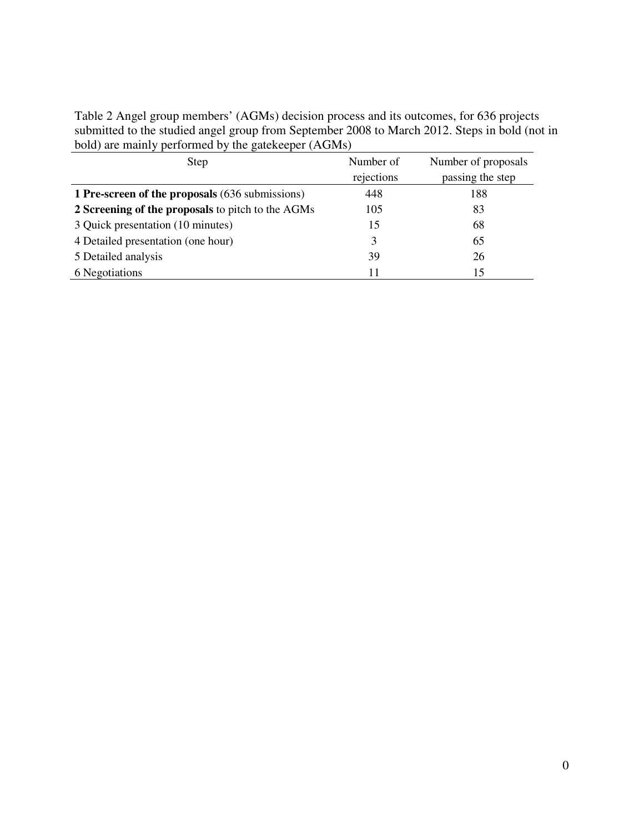Table 2 Angel group members' (AGMs) decision process and its outcomes, for 636 projects submitted to the studied angel group from September 2008 to March 2012. Steps in bold (not in bold) are mainly performed by the gatekeeper (AGMs)

| <b>Step</b>                                       | Number of  | Number of proposals |  |  |
|---------------------------------------------------|------------|---------------------|--|--|
|                                                   | rejections | passing the step    |  |  |
| 1 Pre-screen of the proposals (636 submissions)   | 448        | 188                 |  |  |
| 2 Screening of the proposals to pitch to the AGMs | 105        | 83                  |  |  |
| 3 Quick presentation (10 minutes)                 | 15         | 68                  |  |  |
| 4 Detailed presentation (one hour)                | 3          | 65                  |  |  |
| 5 Detailed analysis                               | 39         | 26                  |  |  |
| 6 Negotiations                                    | 11         | 15                  |  |  |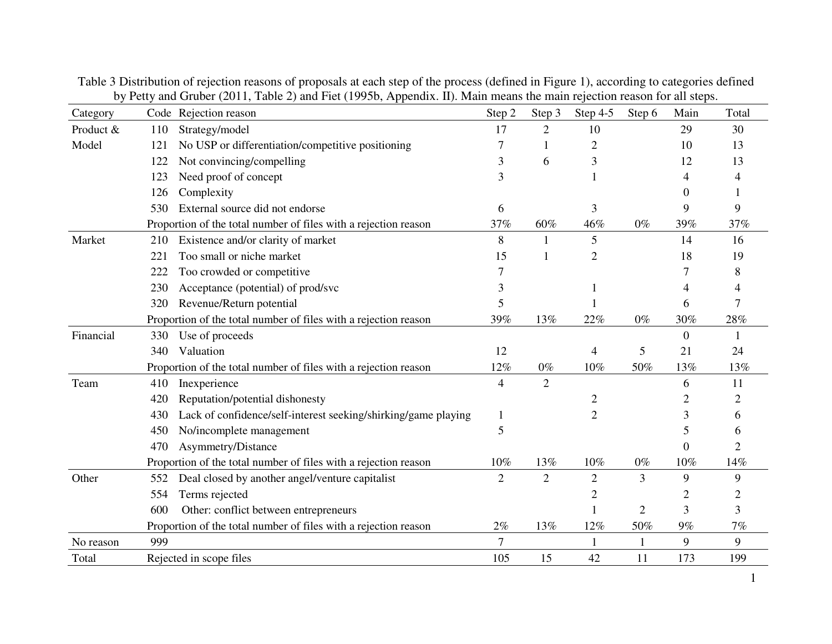| Category  |     | Code Rejection reason                                           | Step 2         | Step 3         | Step 4-5       | Step 6         | Main           | Total          |
|-----------|-----|-----------------------------------------------------------------|----------------|----------------|----------------|----------------|----------------|----------------|
| Product & | 110 | Strategy/model                                                  | 17             | 2              | 10             |                | 29             | 30             |
| Model     | 121 | No USP or differentiation/competitive positioning               | 7              |                | $\overline{2}$ |                | 10             | 13             |
|           | 122 | Not convincing/compelling                                       | 3              | 6              | 3              |                | 12             | 13             |
|           | 123 | Need proof of concept                                           | 3              |                |                |                | 4              | 4              |
|           | 126 | Complexity                                                      |                |                |                |                | 0              |                |
|           | 530 | External source did not endorse                                 | 6              |                | 3              |                | 9              | 9              |
|           |     | Proportion of the total number of files with a rejection reason | 37%            | 60%            | 46%            | $0\%$          | 39%            | 37%            |
| Market    | 210 | Existence and/or clarity of market                              | 8              |                | 5              |                | 14             | 16             |
|           | 221 | Too small or niche market                                       | 15             | 1              | $\overline{2}$ |                | 18             | 19             |
|           | 222 | Too crowded or competitive                                      |                |                |                |                |                | 8              |
|           | 230 | Acceptance (potential) of prod/svc                              |                |                |                |                | 4              |                |
|           | 320 | Revenue/Return potential                                        | 5              |                |                |                | 6              | 7              |
|           |     | Proportion of the total number of files with a rejection reason | 39%            | 13%            | 22%            | $0\%$          | 30%            | 28%            |
| Financial | 330 | Use of proceeds                                                 |                |                |                |                | $\theta$       | 1              |
|           | 340 | Valuation                                                       | 12             |                | 4              | 5              | 21             | 24             |
|           |     | Proportion of the total number of files with a rejection reason | 12%            | $0\%$          | 10%            | 50%            | 13%            | 13%            |
| Team      | 410 | Inexperience                                                    | $\overline{4}$ | $\overline{2}$ |                |                | 6              | 11             |
|           | 420 | Reputation/potential dishonesty                                 |                |                | $\overline{2}$ |                | $\overline{2}$ | $\overline{2}$ |
|           | 430 | Lack of confidence/self-interest seeking/shirking/game playing  |                |                | $\overline{2}$ |                | 3              | 6              |
|           | 450 | No/incomplete management                                        | 5              |                |                |                | 5              | 6              |
|           | 470 | Asymmetry/Distance                                              |                |                |                |                | $\theta$       | 2              |
|           |     | Proportion of the total number of files with a rejection reason | 10%            | 13%            | $10\%$         | $0\%$          | 10%            | 14%            |
| Other     | 552 | Deal closed by another angel/venture capitalist                 | $\overline{2}$ | $\overline{2}$ | $\overline{2}$ | 3              | 9              | 9              |
|           | 554 | Terms rejected                                                  |                |                | $\overline{2}$ |                | $\overline{2}$ | 2              |
|           | 600 | Other: conflict between entrepreneurs                           |                |                |                | $\overline{2}$ | 3              | 3              |
|           |     | Proportion of the total number of files with a rejection reason | $2\%$          | 13%            | 12%            | 50%            | $9\%$          | 7%             |
| No reason | 999 |                                                                 | $\overline{7}$ |                |                | 1              | 9              | 9              |
| Total     |     | Rejected in scope files                                         | 105            | 15             | 42             | 11             | 173            | 199            |

Table 3 Distribution of rejection reasons of proposals at each step of the process (defined in Figure 1), according to categories defined<br>by Petty and Gruber (2011, Table 2) and Fiet (1995b, Appendix. II). Main means the m

1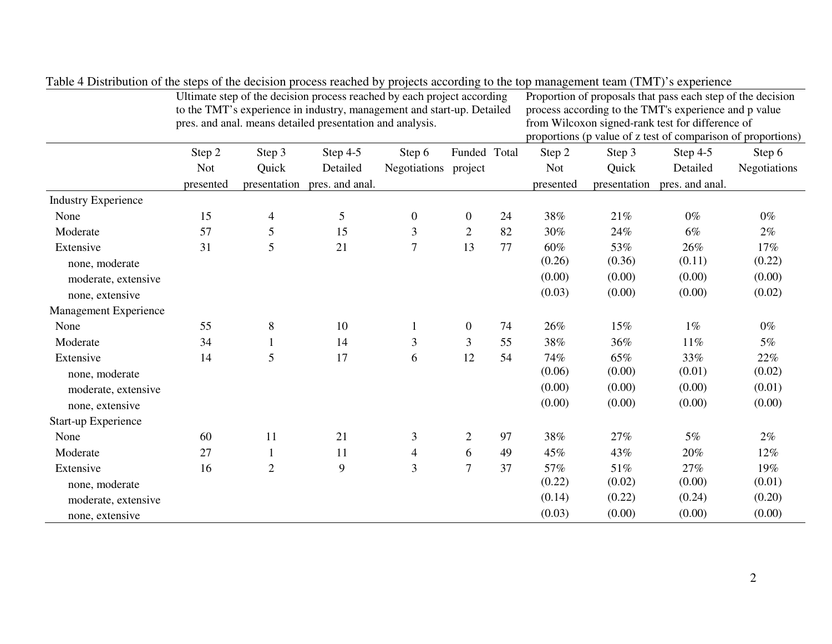|                            | Ultimate step of the decision process reached by each project according<br>to the TMT's experience in industry, management and start-up. Detailed<br>pres. and anal. means detailed presentation and analysis. |                |                 |                      |                  |        |            | Proportion of proposals that pass each step of the decision<br>process according to the TMT's experience and p value<br>from Wilcoxon signed-rank test for difference of<br>proportions (p value of z test of comparison of proportions) |                 |              |  |
|----------------------------|----------------------------------------------------------------------------------------------------------------------------------------------------------------------------------------------------------------|----------------|-----------------|----------------------|------------------|--------|------------|------------------------------------------------------------------------------------------------------------------------------------------------------------------------------------------------------------------------------------------|-----------------|--------------|--|
|                            | Step 2                                                                                                                                                                                                         | Step 3         | Step 4-5        | Step 6               | Step 2           | Step 3 | Step 4-5   | Step 6                                                                                                                                                                                                                                   |                 |              |  |
|                            | <b>Not</b>                                                                                                                                                                                                     | Quick          | Detailed        | Negotiations project |                  |        | <b>Not</b> | Quick                                                                                                                                                                                                                                    | Detailed        | Negotiations |  |
|                            | presented                                                                                                                                                                                                      | presentation   | pres. and anal. |                      |                  |        | presented  | presentation                                                                                                                                                                                                                             | pres. and anal. |              |  |
| <b>Industry Experience</b> |                                                                                                                                                                                                                |                |                 |                      |                  |        |            |                                                                                                                                                                                                                                          |                 |              |  |
| None                       | 15                                                                                                                                                                                                             | $\overline{4}$ | 5               | $\boldsymbol{0}$     | $\mathbf{0}$     | 24     | 38%        | 21%                                                                                                                                                                                                                                      | $0\%$           | $0\%$        |  |
| Moderate                   | 57                                                                                                                                                                                                             | 5              | 15              | $\mathfrak{Z}$       | $\mathfrak{2}$   | 82     | 30%        | 24%                                                                                                                                                                                                                                      | $6\%$           | $2\%$        |  |
| Extensive                  | 31                                                                                                                                                                                                             | 5              | 21              | $\tau$               | 13               | 77     | 60%        | 53%                                                                                                                                                                                                                                      | 26%             | 17%          |  |
| none, moderate             |                                                                                                                                                                                                                |                |                 |                      |                  |        | (0.26)     | (0.36)                                                                                                                                                                                                                                   | (0.11)          | (0.22)       |  |
| moderate, extensive        |                                                                                                                                                                                                                |                |                 |                      |                  |        | (0.00)     | (0.00)                                                                                                                                                                                                                                   | (0.00)          | (0.00)       |  |
| none, extensive            |                                                                                                                                                                                                                |                |                 |                      |                  |        | (0.03)     | (0.00)                                                                                                                                                                                                                                   | (0.00)          | (0.02)       |  |
| Management Experience      |                                                                                                                                                                                                                |                |                 |                      |                  |        |            |                                                                                                                                                                                                                                          |                 |              |  |
| None                       | 55                                                                                                                                                                                                             | 8              | 10              | $\mathbf{1}$         | $\boldsymbol{0}$ | 74     | 26%        | 15%                                                                                                                                                                                                                                      | $1\%$           | $0\%$        |  |
| Moderate                   | 34                                                                                                                                                                                                             | $\mathbf{1}$   | 14              | $\mathfrak{Z}$       | 3                | 55     | 38%        | 36%                                                                                                                                                                                                                                      | 11%             | 5%           |  |
| Extensive                  | 14                                                                                                                                                                                                             | 5              | 17              | 6                    | 12               | 54     | 74%        | 65%                                                                                                                                                                                                                                      | 33%             | 22%          |  |
| none, moderate             |                                                                                                                                                                                                                |                |                 |                      |                  |        | (0.06)     | (0.00)                                                                                                                                                                                                                                   | (0.01)          | (0.02)       |  |
| moderate, extensive        |                                                                                                                                                                                                                |                |                 |                      |                  |        | (0.00)     | (0.00)                                                                                                                                                                                                                                   | (0.00)          | (0.01)       |  |
| none, extensive            |                                                                                                                                                                                                                |                |                 |                      |                  |        | (0.00)     | (0.00)                                                                                                                                                                                                                                   | (0.00)          | (0.00)       |  |
| Start-up Experience        |                                                                                                                                                                                                                |                |                 |                      |                  |        |            |                                                                                                                                                                                                                                          |                 |              |  |
| None                       | 60                                                                                                                                                                                                             | 11             | 21              | $\mathfrak{Z}$       | $\overline{2}$   | 97     | 38%        | 27%                                                                                                                                                                                                                                      | 5%              | $2\%$        |  |
| Moderate                   | 27                                                                                                                                                                                                             | $\mathbf{1}$   | 11              | $\overline{4}$       | 6                | 49     | 45%        | 43%                                                                                                                                                                                                                                      | 20%             | 12%          |  |
| Extensive                  | 16                                                                                                                                                                                                             | $\overline{2}$ | 9               | 3                    | $\overline{7}$   | 37     | 57%        | 51%                                                                                                                                                                                                                                      | 27%             | 19%          |  |
| none, moderate             |                                                                                                                                                                                                                |                |                 |                      |                  |        | (0.22)     | (0.02)                                                                                                                                                                                                                                   | (0.00)          | (0.01)       |  |
| moderate, extensive        |                                                                                                                                                                                                                |                |                 |                      |                  |        | (0.14)     | (0.22)                                                                                                                                                                                                                                   | (0.24)          | (0.20)       |  |
| none, extensive            |                                                                                                                                                                                                                |                |                 |                      |                  |        | (0.03)     | (0.00)                                                                                                                                                                                                                                   | (0.00)          | (0.00)       |  |

Table 4 Distribution of the steps of the decision process reached by projects according to the top management team (TMT)'s experience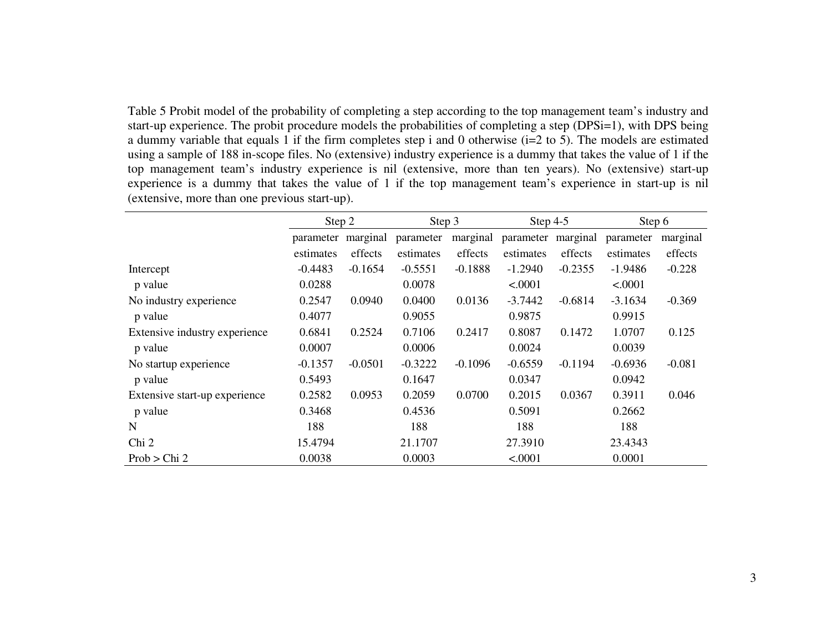Table 5 Probit model of the probability of completing a step according to the top management team's industry and start-up experience. The probit procedure models the probabilities of completing a step (DPSi=1), with DPS being a dummy variable that equals 1 if the firm completes step i and 0 otherwise (i=2 to 5). The models are estimated using a sample of 188 in-scope files. No (extensive) industry experience is a dummy that takes the value of 1 if the top management team's industry experience is nil (extensive, more than ten years). No (extensive) start-up experience is a dummy that takes the value of 1 if the top management team's experience in start-up is nil (extensive, more than one previous start-up).

|                               | Step 2    |           | Step 3    |           | Step $4-5$ |           | Step 6    |          |
|-------------------------------|-----------|-----------|-----------|-----------|------------|-----------|-----------|----------|
|                               | parameter | marginal  | parameter | marginal  | parameter  | marginal  | parameter | marginal |
|                               | estimates | effects   | estimates | effects   | estimates  | effects   | estimates | effects  |
| Intercept                     | $-0.4483$ | $-0.1654$ | $-0.5551$ | $-0.1888$ | $-1.2940$  | $-0.2355$ | $-1.9486$ | $-0.228$ |
| p value                       | 0.0288    |           | 0.0078    |           | < 0001     |           | < 0001    |          |
| No industry experience        | 0.2547    | 0.0940    | 0.0400    | 0.0136    | $-3.7442$  | $-0.6814$ | $-3.1634$ | $-0.369$ |
| p value                       | 0.4077    |           | 0.9055    |           | 0.9875     |           | 0.9915    |          |
| Extensive industry experience | 0.6841    | 0.2524    | 0.7106    | 0.2417    | 0.8087     | 0.1472    | 1.0707    | 0.125    |
| p value                       | 0.0007    |           | 0.0006    |           | 0.0024     |           | 0.0039    |          |
| No startup experience         | $-0.1357$ | $-0.0501$ | $-0.3222$ | $-0.1096$ | $-0.6559$  | $-0.1194$ | $-0.6936$ | $-0.081$ |
| p value                       | 0.5493    |           | 0.1647    |           | 0.0347     |           | 0.0942    |          |
| Extensive start-up experience | 0.2582    | 0.0953    | 0.2059    | 0.0700    | 0.2015     | 0.0367    | 0.3911    | 0.046    |
| p value                       | 0.3468    |           | 0.4536    |           | 0.5091     |           | 0.2662    |          |
| N                             | 188       |           | 188       |           | 188        |           | 188       |          |
| Chi 2                         | 15.4794   |           | 21.1707   |           | 27.3910    |           | 23.4343   |          |
| Prob > Chi 2                  | 0.0038    |           | 0.0003    |           | < .0001    |           | 0.0001    |          |